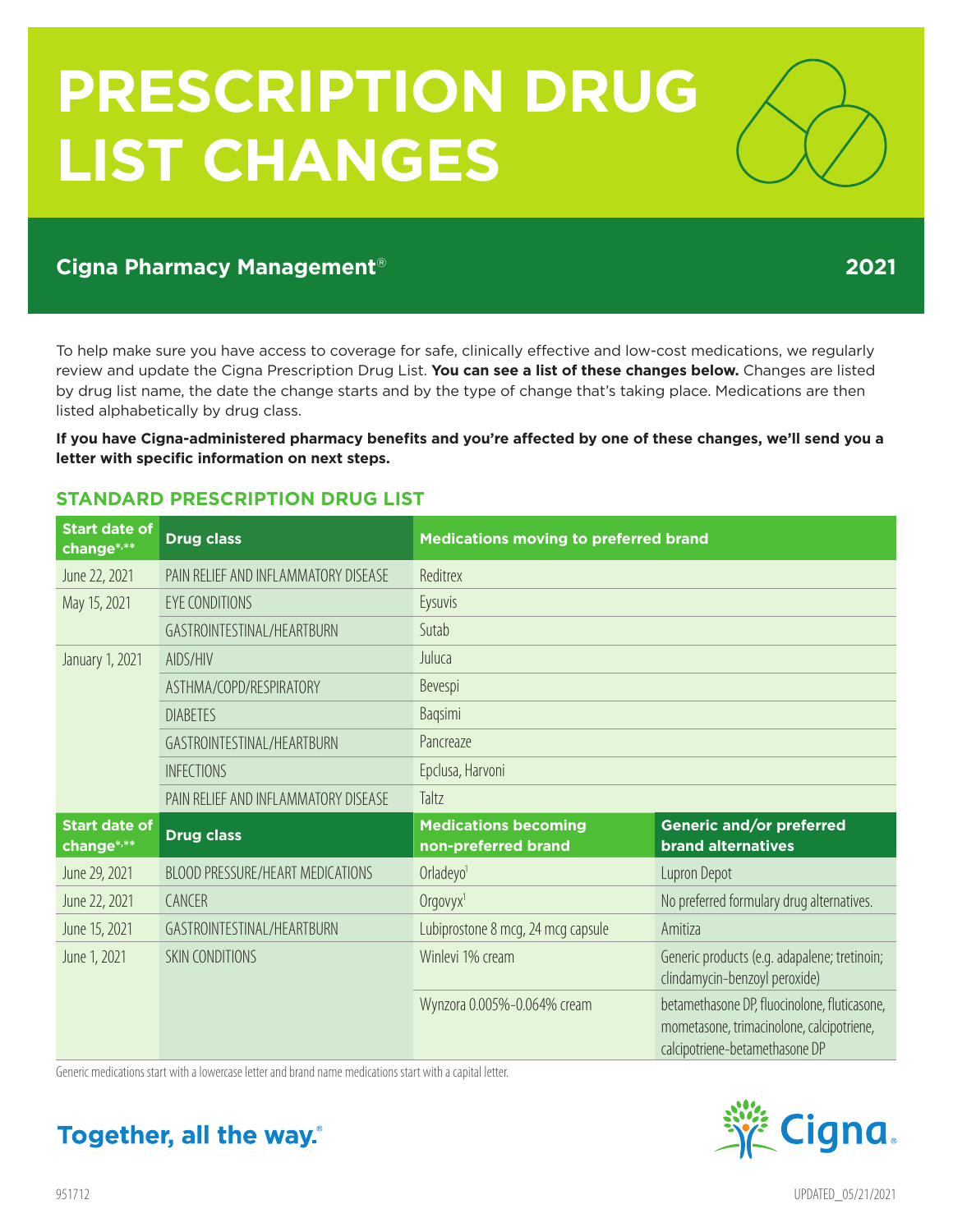# **PRESCRIPTION DRUG LIST CHANGES**

# **Cigna Pharmacy Management**® **2021**

To help make sure you have access to coverage for safe, clinically effective and low-cost medications, we regularly review and update the Cigna Prescription Drug List. **You can see a list of these changes below.** Changes are listed by drug list name, the date the change starts and by the type of change that's taking place. Medications are then listed alphabetically by drug class.

**If you have Cigna-administered pharmacy benefits and you're affected by one of these changes, we'll send you a letter with specific information on next steps.** 

#### **STANDARD PRESCRIPTION DRUG LIST**

| <b>Start date of</b><br>change*,** | <b>Drug class</b>                       | <b>Medications moving to preferred brand</b>       |                                                                                                                             |  |
|------------------------------------|-----------------------------------------|----------------------------------------------------|-----------------------------------------------------------------------------------------------------------------------------|--|
| June 22, 2021                      | PAIN RELIEF AND INFLAMMATORY DISEASE    | Reditrex                                           |                                                                                                                             |  |
| May 15, 2021                       | <b>EYE CONDITIONS</b>                   | Eysuvis                                            |                                                                                                                             |  |
|                                    | GASTROINTESTINAL/HEARTBURN              | Sutab                                              |                                                                                                                             |  |
| January 1, 2021                    | AIDS/HIV                                | Juluca                                             |                                                                                                                             |  |
|                                    | ASTHMA/COPD/RESPIRATORY                 | Bevespi                                            |                                                                                                                             |  |
|                                    | <b>DIABETES</b>                         | Baqsimi                                            |                                                                                                                             |  |
|                                    | GASTROINTESTINAL/HEARTBURN              | Pancreaze                                          |                                                                                                                             |  |
|                                    | <b>INFECTIONS</b>                       | Epclusa, Harvoni                                   |                                                                                                                             |  |
|                                    | PAIN RELIEF AND INFLAMMATORY DISEASE    | Taltz                                              |                                                                                                                             |  |
| <b>Start date of</b><br>change*,** | <b>Drug class</b>                       | <b>Medications becoming</b><br>non-preferred brand | <b>Generic and/or preferred</b><br><b>brand alternatives</b>                                                                |  |
| June 29, 2021                      | <b>BLOOD PRESSURE/HEART MEDICATIONS</b> | Orladeyo <sup>1</sup>                              | Lupron Depot                                                                                                                |  |
| June 22, 2021                      | CANCER                                  | Orgovyx <sup>1</sup>                               | No preferred formulary drug alternatives.                                                                                   |  |
| June 15, 2021                      | GASTROINTESTINAL/HEARTBURN              | Lubiprostone 8 mcg, 24 mcg capsule                 | Amitiza                                                                                                                     |  |
| June 1, 2021                       | <b>SKIN CONDITIONS</b>                  | Winlevi 1% cream                                   | Generic products (e.g. adapalene; tretinoin;<br>clindamycin-benzoyl peroxide)                                               |  |
|                                    |                                         | Wynzora 0.005%-0.064% cream                        | betamethasone DP, fluocinolone, fluticasone,<br>mometasone, trimacinolone, calcipotriene,<br>calcipotriene-betamethasone DP |  |

Generic medications start with a lowercase letter and brand name medications start with a capital letter.



# Together, all the way.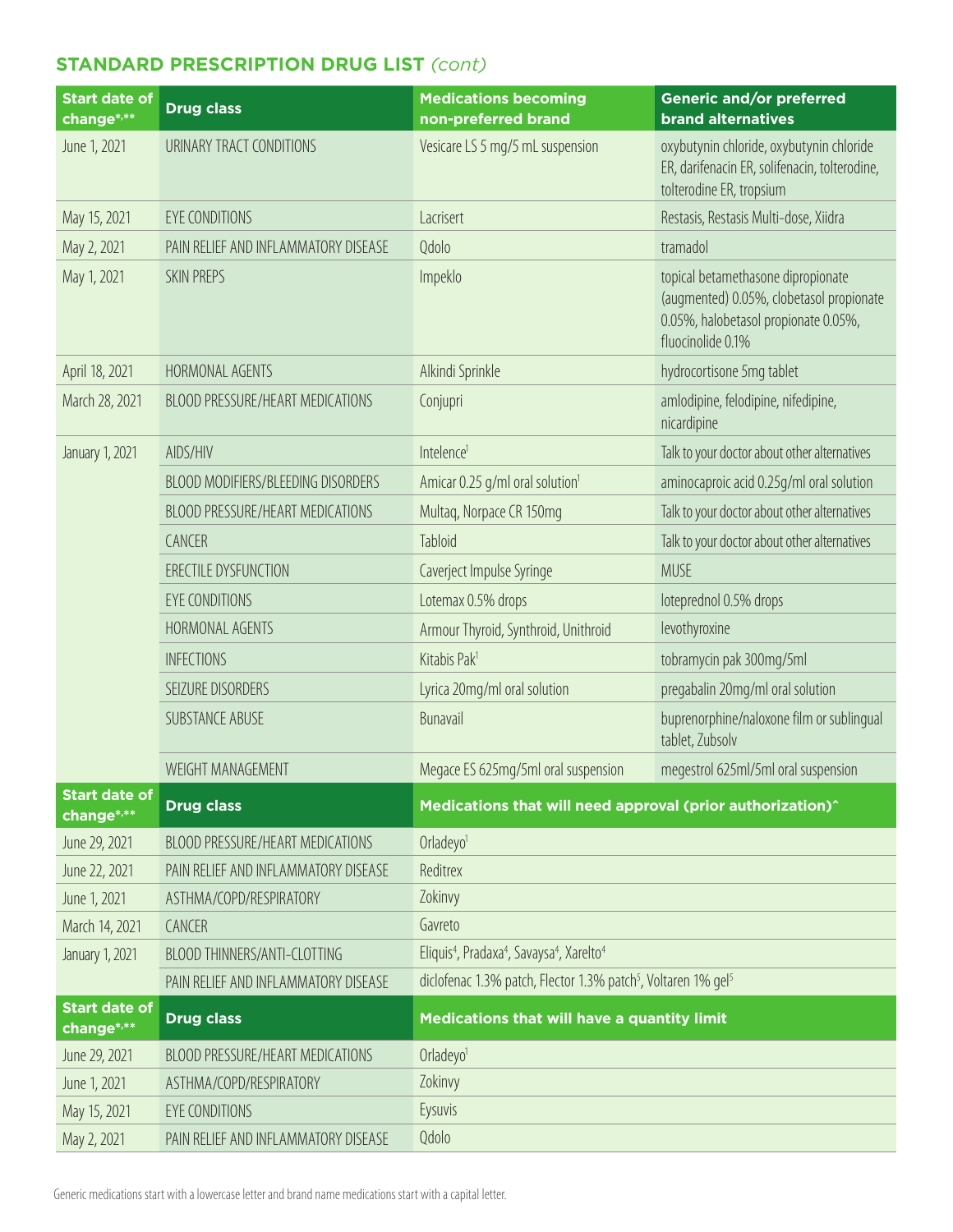# **STANDARD PRESCRIPTION DRUG LIST** *(cont)*

| <b>Start date of</b><br>change*,** | <b>Drug class</b>                       | <b>Medications becoming</b><br>non-preferred brand                                        | <b>Generic and/or preferred</b><br><b>brand alternatives</b>                                                                                |
|------------------------------------|-----------------------------------------|-------------------------------------------------------------------------------------------|---------------------------------------------------------------------------------------------------------------------------------------------|
| June 1, 2021                       | URINARY TRACT CONDITIONS                | Vesicare LS 5 mg/5 mL suspension                                                          | oxybutynin chloride, oxybutynin chloride<br>ER, darifenacin ER, solifenacin, tolterodine,<br>tolterodine ER, tropsium                       |
| May 15, 2021                       | EYE CONDITIONS                          | Lacrisert                                                                                 | Restasis, Restasis Multi-dose, Xiidra                                                                                                       |
| May 2, 2021                        | PAIN RELIEF AND INFLAMMATORY DISEASE    | Qdolo                                                                                     | tramadol                                                                                                                                    |
| May 1, 2021                        | <b>SKIN PREPS</b>                       | Impeklo                                                                                   | topical betamethasone dipropionate<br>(augmented) 0.05%, clobetasol propionate<br>0.05%, halobetasol propionate 0.05%,<br>fluocinolide 0.1% |
| April 18, 2021                     | HORMONAL AGENTS                         | Alkindi Sprinkle                                                                          | hydrocortisone 5mg tablet                                                                                                                   |
| March 28, 2021                     | BLOOD PRESSURE/HEART MEDICATIONS        | Conjupri                                                                                  | amlodipine, felodipine, nifedipine,<br>nicardipine                                                                                          |
| January 1, 2021                    | AIDS/HIV                                | Intelence <sup>1</sup>                                                                    | Talk to your doctor about other alternatives                                                                                                |
|                                    | BLOOD MODIFIERS/BLEEDING DISORDERS      | Amicar 0.25 g/ml oral solution <sup>1</sup>                                               | aminocaproic acid 0.25g/ml oral solution                                                                                                    |
|                                    | BLOOD PRESSURE/HEART MEDICATIONS        | Multaq, Norpace CR 150mg                                                                  | Talk to your doctor about other alternatives                                                                                                |
|                                    | CANCER                                  | Tabloid                                                                                   | Talk to your doctor about other alternatives                                                                                                |
|                                    | ERECTILE DYSFUNCTION                    | Caverject Impulse Syringe                                                                 | <b>MUSE</b>                                                                                                                                 |
|                                    | EYE CONDITIONS                          | Lotemax 0.5% drops                                                                        | loteprednol 0.5% drops                                                                                                                      |
|                                    | HORMONAL AGENTS                         | Armour Thyroid, Synthroid, Unithroid                                                      | levothyroxine                                                                                                                               |
|                                    | <b>INFECTIONS</b>                       | Kitabis Pak <sup>1</sup>                                                                  | tobramycin pak 300mg/5ml                                                                                                                    |
|                                    | SEIZURE DISORDERS                       | Lyrica 20mg/ml oral solution                                                              | pregabalin 20mg/ml oral solution                                                                                                            |
|                                    | <b>SUBSTANCE ABUSE</b>                  | Bunavail                                                                                  | buprenorphine/naloxone film or sublingual<br>tablet, Zubsolv                                                                                |
|                                    | <b>WEIGHT MANAGEMENT</b>                | Megace ES 625mg/5ml oral suspension                                                       | megestrol 625ml/5ml oral suspension                                                                                                         |
| <b>Start date of</b><br>change*,** | <b>Drug class</b>                       | Medications that will need approval (prior authorization)^                                |                                                                                                                                             |
| June 29, 2021                      | <b>BLOOD PRESSURE/HEART MEDICATIONS</b> | Orladeyo <sup>1</sup>                                                                     |                                                                                                                                             |
| June 22, 2021                      | PAIN RELIEF AND INFLAMMATORY DISEASE    | Reditrex                                                                                  |                                                                                                                                             |
| June 1, 2021                       | ASTHMA/COPD/RESPIRATORY                 | Zokinvy                                                                                   |                                                                                                                                             |
| March 14, 2021                     | CANCER                                  | Gavreto                                                                                   |                                                                                                                                             |
| January 1, 2021                    | BLOOD THINNERS/ANTI-CLOTTING            | Eliquis <sup>4</sup> , Pradaxa <sup>4</sup> , Savaysa <sup>4</sup> , Xarelto <sup>4</sup> |                                                                                                                                             |
|                                    | PAIN RELIEF AND INFLAMMATORY DISEASE    | diclofenac 1.3% patch, Flector 1.3% patch <sup>5</sup> , Voltaren 1% gel <sup>5</sup>     |                                                                                                                                             |
| <b>Start date of</b><br>change*,** | <b>Drug class</b>                       | Medications that will have a quantity limit                                               |                                                                                                                                             |
| June 29, 2021                      | BLOOD PRESSURE/HEART MEDICATIONS        | Orladeyo <sup>1</sup>                                                                     |                                                                                                                                             |
| June 1, 2021                       | ASTHMA/COPD/RESPIRATORY                 | Zokinvy                                                                                   |                                                                                                                                             |
| May 15, 2021                       | EYE CONDITIONS                          | Eysuvis                                                                                   |                                                                                                                                             |
| May 2, 2021                        | PAIN RELIEF AND INFLAMMATORY DISEASE    | Qdolo                                                                                     |                                                                                                                                             |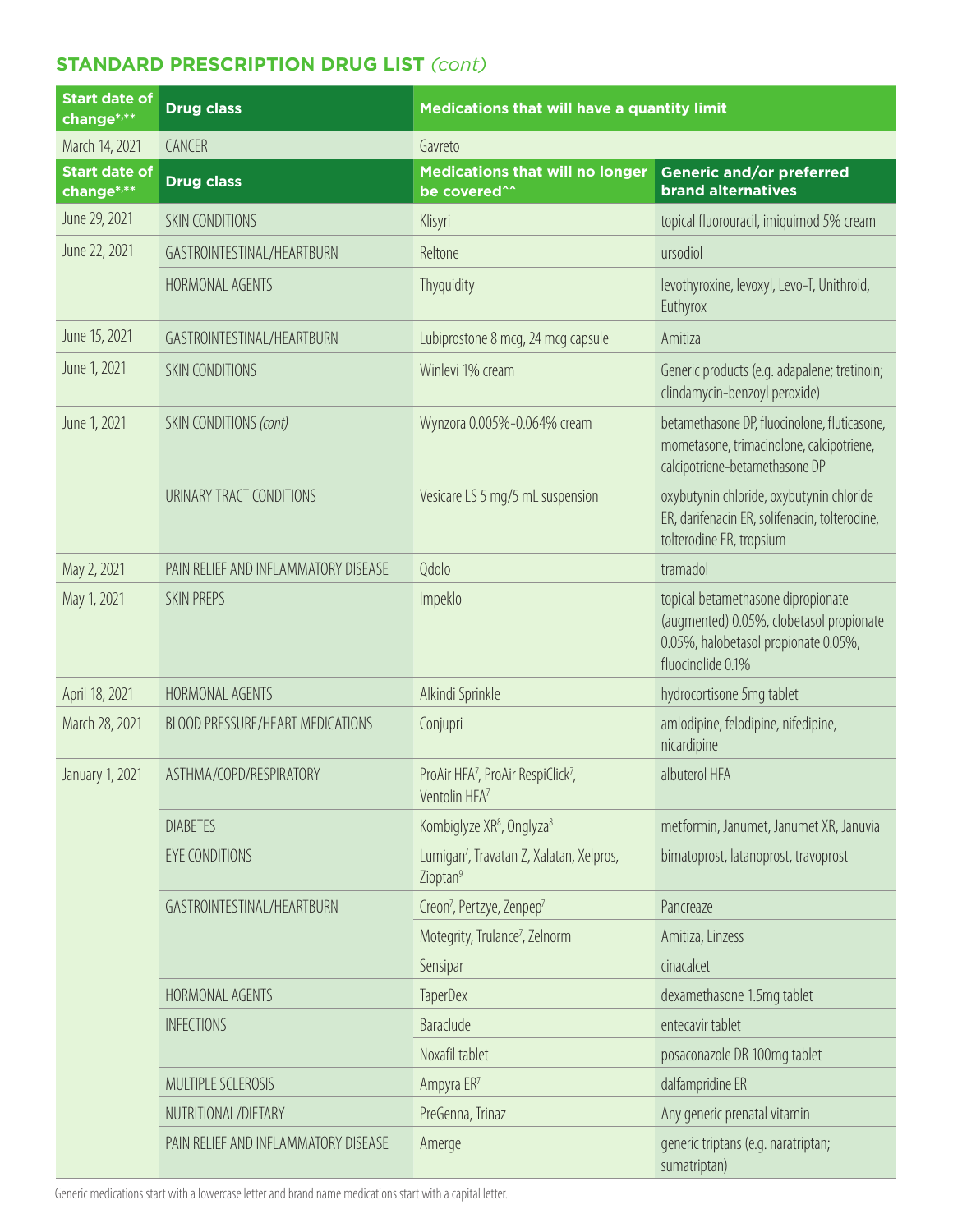#### **STANDARD PRESCRIPTION DRUG LIST** *(cont)*

| <b>Start date of</b><br>change*,** | <b>Drug class</b>                    | Medications that will have a quantity limit                                             |                                                                                                                                             |  |
|------------------------------------|--------------------------------------|-----------------------------------------------------------------------------------------|---------------------------------------------------------------------------------------------------------------------------------------------|--|
| March 14, 2021                     | CANCER                               | Gavreto                                                                                 |                                                                                                                                             |  |
| <b>Start date of</b><br>change*,** | <b>Drug class</b>                    | <b>Medications that will no longer</b><br>be covered^^                                  | <b>Generic and/or preferred</b><br><b>brand alternatives</b>                                                                                |  |
| June 29, 2021                      | <b>SKIN CONDITIONS</b>               | Klisyri                                                                                 | topical fluorouracil, imiquimod 5% cream                                                                                                    |  |
| June 22, 2021                      | GASTROINTESTINAL/HEARTBURN           | Reltone                                                                                 | ursodiol                                                                                                                                    |  |
|                                    | HORMONAL AGENTS                      | Thyquidity                                                                              | levothyroxine, levoxyl, Levo-T, Unithroid,<br>Euthyrox                                                                                      |  |
| June 15, 2021                      | GASTROINTESTINAL/HEARTBURN           | Lubiprostone 8 mcg, 24 mcg capsule                                                      | Amitiza                                                                                                                                     |  |
| June 1, 2021                       | <b>SKIN CONDITIONS</b>               | Winlevi 1% cream                                                                        | Generic products (e.g. adapalene; tretinoin;<br>clindamycin-benzoyl peroxide)                                                               |  |
| June 1, 2021                       | SKIN CONDITIONS (cont)               | Wynzora 0.005%-0.064% cream                                                             | betamethasone DP, fluocinolone, fluticasone,<br>mometasone, trimacinolone, calcipotriene,<br>calcipotriene-betamethasone DP                 |  |
|                                    | URINARY TRACT CONDITIONS             | Vesicare LS 5 mg/5 mL suspension                                                        | oxybutynin chloride, oxybutynin chloride<br>ER, darifenacin ER, solifenacin, tolterodine,<br>tolterodine ER, tropsium                       |  |
| May 2, 2021                        | PAIN RELIEF AND INFLAMMATORY DISEASE | Qdolo                                                                                   | tramadol                                                                                                                                    |  |
| May 1, 2021                        | <b>SKIN PREPS</b>                    | Impeklo                                                                                 | topical betamethasone dipropionate<br>(augmented) 0.05%, clobetasol propionate<br>0.05%, halobetasol propionate 0.05%,<br>fluocinolide 0.1% |  |
| April 18, 2021                     | HORMONAL AGENTS                      | Alkindi Sprinkle                                                                        | hydrocortisone 5mg tablet                                                                                                                   |  |
| March 28, 2021                     | BLOOD PRESSURE/HEART MEDICATIONS     | Conjupri                                                                                | amlodipine, felodipine, nifedipine,<br>nicardipine                                                                                          |  |
| January 1, 2021                    | ASTHMA/COPD/RESPIRATORY              | ProAir HFA <sup>7</sup> , ProAir RespiClick <sup>7</sup> ,<br>Ventolin HFA <sup>7</sup> | albuterol HFA                                                                                                                               |  |
|                                    | <b>DIABETES</b>                      | Kombiqlyze XR <sup>8</sup> , Onqlyza <sup>8</sup>                                       | metformin, Janumet, Janumet XR, Januvia                                                                                                     |  |
|                                    | <b>EYE CONDITIONS</b>                | Lumigan <sup>7</sup> , Travatan Z, Xalatan, Xelpros,<br>Zioptan <sup>9</sup>            | bimatoprost, latanoprost, travoprost                                                                                                        |  |
|                                    | GASTROINTESTINAL/HEARTBURN           | Creon <sup>7</sup> , Pertzye, Zenpep <sup>7</sup>                                       | Pancreaze                                                                                                                                   |  |
|                                    |                                      | Motegrity, Trulance <sup>7</sup> , Zelnorm                                              | Amitiza, Linzess                                                                                                                            |  |
|                                    |                                      | Sensipar                                                                                | cinacalcet                                                                                                                                  |  |
|                                    | HORMONAL AGENTS                      | <b>TaperDex</b>                                                                         | dexamethasone 1.5mg tablet                                                                                                                  |  |
|                                    | <b>INFECTIONS</b>                    | Baraclude                                                                               | entecavir tablet                                                                                                                            |  |
|                                    |                                      | Noxafil tablet                                                                          | posaconazole DR 100mg tablet                                                                                                                |  |
|                                    | MULTIPLE SCLEROSIS                   | Ampyra ER7                                                                              | dalfampridine ER                                                                                                                            |  |
|                                    | NUTRITIONAL/DIETARY                  | PreGenna, Trinaz                                                                        | Any generic prenatal vitamin                                                                                                                |  |
|                                    | PAIN RELIEF AND INFLAMMATORY DISEASE | Amerge                                                                                  | generic triptans (e.g. naratriptan;<br>sumatriptan)                                                                                         |  |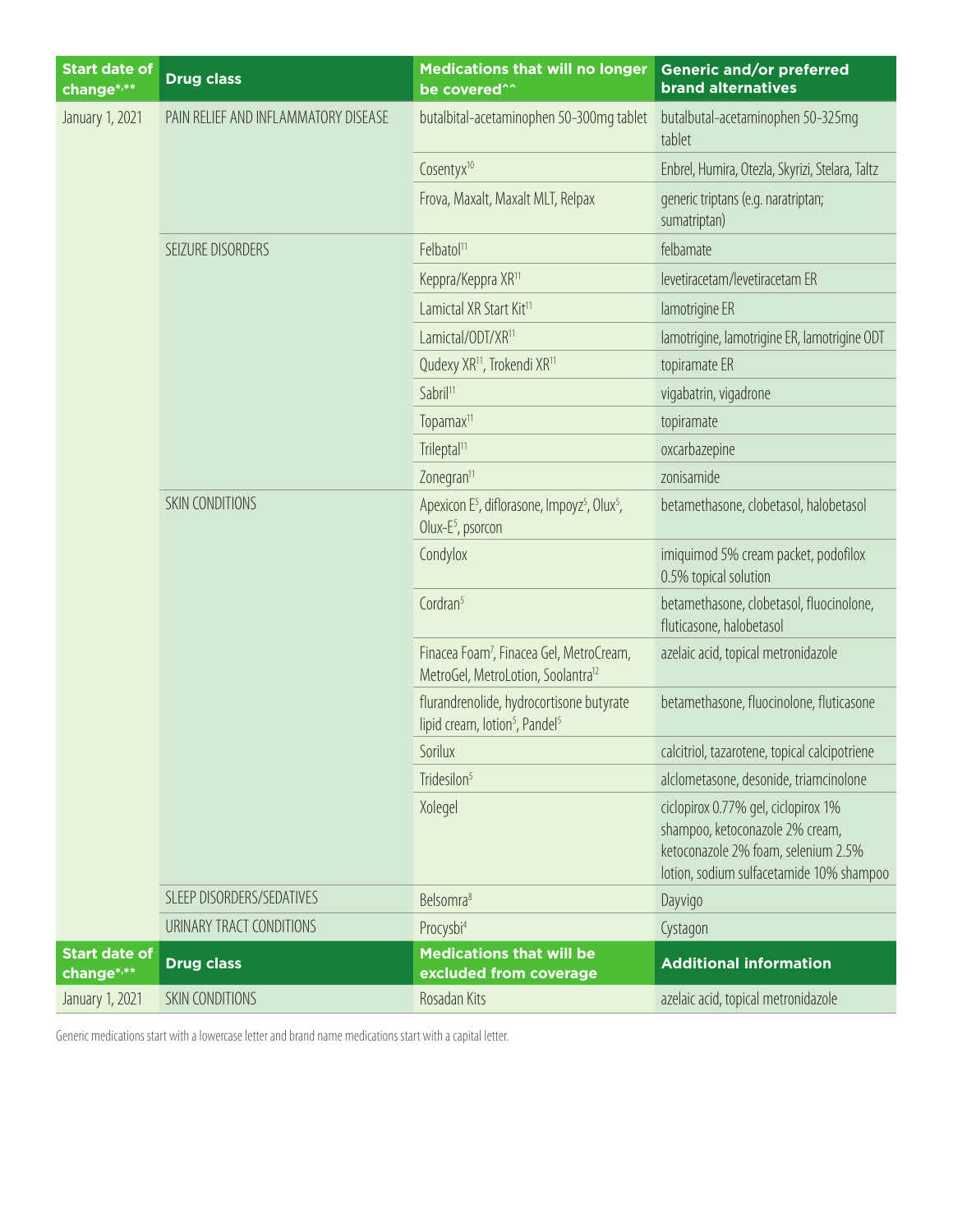| <b>Start date of</b><br>change*,** | <b>Drug class</b>                    | <b>Medications that will no longer</b><br>be covered^^                                                   | <b>Generic and/or preferred</b><br><b>brand alternatives</b>                                                                                              |
|------------------------------------|--------------------------------------|----------------------------------------------------------------------------------------------------------|-----------------------------------------------------------------------------------------------------------------------------------------------------------|
| January 1, 2021                    | PAIN RELIEF AND INFLAMMATORY DISEASE | butalbital-acetaminophen 50-300mg tablet                                                                 | butalbutal-acetaminophen 50-325mg<br>tablet                                                                                                               |
|                                    |                                      | Cosentyx <sup>10</sup>                                                                                   | Enbrel, Humira, Otezla, Skyrizi, Stelara, Taltz                                                                                                           |
|                                    |                                      | Frova, Maxalt, Maxalt MLT, Relpax                                                                        | generic triptans (e.g. naratriptan;<br>sumatriptan)                                                                                                       |
|                                    | SEIZURE DISORDERS                    | Felbatol <sup>11</sup>                                                                                   | felbamate                                                                                                                                                 |
|                                    |                                      | Keppra/Keppra XR <sup>11</sup>                                                                           | levetiracetam/levetiracetam ER                                                                                                                            |
|                                    |                                      | Lamictal XR Start Kit <sup>11</sup>                                                                      | lamotrigine ER                                                                                                                                            |
|                                    |                                      | Lamictal/ODT/XR <sup>11</sup>                                                                            | lamotrigine, lamotrigine ER, lamotrigine ODT                                                                                                              |
|                                    |                                      | Qudexy XR <sup>11</sup> , Trokendi XR <sup>11</sup>                                                      | topiramate ER                                                                                                                                             |
|                                    |                                      | Sabril <sup>11</sup>                                                                                     | vigabatrin, vigadrone                                                                                                                                     |
|                                    |                                      | Topamax <sup>11</sup>                                                                                    | topiramate                                                                                                                                                |
|                                    |                                      | Trileptal <sup>11</sup>                                                                                  | oxcarbazepine                                                                                                                                             |
|                                    |                                      | Zonegran <sup>11</sup>                                                                                   | zonisamide                                                                                                                                                |
|                                    | <b>SKIN CONDITIONS</b>               | Apexicon $E^5$ , diflorasone, Impoyz <sup>5</sup> , Olux <sup>5</sup> ,<br>Olux-E <sup>5</sup> , psorcon | betamethasone, clobetasol, halobetasol                                                                                                                    |
|                                    |                                      | Condylox                                                                                                 | imiquimod 5% cream packet, podofilox<br>0.5% topical solution                                                                                             |
|                                    |                                      | Cordran <sup>5</sup>                                                                                     | betamethasone, clobetasol, fluocinolone,<br>fluticasone, halobetasol                                                                                      |
|                                    |                                      | Finacea Foam <sup>7</sup> , Finacea Gel, MetroCream,<br>MetroGel, MetroLotion, Soolantra <sup>12</sup>   | azelaic acid, topical metronidazole                                                                                                                       |
|                                    |                                      | flurandrenolide, hydrocortisone butyrate<br>lipid cream, lotion <sup>5</sup> , Pandel <sup>5</sup>       | betamethasone, fluocinolone, fluticasone                                                                                                                  |
|                                    |                                      | Sorilux                                                                                                  | calcitriol, tazarotene, topical calcipotriene                                                                                                             |
|                                    |                                      | Tridesilon <sup>5</sup>                                                                                  | alclometasone, desonide, triamcinolone                                                                                                                    |
|                                    |                                      | Xolegel                                                                                                  | ciclopirox 0.77% gel, ciclopirox 1%<br>shampoo, ketoconazole 2% cream,<br>ketoconazole 2% foam, selenium 2.5%<br>lotion, sodium sulfacetamide 10% shampoo |
|                                    | SLEEP DISORDERS/SEDATIVES            | Belsomra <sup>8</sup>                                                                                    | Dayvigo                                                                                                                                                   |
|                                    | URINARY TRACT CONDITIONS             | Procysbi <sup>4</sup>                                                                                    | Cystagon                                                                                                                                                  |
| <b>Start date of</b><br>change*,** | <b>Drug class</b>                    | <b>Medications that will be</b><br>excluded from coverage                                                | <b>Additional information</b>                                                                                                                             |
| January 1, 2021                    | <b>SKIN CONDITIONS</b>               | Rosadan Kits                                                                                             | azelaic acid, topical metronidazole                                                                                                                       |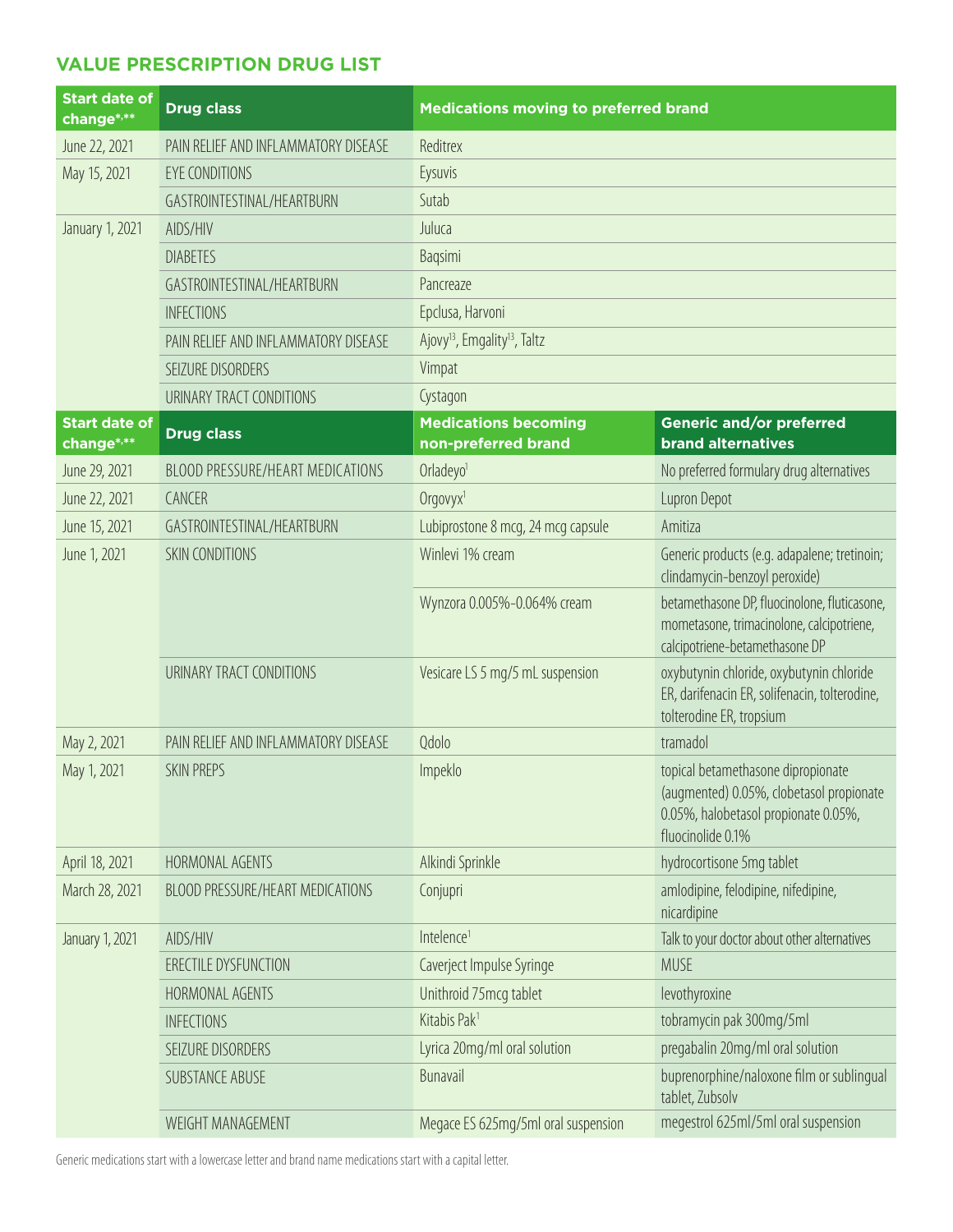#### **VALUE PRESCRIPTION DRUG LIST**

| <b>Start date of</b><br>change*,** | <b>Drug class</b>                       | <b>Medications moving to preferred brand</b>         |                                                                                                                                             |  |
|------------------------------------|-----------------------------------------|------------------------------------------------------|---------------------------------------------------------------------------------------------------------------------------------------------|--|
| June 22, 2021                      | PAIN RELIEF AND INFLAMMATORY DISEASE    | Reditrex                                             |                                                                                                                                             |  |
| May 15, 2021                       | EYE CONDITIONS                          | Eysuvis                                              |                                                                                                                                             |  |
|                                    | GASTROINTESTINAL/HEARTBURN              | Sutab                                                |                                                                                                                                             |  |
| January 1, 2021                    | AIDS/HIV                                | Juluca                                               |                                                                                                                                             |  |
|                                    | <b>DIABETES</b>                         | Baqsimi                                              |                                                                                                                                             |  |
|                                    | GASTROINTESTINAL/HEARTBURN              | Pancreaze                                            |                                                                                                                                             |  |
|                                    | <b>INFECTIONS</b>                       | Epclusa, Harvoni                                     |                                                                                                                                             |  |
|                                    | PAIN RELIEF AND INFLAMMATORY DISEASE    | Ajovy <sup>13</sup> , Emgality <sup>13</sup> , Taltz |                                                                                                                                             |  |
|                                    | SEIZURE DISORDERS                       | Vimpat                                               |                                                                                                                                             |  |
|                                    | URINARY TRACT CONDITIONS                | Cystagon                                             |                                                                                                                                             |  |
| <b>Start date of</b>               | <b>Drug class</b>                       | <b>Medications becoming</b>                          | <b>Generic and/or preferred</b>                                                                                                             |  |
| change*,**                         |                                         | non-preferred brand                                  | <b>brand alternatives</b>                                                                                                                   |  |
| June 29, 2021                      | BLOOD PRESSURE/HEART MEDICATIONS        | Orladeyo <sup>1</sup>                                | No preferred formulary drug alternatives                                                                                                    |  |
| June 22, 2021                      | CANCER                                  | Orgovyx <sup>1</sup>                                 | <b>Lupron Depot</b>                                                                                                                         |  |
| June 15, 2021                      | GASTROINTESTINAL/HEARTBURN              | Lubiprostone 8 mcg, 24 mcg capsule                   | Amitiza                                                                                                                                     |  |
| June 1, 2021                       | <b>SKIN CONDITIONS</b>                  | Winlevi 1% cream                                     | Generic products (e.g. adapalene; tretinoin;<br>clindamycin-benzoyl peroxide)                                                               |  |
|                                    |                                         | Wynzora 0.005%-0.064% cream                          | betamethasone DP, fluocinolone, fluticasone,<br>mometasone, trimacinolone, calcipotriene,<br>calcipotriene-betamethasone DP                 |  |
|                                    | URINARY TRACT CONDITIONS                | Vesicare LS 5 mg/5 mL suspension                     | oxybutynin chloride, oxybutynin chloride<br>ER, darifenacin ER, solifenacin, tolterodine,<br>tolterodine ER, tropsium                       |  |
| May 2, 2021                        | PAIN RELIEF AND INFLAMMATORY DISEASE    | Qdolo                                                | tramadol                                                                                                                                    |  |
| May 1, 2021                        | <b>SKIN PREPS</b>                       | Impeklo                                              | topical betamethasone dipropionate<br>(augmented) 0.05%, clobetasol propionate<br>0.05%, halobetasol propionate 0.05%,<br>fluocinolide 0.1% |  |
| April 18, 2021                     | HORMONAL AGENTS                         | Alkindi Sprinkle                                     | hydrocortisone 5mg tablet                                                                                                                   |  |
| March 28, 2021                     | <b>BLOOD PRESSURE/HEART MEDICATIONS</b> | Conjupri                                             | amlodipine, felodipine, nifedipine,<br>nicardipine                                                                                          |  |
| January 1, 2021                    | AIDS/HIV                                | Intelence <sup>1</sup>                               | Talk to your doctor about other alternatives                                                                                                |  |
|                                    | ERECTILE DYSFUNCTION                    | Caverject Impulse Syringe                            | <b>MUSE</b>                                                                                                                                 |  |
|                                    | HORMONAL AGENTS                         | Unithroid 75mcg tablet                               | levothyroxine                                                                                                                               |  |
|                                    | <b>INFECTIONS</b>                       | Kitabis Pak <sup>1</sup>                             | tobramycin pak 300mg/5ml                                                                                                                    |  |
|                                    | SEIZURE DISORDERS                       | Lyrica 20mg/ml oral solution                         | pregabalin 20mg/ml oral solution                                                                                                            |  |
|                                    | <b>SUBSTANCE ABUSE</b>                  | Bunavail                                             | buprenorphine/naloxone film or sublingual<br>tablet, Zubsolv                                                                                |  |
|                                    | WEIGHT MANAGEMENT                       | Megace ES 625mg/5ml oral suspension                  | megestrol 625ml/5ml oral suspension                                                                                                         |  |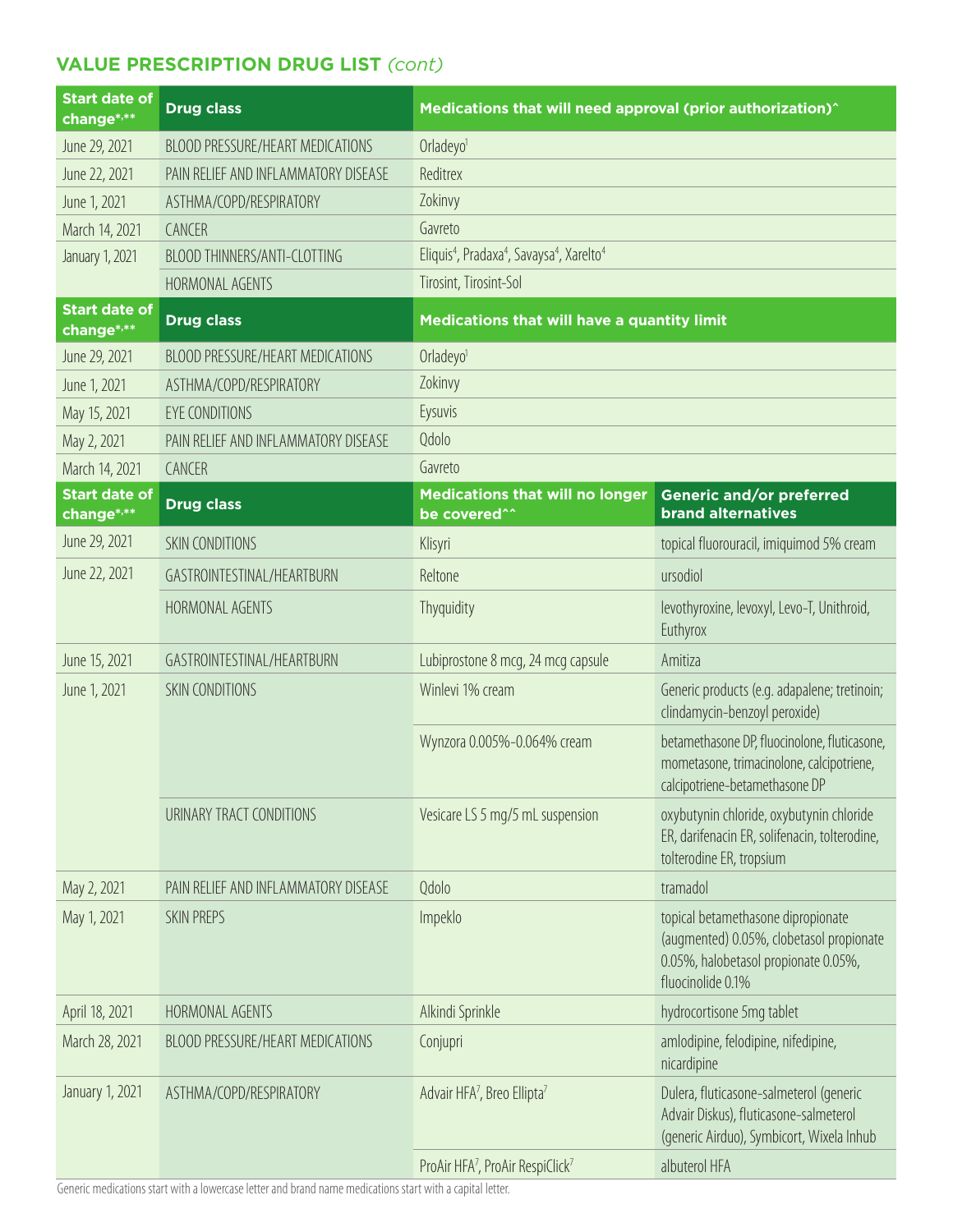#### **VALUE PRESCRIPTION DRUG LIST** *(cont)*

| <b>Start date of</b><br>change*,** | <b>Drug class</b>                    | Medications that will need approval (prior authorization)^                                |                                                                                                                                             |  |
|------------------------------------|--------------------------------------|-------------------------------------------------------------------------------------------|---------------------------------------------------------------------------------------------------------------------------------------------|--|
| June 29, 2021                      | BLOOD PRESSURE/HEART MEDICATIONS     | Orladeyo <sup>1</sup>                                                                     |                                                                                                                                             |  |
| June 22, 2021                      | PAIN RELIEF AND INFLAMMATORY DISEASE | Reditrex                                                                                  |                                                                                                                                             |  |
| June 1, 2021                       | ASTHMA/COPD/RESPIRATORY              | Zokinvy                                                                                   |                                                                                                                                             |  |
| March 14, 2021                     | CANCER                               | Gavreto                                                                                   |                                                                                                                                             |  |
| January 1, 2021                    | BLOOD THINNERS/ANTI-CLOTTING         | Eliquis <sup>4</sup> , Pradaxa <sup>4</sup> , Savaysa <sup>4</sup> , Xarelto <sup>4</sup> |                                                                                                                                             |  |
|                                    | HORMONAL AGENTS                      | Tirosint, Tirosint-Sol                                                                    |                                                                                                                                             |  |
| <b>Start date of</b><br>change*,** | <b>Drug class</b>                    | Medications that will have a quantity limit                                               |                                                                                                                                             |  |
| June 29, 2021                      | BLOOD PRESSURE/HEART MEDICATIONS     | Orladeyo <sup>1</sup>                                                                     |                                                                                                                                             |  |
| June 1, 2021                       | ASTHMA/COPD/RESPIRATORY              | Zokinvy                                                                                   |                                                                                                                                             |  |
| May 15, 2021                       | <b>EYE CONDITIONS</b>                | Eysuvis                                                                                   |                                                                                                                                             |  |
| May 2, 2021                        | PAIN RELIEF AND INFLAMMATORY DISEASE | Qdolo                                                                                     |                                                                                                                                             |  |
| March 14, 2021                     | CANCER                               | Gavreto                                                                                   |                                                                                                                                             |  |
| <b>Start date of</b><br>change*,** | <b>Drug class</b>                    | <b>Medications that will no longer</b><br>be covered^^                                    | <b>Generic and/or preferred</b><br><b>brand alternatives</b>                                                                                |  |
| June 29, 2021                      | SKIN CONDITIONS                      | Klisyri                                                                                   | topical fluorouracil, imiquimod 5% cream                                                                                                    |  |
| June 22, 2021                      | GASTROINTESTINAL/HEARTBURN           | Reltone                                                                                   | ursodiol                                                                                                                                    |  |
|                                    | HORMONAL AGENTS                      | Thyquidity                                                                                | levothyroxine, levoxyl, Levo-T, Unithroid,<br>Euthyrox                                                                                      |  |
| June 15, 2021                      | GASTROINTESTINAL/HEARTBURN           | Lubiprostone 8 mcg, 24 mcg capsule                                                        | Amitiza                                                                                                                                     |  |
| June 1, 2021                       | SKIN CONDITIONS                      | Winlevi 1% cream                                                                          | Generic products (e.g. adapalene; tretinoin;<br>clindamycin-benzoyl peroxide)                                                               |  |
|                                    |                                      | Wynzora 0.005%-0.064% cream                                                               | betamethasone DP, fluocinolone, fluticasone,<br>mometasone, trimacinolone, calcipotriene,<br>calcipotriene-betamethasone DP                 |  |
|                                    | URINARY TRACT CONDITIONS             | Vesicare LS 5 mg/5 mL suspension                                                          | oxybutynin chloride, oxybutynin chloride<br>ER, darifenacin ER, solifenacin, tolterodine,<br>tolterodine ER, tropsium                       |  |
| May 2, 2021                        | PAIN RELIEF AND INFLAMMATORY DISEASE | Qdolo                                                                                     | tramadol                                                                                                                                    |  |
| May 1, 2021                        | <b>SKIN PREPS</b>                    | Impeklo                                                                                   | topical betamethasone dipropionate<br>(augmented) 0.05%, clobetasol propionate<br>0.05%, halobetasol propionate 0.05%,<br>fluocinolide 0.1% |  |
| April 18, 2021                     | HORMONAL AGENTS                      | Alkindi Sprinkle                                                                          | hydrocortisone 5mg tablet                                                                                                                   |  |
| March 28, 2021                     | BLOOD PRESSURE/HEART MEDICATIONS     | Conjupri                                                                                  | amlodipine, felodipine, nifedipine,<br>nicardipine                                                                                          |  |
| January 1, 2021                    | ASTHMA/COPD/RESPIRATORY              | Advair HFA <sup>7</sup> , Breo Ellipta <sup>7</sup>                                       | Dulera, fluticasone-salmeterol (generic<br>Advair Diskus), fluticasone-salmeterol<br>(generic Airduo), Symbicort, Wixela Inhub              |  |
|                                    |                                      | ProAir HFA7, ProAir RespiClick7                                                           | albuterol HFA                                                                                                                               |  |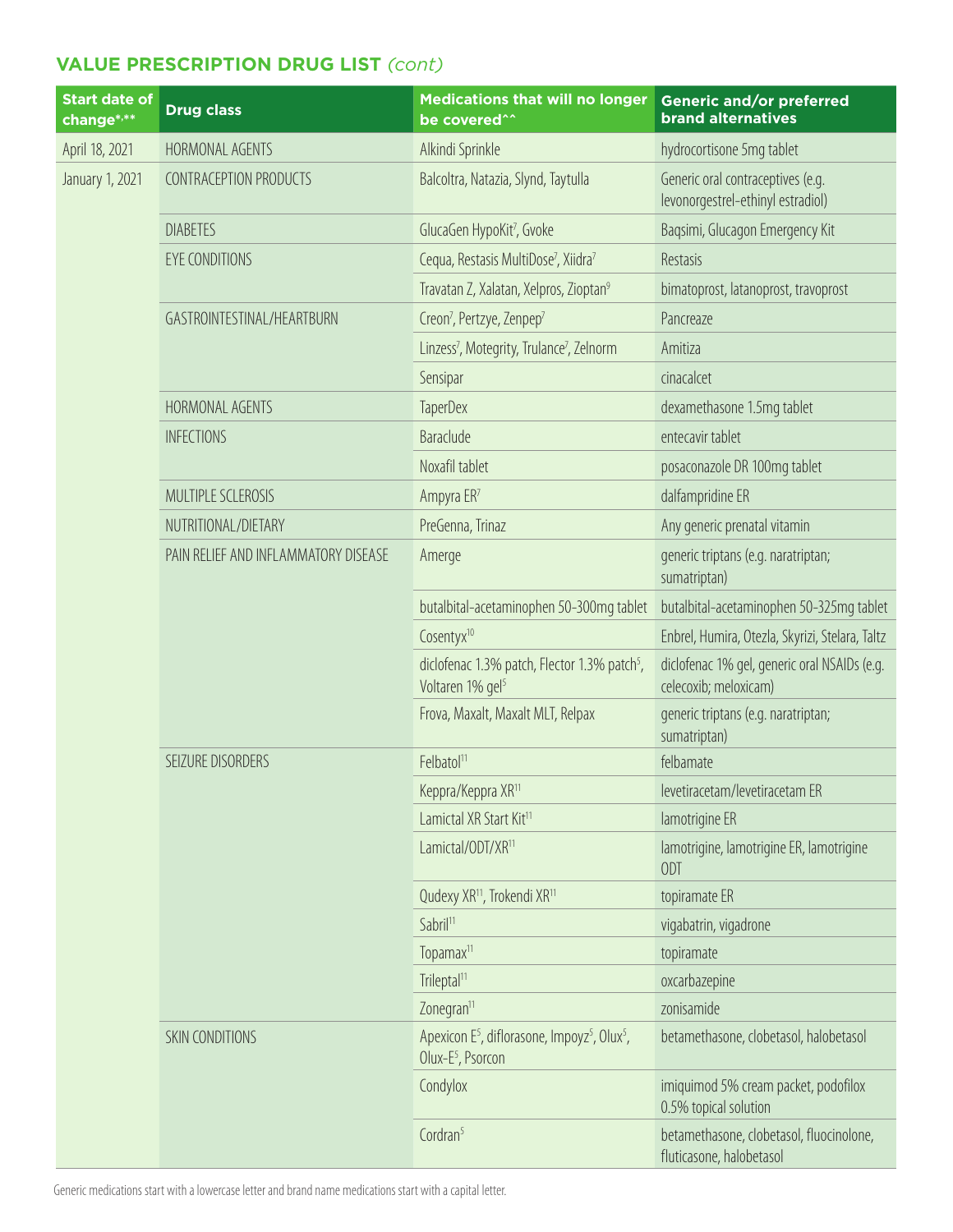#### **VALUE PRESCRIPTION DRUG LIST** *(cont)*

| <b>Start date of</b><br>change*,** | <b>Drug class</b>                    | <b>Medications that will no longer</b><br>be covered^^                                                            | <b>Generic and/or preferred</b><br><b>brand alternatives</b>           |
|------------------------------------|--------------------------------------|-------------------------------------------------------------------------------------------------------------------|------------------------------------------------------------------------|
| April 18, 2021                     | HORMONAL AGENTS                      | Alkindi Sprinkle                                                                                                  | hydrocortisone 5mg tablet                                              |
| January 1, 2021                    | CONTRACEPTION PRODUCTS               | Balcoltra, Natazia, Slynd, Taytulla                                                                               | Generic oral contraceptives (e.g.<br>levonorgestrel-ethinyl estradiol) |
|                                    | <b>DIABETES</b>                      | GlucaGen HypoKit <sup>7</sup> , Gvoke                                                                             | Bagsimi, Glucagon Emergency Kit                                        |
|                                    | <b>EYE CONDITIONS</b>                | Cequa, Restasis MultiDose <sup>7</sup> , Xiidra <sup>7</sup>                                                      | Restasis                                                               |
|                                    |                                      | Travatan Z, Xalatan, Xelpros, Zioptan <sup>9</sup>                                                                | bimatoprost, latanoprost, travoprost                                   |
|                                    | GASTROINTESTINAL/HEARTBURN           | Creon <sup>7</sup> , Pertzye, Zenpep <sup>7</sup>                                                                 | Pancreaze                                                              |
|                                    |                                      | Linzess <sup>7</sup> , Motegrity, Trulance <sup>7</sup> , Zelnorm                                                 | Amitiza                                                                |
|                                    |                                      | Sensipar                                                                                                          | cinacalcet                                                             |
|                                    | HORMONAL AGENTS                      | <b>TaperDex</b>                                                                                                   | dexamethasone 1.5mg tablet                                             |
|                                    | <b>INFECTIONS</b>                    | Baraclude                                                                                                         | entecavir tablet                                                       |
|                                    |                                      | Noxafil tablet                                                                                                    | posaconazole DR 100mg tablet                                           |
|                                    | MULTIPLE SCLEROSIS                   | Ampyra ER7                                                                                                        | dalfampridine ER                                                       |
|                                    | NUTRITIONAL/DIETARY                  | PreGenna, Trinaz                                                                                                  | Any generic prenatal vitamin                                           |
|                                    | PAIN RELIEF AND INFLAMMATORY DISEASE | Amerge                                                                                                            | generic triptans (e.g. naratriptan;<br>sumatriptan)                    |
|                                    |                                      | butalbital-acetaminophen 50-300mg tablet                                                                          | butalbital-acetaminophen 50-325mg tablet                               |
|                                    |                                      | Cosentyx <sup>10</sup>                                                                                            | Enbrel, Humira, Otezla, Skyrizi, Stelara, Taltz                        |
|                                    |                                      | diclofenac 1.3% patch, Flector 1.3% patch <sup>5</sup> ,<br>Voltaren 1% gel <sup>5</sup>                          | diclofenac 1% gel, generic oral NSAIDs (e.g.<br>celecoxib; meloxicam)  |
|                                    |                                      | Frova, Maxalt, Maxalt MLT, Relpax                                                                                 | generic triptans (e.g. naratriptan;<br>sumatriptan)                    |
|                                    | SEIZURE DISORDERS                    | Felbatol <sup>11</sup>                                                                                            | felbamate                                                              |
|                                    |                                      | Keppra/Keppra XR <sup>11</sup>                                                                                    | levetiracetam/levetiracetam ER                                         |
|                                    |                                      | Lamictal XR Start Kit <sup>11</sup>                                                                               | lamotrigine ER                                                         |
|                                    |                                      | Lamictal/ODT/XR <sup>11</sup>                                                                                     | lamotrigine, lamotrigine ER, lamotrigine<br><b>ODT</b>                 |
|                                    |                                      | Qudexy XR <sup>11</sup> , Trokendi XR <sup>11</sup>                                                               | topiramate ER                                                          |
|                                    |                                      | Sabril <sup>11</sup>                                                                                              | vigabatrin, vigadrone                                                  |
|                                    |                                      | Topamax <sup>11</sup>                                                                                             | topiramate                                                             |
|                                    |                                      | Trileptal <sup>11</sup>                                                                                           | oxcarbazepine                                                          |
|                                    |                                      | Zonegran <sup>11</sup>                                                                                            | zonisamide                                                             |
|                                    | <b>SKIN CONDITIONS</b>               | Apexicon E <sup>5</sup> , diflorasone, Impoyz <sup>5</sup> , Olux <sup>5</sup> ,<br>Olux-E <sup>5</sup> , Psorcon | betamethasone, clobetasol, halobetasol                                 |
|                                    |                                      | Condylox                                                                                                          | imiquimod 5% cream packet, podofilox<br>0.5% topical solution          |
|                                    |                                      | Cordran <sup>5</sup>                                                                                              | betamethasone, clobetasol, fluocinolone,<br>fluticasone, halobetasol   |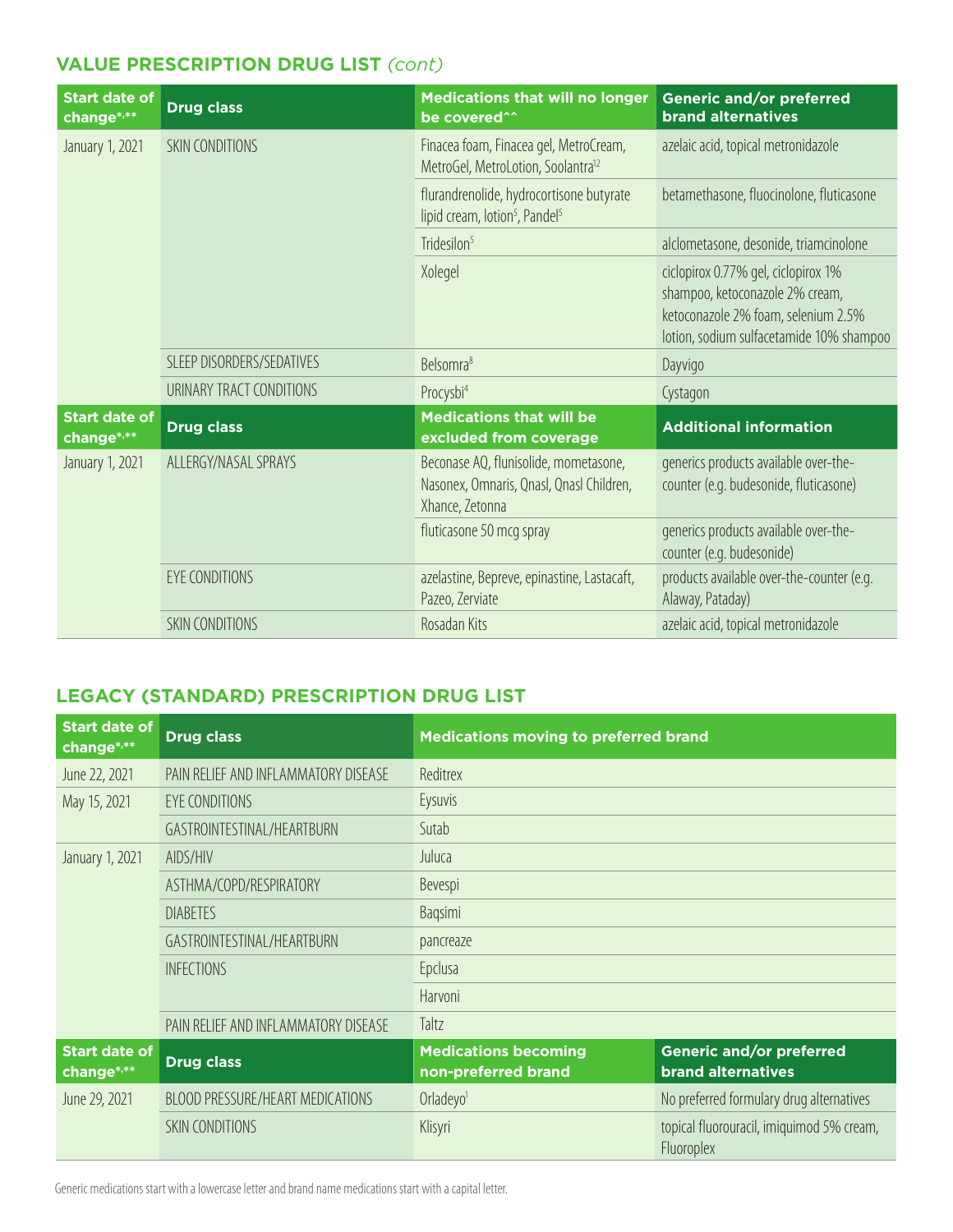#### **VALUE PRESCRIPTION DRUG LIST** *(cont)*

| <b>Start date of</b><br>change*,** | <b>Drug class</b>         | <b>Medications that will no longer</b><br>be covered <sup>^^</sup>                                   | <b>Generic and/or preferred</b><br><b>brand alternatives</b>                                                                                              |
|------------------------------------|---------------------------|------------------------------------------------------------------------------------------------------|-----------------------------------------------------------------------------------------------------------------------------------------------------------|
| January 1, 2021                    | <b>SKIN CONDITIONS</b>    | Finacea foam, Finacea gel, MetroCream,<br>MetroGel, MetroLotion, Soolantra <sup>12</sup>             | azelaic acid, topical metronidazole                                                                                                                       |
|                                    |                           | flurandrenolide, hydrocortisone butyrate<br>lipid cream, lotion <sup>5</sup> , Pandel <sup>5</sup>   | betamethasone, fluocinolone, fluticasone                                                                                                                  |
|                                    |                           | Tridesilon <sup>5</sup>                                                                              | alclometasone, desonide, triamcinolone                                                                                                                    |
|                                    |                           | Xolegel                                                                                              | ciclopirox 0.77% gel, ciclopirox 1%<br>shampoo, ketoconazole 2% cream,<br>ketoconazole 2% foam, selenium 2.5%<br>lotion, sodium sulfacetamide 10% shampoo |
|                                    | SLEEP DISORDERS/SEDATIVES | Belsomra <sup>8</sup>                                                                                | Dayvigo                                                                                                                                                   |
|                                    | URINARY TRACT CONDITIONS  | Procysbi <sup>4</sup>                                                                                | Cystagon                                                                                                                                                  |
| <b>Start date of</b><br>change*,** | <b>Drug class</b>         | <b>Medications that will be</b><br>excluded from coverage                                            | <b>Additional information</b>                                                                                                                             |
| January 1, 2021                    | ALLERGY/NASAL SPRAYS      | Beconase AQ, flunisolide, mometasone,<br>Nasonex, Omnaris, Qnasl, Qnasl Children,<br>Xhance, Zetonna | generics products available over-the-<br>counter (e.g. budesonide, fluticasone)                                                                           |
|                                    |                           | fluticasone 50 mcg spray                                                                             | generics products available over-the-<br>counter (e.g. budesonide)                                                                                        |
|                                    | <b>EYE CONDITIONS</b>     | azelastine, Bepreve, epinastine, Lastacaft,<br>Pazeo, Zerviate                                       | products available over-the-counter (e.g.<br>Alaway, Pataday)                                                                                             |
|                                    | <b>SKIN CONDITIONS</b>    | Rosadan Kits                                                                                         | azelaic acid, topical metronidazole                                                                                                                       |

# **LEGACY (STANDARD) PRESCRIPTION DRUG LIST**

| <b>Start date of</b><br>change*,** | <b>Drug class</b>                    | <b>Medications moving to preferred brand</b>       |                                                              |
|------------------------------------|--------------------------------------|----------------------------------------------------|--------------------------------------------------------------|
| June 22, 2021                      | PAIN RELIEF AND INFLAMMATORY DISEASE | Reditrex                                           |                                                              |
| May 15, 2021                       | EYE CONDITIONS                       | Eysuvis                                            |                                                              |
|                                    | GASTROINTESTINAL/HEARTBURN           | Sutab                                              |                                                              |
| January 1, 2021                    | AIDS/HIV                             | Juluca                                             |                                                              |
|                                    | ASTHMA/COPD/RESPIRATORY              | Bevespi                                            |                                                              |
|                                    | <b>DIABETES</b>                      | Baqsimi                                            |                                                              |
|                                    | GASTROINTESTINAL/HEARTBURN           | pancreaze                                          |                                                              |
|                                    | <b>INFECTIONS</b>                    | Epclusa                                            |                                                              |
|                                    |                                      | Harvoni                                            |                                                              |
|                                    | PAIN RELIEF AND INFLAMMATORY DISEASE | Taltz                                              |                                                              |
| <b>Start date of</b><br>change*,** | <b>Drug class</b>                    | <b>Medications becoming</b><br>non-preferred brand | <b>Generic and/or preferred</b><br><b>brand alternatives</b> |
| June 29, 2021                      | BLOOD PRESSURE/HEART MEDICATIONS     | Orladeyo <sup>1</sup>                              | No preferred formulary drug alternatives                     |
|                                    | <b>SKIN CONDITIONS</b>               | Klisyri                                            | topical fluorouracil, imiquimod 5% cream,<br>Fluoroplex      |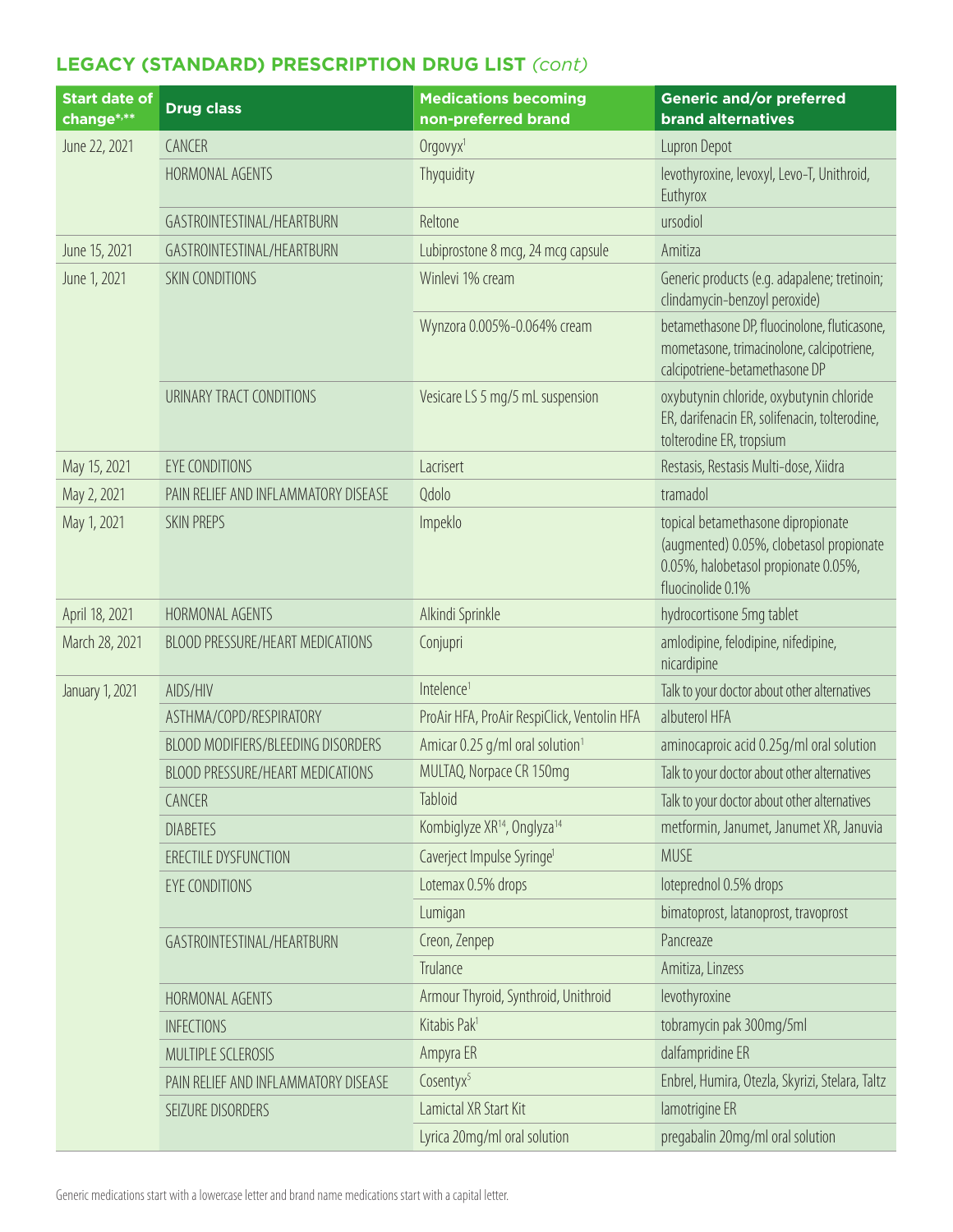# **LEGACY (STANDARD) PRESCRIPTION DRUG LIST** *(cont)*

| <b>Start date of</b><br>change*,** | <b>Drug class</b>                       | <b>Medications becoming</b><br>non-preferred brand  | <b>Generic and/or preferred</b><br><b>brand alternatives</b>                                                                                |
|------------------------------------|-----------------------------------------|-----------------------------------------------------|---------------------------------------------------------------------------------------------------------------------------------------------|
| June 22, 2021                      | CANCER                                  | $O$ rgovyx $1$                                      | Lupron Depot                                                                                                                                |
|                                    | HORMONAL AGENTS                         | Thyquidity                                          | levothyroxine, levoxyl, Levo-T, Unithroid,<br>Euthyrox                                                                                      |
|                                    | GASTROINTESTINAL/HEARTBURN              | Reltone                                             | ursodiol                                                                                                                                    |
| June 15, 2021                      | GASTROINTESTINAL/HEARTBURN              | Lubiprostone 8 mcg, 24 mcg capsule                  | Amitiza                                                                                                                                     |
| June 1, 2021                       | <b>SKIN CONDITIONS</b>                  | Winlevi 1% cream                                    | Generic products (e.g. adapalene; tretinoin;<br>clindamycin-benzoyl peroxide)                                                               |
|                                    |                                         | Wynzora 0.005%-0.064% cream                         | betamethasone DP, fluocinolone, fluticasone,<br>mometasone, trimacinolone, calcipotriene,<br>calcipotriene-betamethasone DP                 |
|                                    | URINARY TRACT CONDITIONS                | Vesicare LS 5 mg/5 mL suspension                    | oxybutynin chloride, oxybutynin chloride<br>ER, darifenacin ER, solifenacin, tolterodine,<br>tolterodine ER, tropsium                       |
| May 15, 2021                       | EYE CONDITIONS                          | Lacrisert                                           | Restasis, Restasis Multi-dose, Xiidra                                                                                                       |
| May 2, 2021                        | PAIN RELIEF AND INFLAMMATORY DISEASE    | Qdolo                                               | tramadol                                                                                                                                    |
| May 1, 2021                        | <b>SKIN PREPS</b>                       | Impeklo                                             | topical betamethasone dipropionate<br>(augmented) 0.05%, clobetasol propionate<br>0.05%, halobetasol propionate 0.05%,<br>fluocinolide 0.1% |
| April 18, 2021                     | HORMONAL AGENTS                         | Alkindi Sprinkle                                    | hydrocortisone 5mg tablet                                                                                                                   |
| March 28, 2021                     | <b>BLOOD PRESSURE/HEART MEDICATIONS</b> | Conjupri                                            | amlodipine, felodipine, nifedipine,<br>nicardipine                                                                                          |
| January 1, 2021                    | AIDS/HIV                                | Intelence <sup>1</sup>                              | Talk to your doctor about other alternatives                                                                                                |
|                                    | ASTHMA/COPD/RESPIRATORY                 | ProAir HFA, ProAir RespiClick, Ventolin HFA         | albuterol HFA                                                                                                                               |
|                                    | BLOOD MODIFIERS/BLEEDING DISORDERS      | Amicar 0.25 g/ml oral solution <sup>1</sup>         | aminocaproic acid 0.25g/ml oral solution                                                                                                    |
|                                    | <b>BLOOD PRESSURE/HEART MEDICATIONS</b> | MULTAQ, Norpace CR 150mg                            | Talk to your doctor about other alternatives                                                                                                |
|                                    | CANCER                                  | Tabloid                                             | Talk to your doctor about other alternatives                                                                                                |
|                                    | <b>DIABETES</b>                         | Kombiglyze XR <sup>14</sup> , Onglyza <sup>14</sup> | metformin, Janumet, Janumet XR, Januvia                                                                                                     |
|                                    | ERECTILE DYSFUNCTION                    | Caverject Impulse Syringe <sup>1</sup>              | <b>MUSE</b>                                                                                                                                 |
|                                    | EYE CONDITIONS                          | Lotemax 0.5% drops                                  | loteprednol 0.5% drops                                                                                                                      |
|                                    |                                         | Lumigan                                             | bimatoprost, latanoprost, travoprost                                                                                                        |
|                                    | GASTROINTESTINAL/HEARTBURN              | Creon, Zenpep                                       | Pancreaze                                                                                                                                   |
|                                    |                                         | Trulance                                            | Amitiza, Linzess                                                                                                                            |
|                                    | HORMONAL AGENTS                         | Armour Thyroid, Synthroid, Unithroid                | levothyroxine                                                                                                                               |
|                                    | <b>INFECTIONS</b>                       | Kitabis Pak <sup>1</sup>                            | tobramycin pak 300mg/5ml                                                                                                                    |
|                                    | MULTIPLE SCLEROSIS                      | Ampyra ER                                           | dalfampridine ER                                                                                                                            |
|                                    | PAIN RELIEF AND INFLAMMATORY DISEASE    | Cosentyx <sup>5</sup>                               | Enbrel, Humira, Otezla, Skyrizi, Stelara, Taltz                                                                                             |
|                                    | SEIZURE DISORDERS                       | Lamictal XR Start Kit                               | lamotrigine ER                                                                                                                              |
|                                    |                                         | Lyrica 20mg/ml oral solution                        | pregabalin 20mg/ml oral solution                                                                                                            |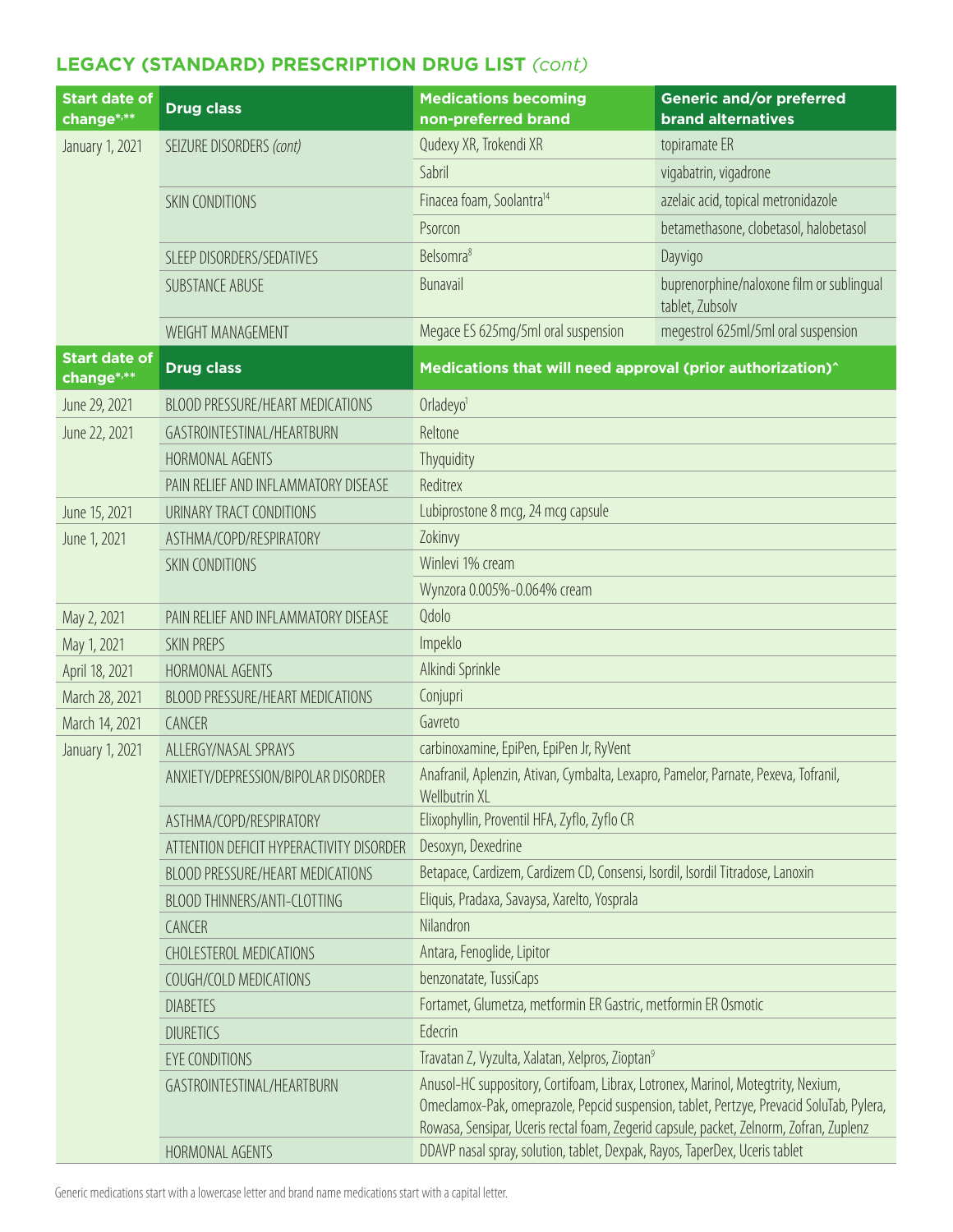# **LEGACY (STANDARD) PRESCRIPTION DRUG LIST** *(cont)*

| <b>Start date of</b><br>change*,** | <b>Drug class</b>                        | <b>Medications becoming</b><br>non-preferred brand                                                                                                                                                                                                                      | <b>Generic and/or preferred</b><br><b>brand alternatives</b> |  |
|------------------------------------|------------------------------------------|-------------------------------------------------------------------------------------------------------------------------------------------------------------------------------------------------------------------------------------------------------------------------|--------------------------------------------------------------|--|
| January 1, 2021                    | SEIZURE DISORDERS (cont)                 | Qudexy XR, Trokendi XR                                                                                                                                                                                                                                                  | topiramate ER                                                |  |
|                                    |                                          | Sabril                                                                                                                                                                                                                                                                  | vigabatrin, vigadrone                                        |  |
|                                    | SKIN CONDITIONS                          | Finacea foam, Soolantra <sup>14</sup>                                                                                                                                                                                                                                   | azelaic acid, topical metronidazole                          |  |
|                                    |                                          | Psorcon                                                                                                                                                                                                                                                                 | betamethasone, clobetasol, halobetasol                       |  |
|                                    | SLEEP DISORDERS/SEDATIVES                | Belsomra <sup>8</sup>                                                                                                                                                                                                                                                   | Dayvigo                                                      |  |
|                                    | <b>SUBSTANCE ABUSE</b>                   | Bunavail                                                                                                                                                                                                                                                                | buprenorphine/naloxone film or sublingual<br>tablet, Zubsolv |  |
|                                    | <b>WEIGHT MANAGEMENT</b>                 | Megace ES 625mg/5ml oral suspension                                                                                                                                                                                                                                     | megestrol 625ml/5ml oral suspension                          |  |
| <b>Start date of</b><br>change*,** | <b>Drug class</b>                        | Medications that will need approval (prior authorization)^                                                                                                                                                                                                              |                                                              |  |
| June 29, 2021                      | <b>BLOOD PRESSURE/HEART MEDICATIONS</b>  | Orladeyo <sup>1</sup>                                                                                                                                                                                                                                                   |                                                              |  |
| June 22, 2021                      | GASTROINTESTINAL/HEARTBURN               | Reltone                                                                                                                                                                                                                                                                 |                                                              |  |
|                                    | HORMONAL AGENTS                          | Thyquidity                                                                                                                                                                                                                                                              |                                                              |  |
|                                    | PAIN RELIEF AND INFLAMMATORY DISEASE     | Reditrex                                                                                                                                                                                                                                                                |                                                              |  |
| June 15, 2021                      | URINARY TRACT CONDITIONS                 | Lubiprostone 8 mcg, 24 mcg capsule                                                                                                                                                                                                                                      |                                                              |  |
| June 1, 2021                       | ASTHMA/COPD/RESPIRATORY                  | Zokinvy                                                                                                                                                                                                                                                                 |                                                              |  |
|                                    | SKIN CONDITIONS                          | Winlevi 1% cream                                                                                                                                                                                                                                                        |                                                              |  |
|                                    |                                          | Wynzora 0.005%-0.064% cream                                                                                                                                                                                                                                             |                                                              |  |
| May 2, 2021                        | PAIN RELIEF AND INFLAMMATORY DISEASE     | Qdolo                                                                                                                                                                                                                                                                   |                                                              |  |
| May 1, 2021                        | <b>SKIN PREPS</b>                        | Impeklo                                                                                                                                                                                                                                                                 |                                                              |  |
| April 18, 2021                     | HORMONAL AGENTS                          | Alkindi Sprinkle                                                                                                                                                                                                                                                        |                                                              |  |
| March 28, 2021                     | <b>BLOOD PRESSURE/HEART MEDICATIONS</b>  | Conjupri                                                                                                                                                                                                                                                                |                                                              |  |
| March 14, 2021                     | CANCER                                   | Gavreto                                                                                                                                                                                                                                                                 |                                                              |  |
| January 1, 2021                    | ALLERGY/NASAL SPRAYS                     | carbinoxamine, EpiPen, EpiPen Jr, RyVent                                                                                                                                                                                                                                |                                                              |  |
|                                    | ANXIETY/DEPRESSION/BIPOLAR DISORDER      | Anafranil, Aplenzin, Ativan, Cymbalta, Lexapro, Pamelor, Parnate, Pexeva, Tofranil,<br>Wellbutrin XL                                                                                                                                                                    |                                                              |  |
|                                    | ASTHMA/COPD/RESPIRATORY                  | Elixophyllin, Proventil HFA, Zyflo, Zyflo CR                                                                                                                                                                                                                            |                                                              |  |
|                                    | ATTENTION DEFICIT HYPERACTIVITY DISORDER | Desoxyn, Dexedrine                                                                                                                                                                                                                                                      |                                                              |  |
|                                    | BLOOD PRESSURE/HEART MEDICATIONS         | Betapace, Cardizem, Cardizem CD, Consensi, Isordil, Isordil Titradose, Lanoxin                                                                                                                                                                                          |                                                              |  |
|                                    | BLOOD THINNERS/ANTI-CLOTTING             | Eliquis, Pradaxa, Savaysa, Xarelto, Yosprala                                                                                                                                                                                                                            |                                                              |  |
|                                    | CANCER                                   | Nilandron                                                                                                                                                                                                                                                               |                                                              |  |
|                                    | <b>CHOLESTEROL MEDICATIONS</b>           | Antara, Fenoglide, Lipitor                                                                                                                                                                                                                                              |                                                              |  |
|                                    | COUGH/COLD MEDICATIONS                   | benzonatate, TussiCaps                                                                                                                                                                                                                                                  |                                                              |  |
|                                    | <b>DIABETES</b>                          | Fortamet, Glumetza, metformin ER Gastric, metformin ER Osmotic                                                                                                                                                                                                          |                                                              |  |
|                                    | <b>DIURETICS</b>                         | Edecrin                                                                                                                                                                                                                                                                 |                                                              |  |
|                                    | <b>EYE CONDITIONS</b>                    | Travatan Z, Vyzulta, Xalatan, Xelpros, Zioptan <sup>9</sup>                                                                                                                                                                                                             |                                                              |  |
|                                    | GASTROINTESTINAL/HEARTBURN               | Anusol-HC suppository, Cortifoam, Librax, Lotronex, Marinol, Motegtrity, Nexium,<br>Omeclamox-Pak, omeprazole, Pepcid suspension, tablet, Pertzye, Prevacid SoluTab, Pylera,<br>Rowasa, Sensipar, Uceris rectal foam, Zegerid capsule, packet, Zelnorm, Zofran, Zuplenz |                                                              |  |
|                                    | HORMONAL AGENTS                          | DDAVP nasal spray, solution, tablet, Dexpak, Rayos, TaperDex, Uceris tablet                                                                                                                                                                                             |                                                              |  |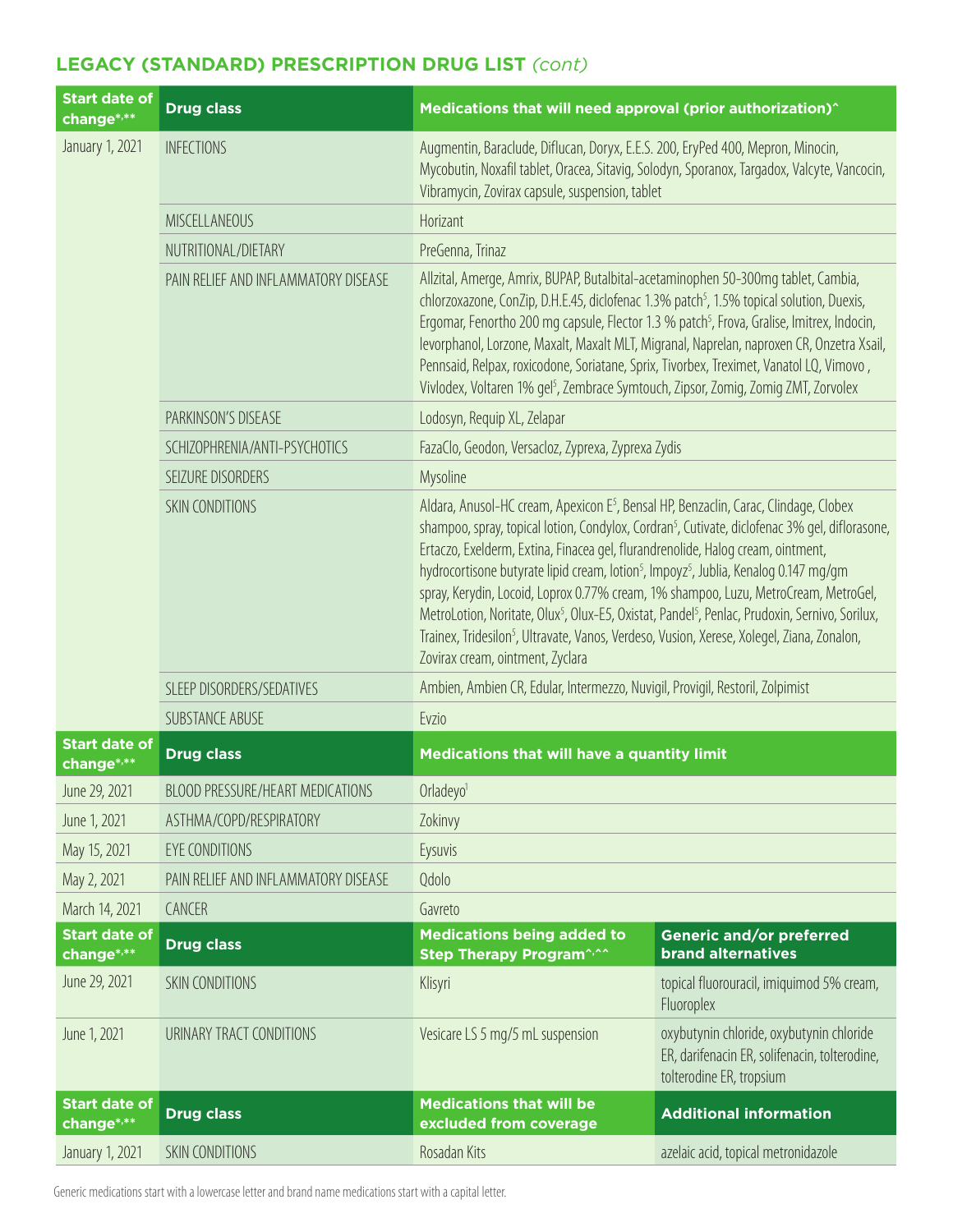# **LEGACY (STANDARD) PRESCRIPTION DRUG LIST** *(cont)*

| <b>Start date of</b><br>change*,** | <b>Drug class</b>                    | Medications that will need approval (prior authorization)^                                                                                                                                                                                                                                                                                                                                                                                                                                                                                                                                                                                                                                                                                                                                                                                                                 |                                                                                                                       |
|------------------------------------|--------------------------------------|----------------------------------------------------------------------------------------------------------------------------------------------------------------------------------------------------------------------------------------------------------------------------------------------------------------------------------------------------------------------------------------------------------------------------------------------------------------------------------------------------------------------------------------------------------------------------------------------------------------------------------------------------------------------------------------------------------------------------------------------------------------------------------------------------------------------------------------------------------------------------|-----------------------------------------------------------------------------------------------------------------------|
| January 1, 2021                    | <b>INFECTIONS</b>                    | Augmentin, Baraclude, Diflucan, Doryx, E.E.S. 200, EryPed 400, Mepron, Minocin,<br>Vibramycin, Zovirax capsule, suspension, tablet                                                                                                                                                                                                                                                                                                                                                                                                                                                                                                                                                                                                                                                                                                                                         | Mycobutin, Noxafil tablet, Oracea, Sitavig, Solodyn, Sporanox, Targadox, Valcyte, Vancocin,                           |
|                                    | <b>MISCELLANEOUS</b>                 | Horizant                                                                                                                                                                                                                                                                                                                                                                                                                                                                                                                                                                                                                                                                                                                                                                                                                                                                   |                                                                                                                       |
|                                    | NUTRITIONAL/DIETARY                  | PreGenna, Trinaz                                                                                                                                                                                                                                                                                                                                                                                                                                                                                                                                                                                                                                                                                                                                                                                                                                                           |                                                                                                                       |
|                                    | PAIN RELIEF AND INFLAMMATORY DISEASE | Allzital, Amerge, Amrix, BUPAP, Butalbital-acetaminophen 50-300mg tablet, Cambia,<br>chlorzoxazone, ConZip, D.H.E.45, diclofenac 1.3% patch <sup>5</sup> , 1.5% topical solution, Duexis,<br>Ergomar, Fenortho 200 mg capsule, Flector 1.3 % patch <sup>5</sup> , Frova, Gralise, Imitrex, Indocin,<br>levorphanol, Lorzone, Maxalt, Maxalt MLT, Migranal, Naprelan, naproxen CR, Onzetra Xsail,<br>Pennsaid, Relpax, roxicodone, Soriatane, Sprix, Tivorbex, Treximet, Vanatol LQ, Vimovo,<br>Vivlodex, Voltaren 1% gel <sup>5</sup> , Zembrace Symtouch, Zipsor, Zomig, Zomig ZMT, Zorvolex                                                                                                                                                                                                                                                                              |                                                                                                                       |
|                                    | PARKINSON'S DISEASE                  | Lodosyn, Requip XL, Zelapar                                                                                                                                                                                                                                                                                                                                                                                                                                                                                                                                                                                                                                                                                                                                                                                                                                                |                                                                                                                       |
|                                    | SCHIZOPHRENIA/ANTI-PSYCHOTICS        | FazaClo, Geodon, Versacloz, Zyprexa, Zyprexa Zydis                                                                                                                                                                                                                                                                                                                                                                                                                                                                                                                                                                                                                                                                                                                                                                                                                         |                                                                                                                       |
|                                    | SEIZURE DISORDERS                    | Mysoline                                                                                                                                                                                                                                                                                                                                                                                                                                                                                                                                                                                                                                                                                                                                                                                                                                                                   |                                                                                                                       |
|                                    | <b>SKIN CONDITIONS</b>               | Aldara, Anusol-HC cream, Apexicon E <sup>5</sup> , Bensal HP, Benzaclin, Carac, Clindage, Clobex<br>shampoo, spray, topical lotion, Condylox, Cordran <sup>5</sup> , Cutivate, diclofenac 3% gel, diflorasone,<br>Ertaczo, Exelderm, Extina, Finacea gel, flurandrenolide, Halog cream, ointment,<br>hydrocortisone butyrate lipid cream, lotion <sup>5</sup> , Impoyz <sup>5</sup> , Jublia, Kenalog 0.147 mg/gm<br>spray, Kerydin, Locoid, Loprox 0.77% cream, 1% shampoo, Luzu, MetroCream, MetroGel,<br>MetroLotion, Noritate, Olux <sup>5</sup> , Olux-E5, Oxistat, Pandel <sup>5</sup> , Penlac, Prudoxin, Sernivo, Sorilux,<br>Trainex, Tridesilon <sup>5</sup> , Ultravate, Vanos, Verdeso, Vusion, Xerese, Xolegel, Ziana, Zonalon,<br>Zovirax cream, ointment, Zyclara<br>Ambien, Ambien CR, Edular, Intermezzo, Nuvigil, Provigil, Restoril, Zolpimist<br>Evzio |                                                                                                                       |
|                                    | SLEEP DISORDERS/SEDATIVES            |                                                                                                                                                                                                                                                                                                                                                                                                                                                                                                                                                                                                                                                                                                                                                                                                                                                                            |                                                                                                                       |
|                                    | <b>SUBSTANCE ABUSE</b>               |                                                                                                                                                                                                                                                                                                                                                                                                                                                                                                                                                                                                                                                                                                                                                                                                                                                                            |                                                                                                                       |
| <b>Start date of</b><br>change*,** | <b>Drug class</b>                    | Medications that will have a quantity limit                                                                                                                                                                                                                                                                                                                                                                                                                                                                                                                                                                                                                                                                                                                                                                                                                                |                                                                                                                       |
| June 29, 2021                      | BLOOD PRESSURE/HEART MEDICATIONS     | Orladeyo <sup>1</sup>                                                                                                                                                                                                                                                                                                                                                                                                                                                                                                                                                                                                                                                                                                                                                                                                                                                      |                                                                                                                       |
| June 1, 2021                       | ASTHMA/COPD/RESPIRATORY              | Zokinvy                                                                                                                                                                                                                                                                                                                                                                                                                                                                                                                                                                                                                                                                                                                                                                                                                                                                    |                                                                                                                       |
| May 15, 2021                       | <b>EYE CONDITIONS</b>                | Eysuvis                                                                                                                                                                                                                                                                                                                                                                                                                                                                                                                                                                                                                                                                                                                                                                                                                                                                    |                                                                                                                       |
| May 2, 2021                        | PAIN RELIEF AND INFLAMMATORY DISEASE | Qdolo                                                                                                                                                                                                                                                                                                                                                                                                                                                                                                                                                                                                                                                                                                                                                                                                                                                                      |                                                                                                                       |
| March 14, 2021                     | CANCER                               | Gavreto                                                                                                                                                                                                                                                                                                                                                                                                                                                                                                                                                                                                                                                                                                                                                                                                                                                                    |                                                                                                                       |
| <b>Start date of</b><br>change*,** | <b>Drug class</b>                    | <b>Medications being added to</b><br><b>Step Therapy Program^^^</b>                                                                                                                                                                                                                                                                                                                                                                                                                                                                                                                                                                                                                                                                                                                                                                                                        | <b>Generic and/or preferred</b><br><b>brand alternatives</b>                                                          |
| June 29, 2021                      | SKIN CONDITIONS                      | Klisyri                                                                                                                                                                                                                                                                                                                                                                                                                                                                                                                                                                                                                                                                                                                                                                                                                                                                    | topical fluorouracil, imiquimod 5% cream,<br>Fluoroplex                                                               |
| June 1, 2021                       | URINARY TRACT CONDITIONS             | Vesicare LS 5 mg/5 mL suspension                                                                                                                                                                                                                                                                                                                                                                                                                                                                                                                                                                                                                                                                                                                                                                                                                                           | oxybutynin chloride, oxybutynin chloride<br>ER, darifenacin ER, solifenacin, tolterodine,<br>tolterodine ER, tropsium |
| <b>Start date of</b><br>change*,** | <b>Drug class</b>                    | <b>Medications that will be</b><br>excluded from coverage                                                                                                                                                                                                                                                                                                                                                                                                                                                                                                                                                                                                                                                                                                                                                                                                                  | <b>Additional information</b>                                                                                         |
| January 1, 2021                    | SKIN CONDITIONS                      | Rosadan Kits                                                                                                                                                                                                                                                                                                                                                                                                                                                                                                                                                                                                                                                                                                                                                                                                                                                               | azelaic acid, topical metronidazole                                                                                   |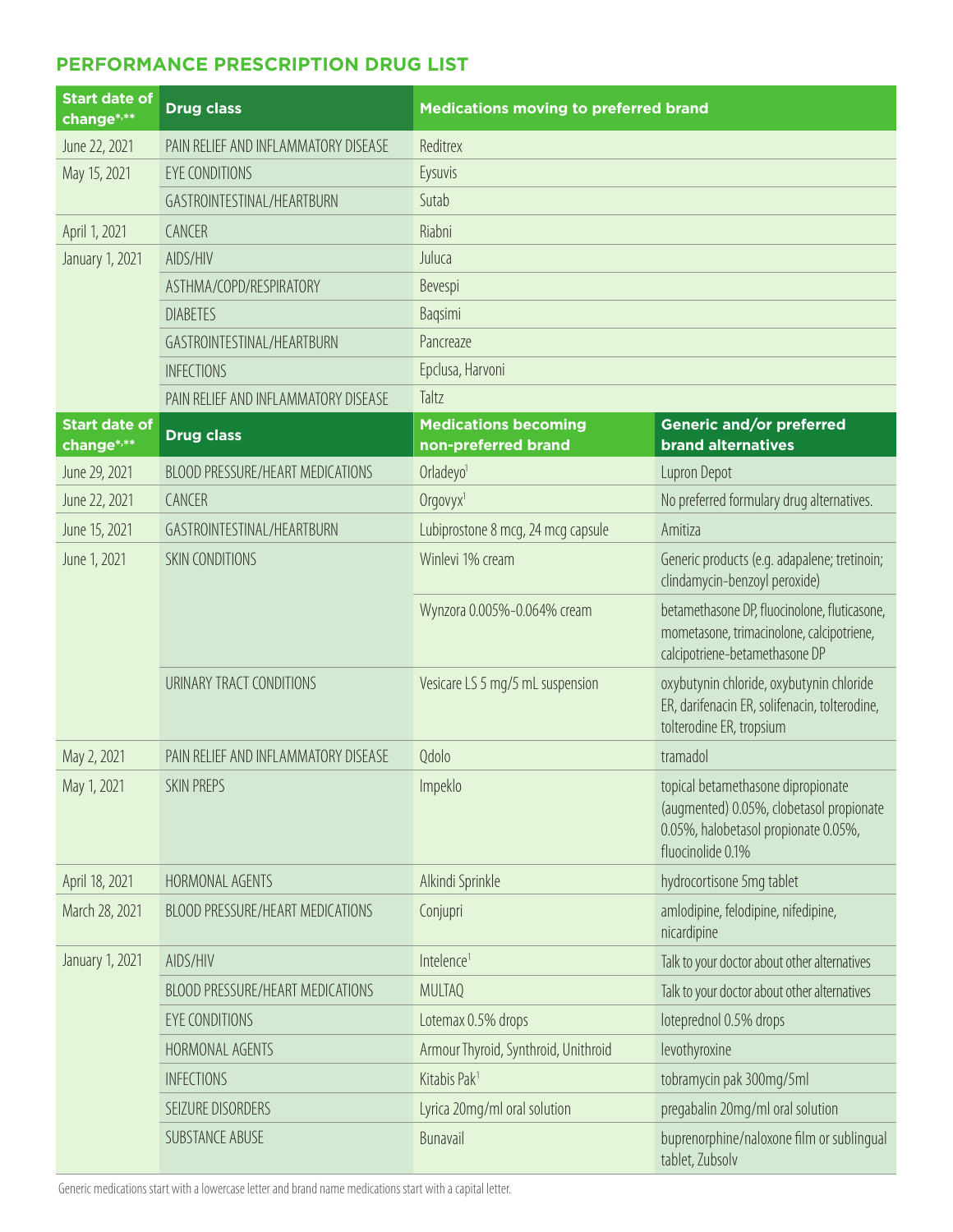#### **PERFORMANCE PRESCRIPTION DRUG LIST**

| <b>Start date of</b><br>change*,** | <b>Drug class</b>                       | <b>Medications moving to preferred brand</b>       |                                                                                                                                             |
|------------------------------------|-----------------------------------------|----------------------------------------------------|---------------------------------------------------------------------------------------------------------------------------------------------|
| June 22, 2021                      | PAIN RELIEF AND INFLAMMATORY DISEASE    | Reditrex                                           |                                                                                                                                             |
| May 15, 2021                       | EYE CONDITIONS                          | Eysuvis                                            |                                                                                                                                             |
|                                    | GASTROINTESTINAL/HEARTBURN              | Sutab                                              |                                                                                                                                             |
| April 1, 2021                      | CANCER                                  | Riabni                                             |                                                                                                                                             |
| January 1, 2021                    | AIDS/HIV                                | Juluca                                             |                                                                                                                                             |
|                                    | ASTHMA/COPD/RESPIRATORY                 | Bevespi                                            |                                                                                                                                             |
|                                    | <b>DIABETES</b>                         | Bagsimi                                            |                                                                                                                                             |
|                                    | GASTROINTESTINAL/HEARTBURN              | Pancreaze                                          |                                                                                                                                             |
|                                    | <b>INFECTIONS</b>                       | Epclusa, Harvoni                                   |                                                                                                                                             |
|                                    | PAIN RELIEF AND INFLAMMATORY DISEASE    | Taltz                                              |                                                                                                                                             |
| <b>Start date of</b><br>change*,** | <b>Drug class</b>                       | <b>Medications becoming</b><br>non-preferred brand | <b>Generic and/or preferred</b><br><b>brand alternatives</b>                                                                                |
| June 29, 2021                      | <b>BLOOD PRESSURE/HEART MEDICATIONS</b> | Orladeyo <sup>1</sup>                              | Lupron Depot                                                                                                                                |
| June 22, 2021                      | CANCER                                  | Orgovyx <sup>1</sup>                               | No preferred formulary drug alternatives.                                                                                                   |
| June 15, 2021                      | GASTROINTESTINAL/HEARTBURN              | Lubiprostone 8 mcg, 24 mcg capsule                 | Amitiza                                                                                                                                     |
| June 1, 2021                       | <b>SKIN CONDITIONS</b>                  | Winlevi 1% cream                                   | Generic products (e.g. adapalene; tretinoin;<br>clindamycin-benzoyl peroxide)                                                               |
|                                    |                                         | Wynzora 0.005%-0.064% cream                        | betamethasone DP, fluocinolone, fluticasone,<br>mometasone, trimacinolone, calcipotriene,<br>calcipotriene-betamethasone DP                 |
|                                    | URINARY TRACT CONDITIONS                | Vesicare LS 5 mg/5 mL suspension                   | oxybutynin chloride, oxybutynin chloride<br>ER, darifenacin ER, solifenacin, tolterodine,<br>tolterodine ER, tropsium                       |
| May 2, 2021                        | PAIN RELIEF AND INFLAMMATORY DISEASE    | Qdolo                                              | tramadol                                                                                                                                    |
| May 1, 2021                        | SKIN PREPS                              | Impeklo                                            | topical betamethasone dipropionate<br>(augmented) 0.05%, clobetasol propionate<br>0.05%, halobetasol propionate 0.05%,<br>fluocinolide 0.1% |
| April 18, 2021                     | HORMONAL AGENTS                         | Alkindi Sprinkle                                   | hydrocortisone 5mg tablet                                                                                                                   |
| March 28, 2021                     | <b>BLOOD PRESSURE/HEART MEDICATIONS</b> | Conjupri                                           | amlodipine, felodipine, nifedipine,<br>nicardipine                                                                                          |
| January 1, 2021                    | AIDS/HIV                                | Intelence <sup>1</sup>                             | Talk to your doctor about other alternatives                                                                                                |
|                                    | <b>BLOOD PRESSURE/HEART MEDICATIONS</b> | <b>MULTAQ</b>                                      | Talk to your doctor about other alternatives                                                                                                |
|                                    | EYE CONDITIONS                          | Lotemax 0.5% drops                                 | loteprednol 0.5% drops                                                                                                                      |
|                                    | HORMONAL AGENTS                         | Armour Thyroid, Synthroid, Unithroid               | levothyroxine                                                                                                                               |
|                                    | <b>INFECTIONS</b>                       | Kitabis Pak <sup>1</sup>                           | tobramycin pak 300mg/5ml                                                                                                                    |
|                                    | SEIZURE DISORDERS                       | Lyrica 20mg/ml oral solution                       | pregabalin 20mg/ml oral solution                                                                                                            |
|                                    | <b>SUBSTANCE ABUSE</b>                  | Bunavail                                           | buprenorphine/naloxone film or sublingual<br>tablet, Zubsolv                                                                                |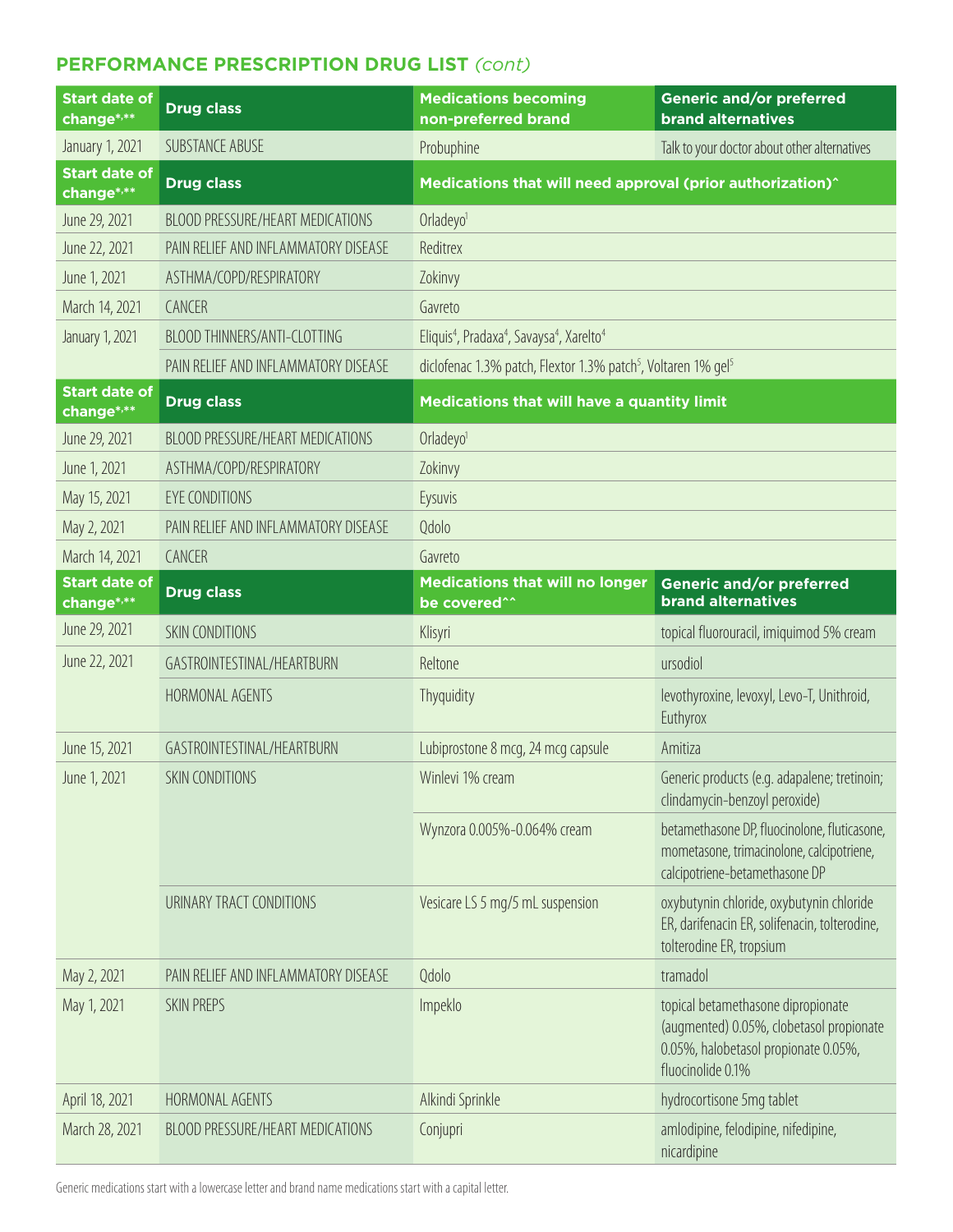#### **PERFORMANCE PRESCRIPTION DRUG LIST** *(cont)*

| <b>Start date of</b><br>change*,** | <b>Drug class</b>                       | <b>Medications becoming</b><br>non-preferred brand                                        | <b>Generic and/or preferred</b><br><b>brand alternatives</b>                                                                                |
|------------------------------------|-----------------------------------------|-------------------------------------------------------------------------------------------|---------------------------------------------------------------------------------------------------------------------------------------------|
| January 1, 2021                    | <b>SUBSTANCE ABUSE</b>                  | Probuphine                                                                                | Talk to your doctor about other alternatives                                                                                                |
| <b>Start date of</b><br>change*,** | <b>Drug class</b>                       | Medications that will need approval (prior authorization)^                                |                                                                                                                                             |
| June 29, 2021                      | <b>BLOOD PRESSURE/HEART MEDICATIONS</b> | Orladeyo <sup>1</sup>                                                                     |                                                                                                                                             |
| June 22, 2021                      | PAIN RELIEF AND INFLAMMATORY DISEASE    | Reditrex                                                                                  |                                                                                                                                             |
| June 1, 2021                       | ASTHMA/COPD/RESPIRATORY                 | Zokinvy                                                                                   |                                                                                                                                             |
| March 14, 2021                     | CANCER                                  | Gavreto                                                                                   |                                                                                                                                             |
| January 1, 2021                    | BLOOD THINNERS/ANTI-CLOTTING            | Eliquis <sup>4</sup> , Pradaxa <sup>4</sup> , Savaysa <sup>4</sup> , Xarelto <sup>4</sup> |                                                                                                                                             |
|                                    | PAIN RELIEF AND INFLAMMATORY DISEASE    | diclofenac 1.3% patch, Flextor 1.3% patch <sup>5</sup> , Voltaren 1% gel <sup>5</sup>     |                                                                                                                                             |
| <b>Start date of</b><br>change*,** | <b>Drug class</b>                       | Medications that will have a quantity limit                                               |                                                                                                                                             |
| June 29, 2021                      | <b>BLOOD PRESSURE/HEART MEDICATIONS</b> | Orladeyo <sup>1</sup>                                                                     |                                                                                                                                             |
| June 1, 2021                       | ASTHMA/COPD/RESPIRATORY                 | Zokinvy                                                                                   |                                                                                                                                             |
| May 15, 2021                       | <b>EYE CONDITIONS</b>                   | Eysuvis                                                                                   |                                                                                                                                             |
| May 2, 2021                        | PAIN RELIEF AND INFLAMMATORY DISEASE    | Qdolo                                                                                     |                                                                                                                                             |
| March 14, 2021                     | CANCER                                  | Gavreto                                                                                   |                                                                                                                                             |
| <b>Start date of</b><br>change*,** | <b>Drug class</b>                       | <b>Medications that will no longer</b><br>be covered^^                                    | <b>Generic and/or preferred</b><br><b>brand alternatives</b>                                                                                |
| June 29, 2021                      | <b>SKIN CONDITIONS</b>                  | Klisyri                                                                                   | topical fluorouracil, imiquimod 5% cream                                                                                                    |
| June 22, 2021                      | GASTROINTESTINAL/HEARTBURN              | Reltone                                                                                   | ursodiol                                                                                                                                    |
|                                    | HORMONAL AGENTS                         | Thyquidity                                                                                | levothyroxine, levoxyl, Levo-T, Unithroid,<br>Euthyrox                                                                                      |
| June 15, 2021                      | GASTROINTESTINAL/HEARTBURN              | Lubiprostone 8 mcg, 24 mcg capsule                                                        | Amitiza                                                                                                                                     |
| June 1, 2021                       | SKIN CONDITIONS                         | Winlevi 1% cream                                                                          | Generic products (e.g. adapalene; tretinoin;<br>clindamycin-benzoyl peroxide)                                                               |
|                                    |                                         | Wynzora 0.005%-0.064% cream                                                               | betamethasone DP, fluocinolone, fluticasone,<br>mometasone, trimacinolone, calcipotriene,<br>calcipotriene-betamethasone DP                 |
|                                    | URINARY TRACT CONDITIONS                | Vesicare LS 5 mg/5 mL suspension                                                          | oxybutynin chloride, oxybutynin chloride<br>ER, darifenacin ER, solifenacin, tolterodine,<br>tolterodine ER, tropsium                       |
| May 2, 2021                        | PAIN RELIEF AND INFLAMMATORY DISEASE    | Qdolo                                                                                     | tramadol                                                                                                                                    |
| May 1, 2021                        | <b>SKIN PREPS</b>                       | Impeklo                                                                                   | topical betamethasone dipropionate<br>(augmented) 0.05%, clobetasol propionate<br>0.05%, halobetasol propionate 0.05%,<br>fluocinolide 0.1% |
| April 18, 2021                     | HORMONAL AGENTS                         | Alkindi Sprinkle                                                                          | hydrocortisone 5mg tablet                                                                                                                   |
| March 28, 2021                     | BLOOD PRESSURE/HEART MEDICATIONS        | Conjupri                                                                                  | amlodipine, felodipine, nifedipine,<br>nicardipine                                                                                          |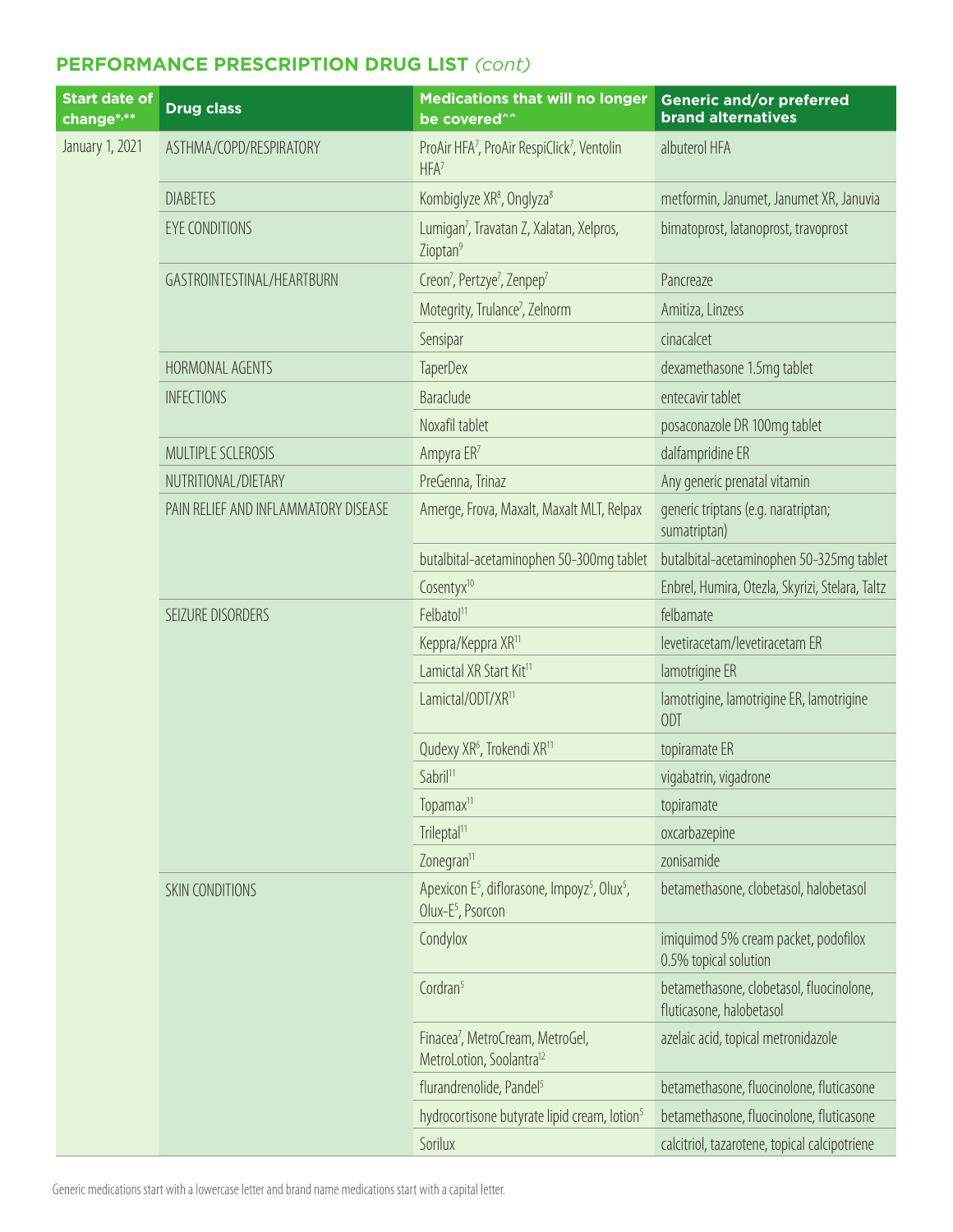# **PERFORMANCE PRESCRIPTION DRUG LIST** *(cont)*

| <b>Start date of</b><br>change*,** | <b>Drug class</b>                    | <b>Medications that will no longer</b><br>be covered^^                                                            | Generic and/or preferred<br><b>brand alternatives</b>                |
|------------------------------------|--------------------------------------|-------------------------------------------------------------------------------------------------------------------|----------------------------------------------------------------------|
| January 1, 2021                    | ASTHMA/COPD/RESPIRATORY              | ProAir HFA7, ProAir RespiClick7, Ventolin<br>$HFA^7$                                                              | albuterol HFA                                                        |
|                                    | <b>DIABETES</b>                      | Kombiglyze XR <sup>8</sup> , Onglyza <sup>8</sup>                                                                 | metformin, Janumet, Janumet XR, Januvia                              |
|                                    | EYE CONDITIONS                       | Lumigan <sup>7</sup> , Travatan Z, Xalatan, Xelpros,<br>Zioptan <sup>9</sup>                                      | bimatoprost, latanoprost, travoprost                                 |
|                                    | GASTROINTESTINAL/HEARTBURN           | Creon <sup>7</sup> , Pertzye <sup>7</sup> , Zenpep <sup>7</sup>                                                   | Pancreaze                                                            |
|                                    |                                      | Motegrity, Trulance <sup>7</sup> , Zelnorm                                                                        | Amitiza, Linzess                                                     |
|                                    |                                      | Sensipar                                                                                                          | cinacalcet                                                           |
|                                    | HORMONAL AGENTS                      | <b>TaperDex</b>                                                                                                   | dexamethasone 1.5mg tablet                                           |
|                                    | <b>INFECTIONS</b>                    | Baraclude                                                                                                         | entecavir tablet                                                     |
|                                    |                                      | Noxafil tablet                                                                                                    | posaconazole DR 100mg tablet                                         |
|                                    | MULTIPLE SCLEROSIS                   | Ampyra ER7                                                                                                        | dalfampridine ER                                                     |
|                                    | NUTRITIONAL/DIETARY                  | PreGenna, Trinaz                                                                                                  | Any generic prenatal vitamin                                         |
|                                    | PAIN RELIEF AND INFLAMMATORY DISEASE | Amerge, Frova, Maxalt, Maxalt MLT, Relpax                                                                         | generic triptans (e.g. naratriptan;<br>sumatriptan)                  |
|                                    |                                      | butalbital-acetaminophen 50-300mg tablet                                                                          | butalbital-acetaminophen 50-325mg tablet                             |
|                                    |                                      | Cosentyx <sup>10</sup>                                                                                            | Enbrel, Humira, Otezla, Skyrizi, Stelara, Taltz                      |
|                                    | SEIZURE DISORDERS                    | Felbatol <sup>11</sup>                                                                                            | felbamate                                                            |
|                                    |                                      | Keppra/Keppra XR <sup>11</sup>                                                                                    | levetiracetam/levetiracetam ER                                       |
|                                    |                                      | Lamictal XR Start Kit <sup>11</sup>                                                                               | lamotrigine ER                                                       |
|                                    |                                      | Lamictal/ODT/XR <sup>11</sup>                                                                                     | lamotrigine, lamotrigine ER, lamotrigine<br><b>ODT</b>               |
|                                    |                                      | Qudexy XR <sup>6</sup> , Trokendi XR <sup>11</sup>                                                                | topiramate ER                                                        |
|                                    |                                      | Sabril <sup>11</sup>                                                                                              | vigabatrin, vigadrone                                                |
|                                    |                                      | Topamax <sup>11</sup>                                                                                             | topiramate                                                           |
|                                    |                                      | Trileptal <sup>11</sup>                                                                                           | oxcarbazepine                                                        |
|                                    |                                      | Zonegran <sup>11</sup>                                                                                            | zonisamide                                                           |
|                                    | SKIN CONDITIONS                      | Apexicon E <sup>5</sup> , diflorasone, Impoyz <sup>5</sup> , Olux <sup>5</sup> ,<br>Olux-E <sup>5</sup> , Psorcon | betamethasone, clobetasol, halobetasol                               |
|                                    |                                      | Condylox                                                                                                          | imiquimod 5% cream packet, podofilox<br>0.5% topical solution        |
|                                    |                                      | Cordran <sup>5</sup>                                                                                              | betamethasone, clobetasol, fluocinolone,<br>fluticasone, halobetasol |
|                                    |                                      | Finacea <sup>7</sup> , MetroCream, MetroGel,<br>MetroLotion, Soolantra <sup>12</sup>                              | azelaic acid, topical metronidazole                                  |
|                                    |                                      | flurandrenolide, Pandel <sup>5</sup>                                                                              | betamethasone, fluocinolone, fluticasone                             |
|                                    |                                      | hydrocortisone butyrate lipid cream, lotion <sup>5</sup>                                                          | betamethasone, fluocinolone, fluticasone                             |
|                                    |                                      | Sorilux                                                                                                           | calcitriol, tazarotene, topical calcipotriene                        |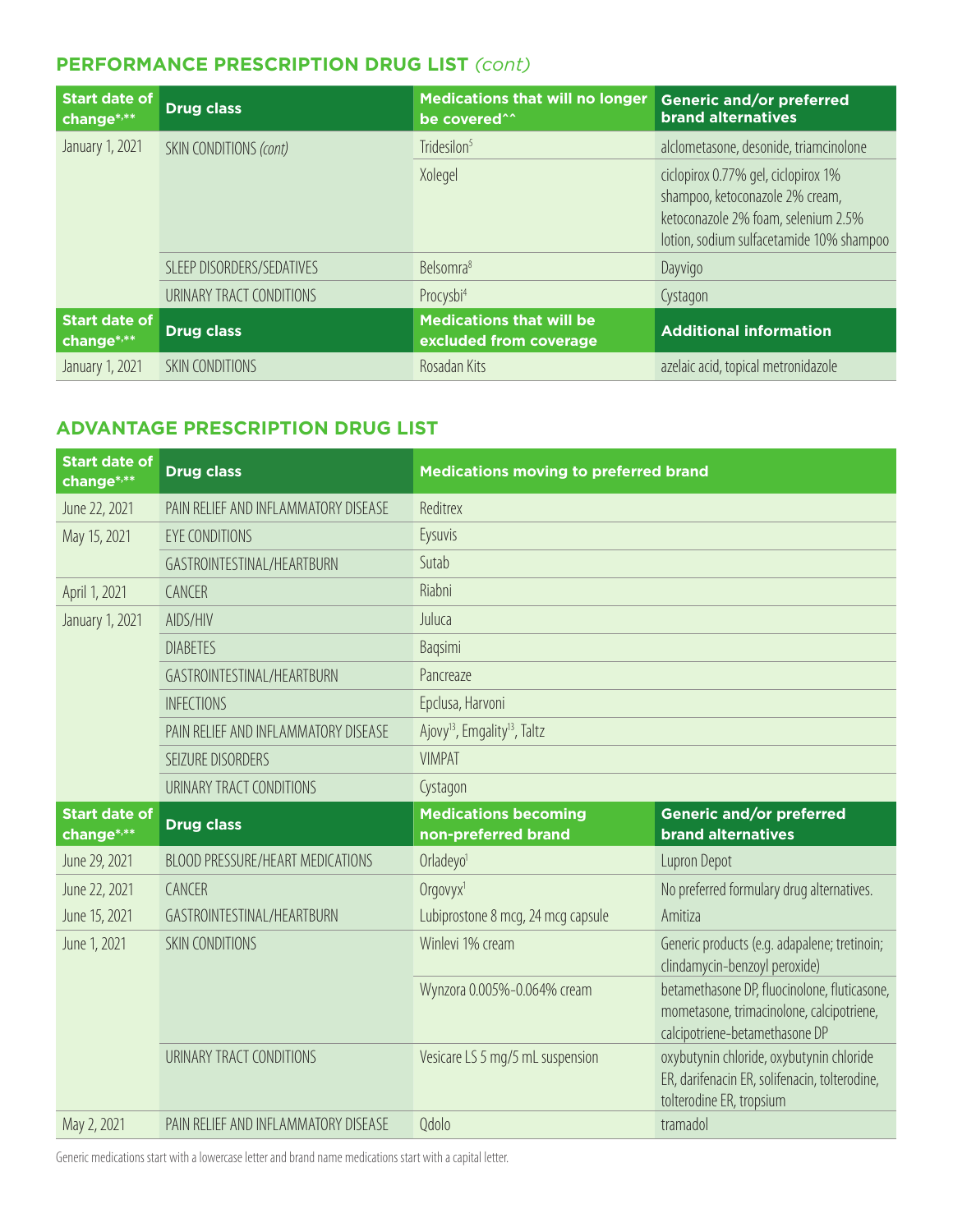#### **PERFORMANCE PRESCRIPTION DRUG LIST** *(cont)*

| <b>Start date of</b><br>change*,** | <b>Drug class</b>         | <b>Medications that will no longer</b><br>be covered <sup>^^</sup> | <b>Generic and/or preferred</b><br><b>brand alternatives</b>                                                                                              |
|------------------------------------|---------------------------|--------------------------------------------------------------------|-----------------------------------------------------------------------------------------------------------------------------------------------------------|
| January 1, 2021                    | SKIN CONDITIONS (cont)    | Tridesilon <sup>5</sup>                                            | alclometasone, desonide, triamcinolone                                                                                                                    |
|                                    |                           | Xolegel                                                            | ciclopirox 0.77% gel, ciclopirox 1%<br>shampoo, ketoconazole 2% cream,<br>ketoconazole 2% foam, selenium 2.5%<br>lotion, sodium sulfacetamide 10% shampoo |
|                                    | SLEEP DISORDERS/SEDATIVES | Belsomra <sup>8</sup>                                              | Dayvigo                                                                                                                                                   |
|                                    | URINARY TRACT CONDITIONS  | Procysbi <sup>4</sup>                                              | Cystagon                                                                                                                                                  |
| <b>Start date of</b><br>change*,** | <b>Drug class</b>         | <b>Medications that will be</b><br>excluded from coverage          | <b>Additional information</b>                                                                                                                             |
| January 1, 2021                    | <b>SKIN CONDITIONS</b>    | Rosadan Kits                                                       | azelaic acid, topical metronidazole                                                                                                                       |

#### **ADVANTAGE PRESCRIPTION DRUG LIST**

| <b>Start date of</b><br>change*,**             | <b>Drug class</b>                    | <b>Medications moving to preferred brand</b>         |                                                                                                                             |
|------------------------------------------------|--------------------------------------|------------------------------------------------------|-----------------------------------------------------------------------------------------------------------------------------|
| June 22, 2021                                  | PAIN RELIEF AND INFLAMMATORY DISEASE | Reditrex                                             |                                                                                                                             |
| May 15, 2021                                   | <b>EYE CONDITIONS</b>                | Eysuvis                                              |                                                                                                                             |
|                                                | GASTROINTESTINAL/HEARTBURN           | Sutab                                                |                                                                                                                             |
| April 1, 2021                                  | CANCER                               | Riabni                                               |                                                                                                                             |
| January 1, 2021                                | AIDS/HIV                             | Juluca                                               |                                                                                                                             |
|                                                | <b>DIABETES</b>                      | Baqsimi                                              |                                                                                                                             |
|                                                | GASTROINTESTINAL/HEARTBURN           | Pancreaze                                            |                                                                                                                             |
|                                                | <b>INFECTIONS</b>                    | Epclusa, Harvoni                                     |                                                                                                                             |
|                                                | PAIN RELIEF AND INFLAMMATORY DISEASE | Ajovy <sup>13</sup> , Emgality <sup>13</sup> , Taltz |                                                                                                                             |
|                                                | SEIZURE DISORDERS                    | <b>VIMPAT</b>                                        |                                                                                                                             |
|                                                | URINARY TRACT CONDITIONS             | Cystagon                                             |                                                                                                                             |
|                                                |                                      |                                                      |                                                                                                                             |
| <b>Start date of</b><br>change <sup>*,**</sup> | <b>Drug class</b>                    | <b>Medications becoming</b><br>non-preferred brand   | <b>Generic and/or preferred</b><br><b>brand alternatives</b>                                                                |
| June 29, 2021                                  | BLOOD PRESSURE/HEART MEDICATIONS     | Orladeyo <sup>1</sup>                                | Lupron Depot                                                                                                                |
| June 22, 2021                                  | CANCER                               | Orgovyx <sup>1</sup>                                 | No preferred formulary drug alternatives.                                                                                   |
| June 15, 2021                                  | GASTROINTESTINAL/HEARTBURN           | Lubiprostone 8 mcg, 24 mcg capsule                   | Amitiza                                                                                                                     |
| June 1, 2021                                   | <b>SKIN CONDITIONS</b>               | Winlevi 1% cream                                     | Generic products (e.g. adapalene; tretinoin;<br>clindamycin-benzoyl peroxide)                                               |
|                                                |                                      | Wynzora 0.005%-0.064% cream                          | betamethasone DP, fluocinolone, fluticasone,<br>mometasone, trimacinolone, calcipotriene,<br>calcipotriene-betamethasone DP |
|                                                | URINARY TRACT CONDITIONS             | Vesicare LS 5 mg/5 mL suspension                     | oxybutynin chloride, oxybutynin chloride<br>ER, darifenacin ER, solifenacin, tolterodine,<br>tolterodine ER, tropsium       |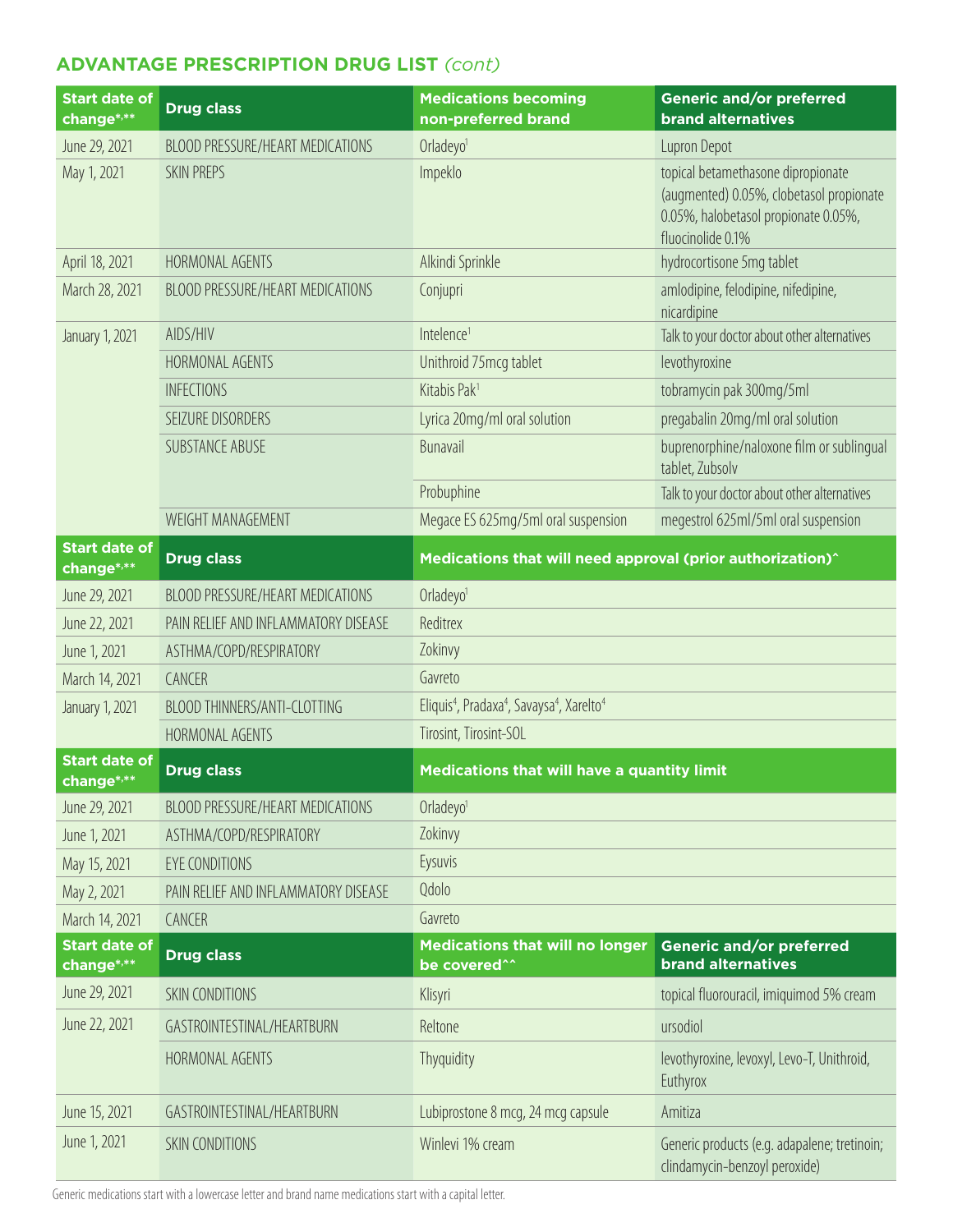# **ADVANTAGE PRESCRIPTION DRUG LIST** *(cont)*

| <b>Start date of</b><br>change*,** | <b>Drug class</b>                       | <b>Medications becoming</b><br>non-preferred brand                                        | <b>Generic and/or preferred</b><br><b>brand alternatives</b>                                                                                |
|------------------------------------|-----------------------------------------|-------------------------------------------------------------------------------------------|---------------------------------------------------------------------------------------------------------------------------------------------|
| June 29, 2021                      | <b>BLOOD PRESSURE/HEART MEDICATIONS</b> | Orladeyo <sup>1</sup>                                                                     | Lupron Depot                                                                                                                                |
| May 1, 2021                        | <b>SKIN PREPS</b>                       | Impeklo                                                                                   | topical betamethasone dipropionate<br>(augmented) 0.05%, clobetasol propionate<br>0.05%, halobetasol propionate 0.05%,<br>fluocinolide 0.1% |
| April 18, 2021                     | HORMONAL AGENTS                         | Alkindi Sprinkle                                                                          | hydrocortisone 5mg tablet                                                                                                                   |
| March 28, 2021                     | <b>BLOOD PRESSURE/HEART MEDICATIONS</b> | Conjupri                                                                                  | amlodipine, felodipine, nifedipine,<br>nicardipine                                                                                          |
| January 1, 2021                    | AIDS/HIV                                | Intelence <sup>1</sup>                                                                    | Talk to your doctor about other alternatives                                                                                                |
|                                    | HORMONAL AGENTS                         | Unithroid 75mcg tablet                                                                    | levothyroxine                                                                                                                               |
|                                    | <b>INFECTIONS</b>                       | Kitabis Pak <sup>1</sup>                                                                  | tobramycin pak 300mg/5ml                                                                                                                    |
|                                    | SEIZURE DISORDERS                       | Lyrica 20mg/ml oral solution                                                              | pregabalin 20mg/ml oral solution                                                                                                            |
|                                    | <b>SUBSTANCE ABUSE</b>                  | Bunavail                                                                                  | buprenorphine/naloxone film or sublingual<br>tablet, Zubsolv                                                                                |
|                                    |                                         | Probuphine                                                                                | Talk to your doctor about other alternatives                                                                                                |
|                                    | WEIGHT MANAGEMENT                       | Megace ES 625mg/5ml oral suspension                                                       | megestrol 625ml/5ml oral suspension                                                                                                         |
| <b>Start date of</b><br>change*,** | <b>Drug class</b>                       | Medications that will need approval (prior authorization)^                                |                                                                                                                                             |
| June 29, 2021                      | <b>BLOOD PRESSURE/HEART MEDICATIONS</b> | Orladeyo <sup>1</sup>                                                                     |                                                                                                                                             |
| June 22, 2021                      | PAIN RELIEF AND INFLAMMATORY DISEASE    | Reditrex                                                                                  |                                                                                                                                             |
| June 1, 2021                       | ASTHMA/COPD/RESPIRATORY                 | Zokinvy                                                                                   |                                                                                                                                             |
| March 14, 2021                     | CANCER                                  | Gavreto                                                                                   |                                                                                                                                             |
| January 1, 2021                    | BLOOD THINNERS/ANTI-CLOTTING            | Eliquis <sup>4</sup> , Pradaxa <sup>4</sup> , Savaysa <sup>4</sup> , Xarelto <sup>4</sup> |                                                                                                                                             |
|                                    | HORMONAL AGENTS                         | Tirosint, Tirosint-SOL                                                                    |                                                                                                                                             |
| <b>Start date of</b><br>change*,** | <b>Drug class</b>                       | Medications that will have a quantity limit                                               |                                                                                                                                             |
| June 29, 2021                      | <b>BLOOD PRESSURE/HEART MEDICATIONS</b> | Orladeyo <sup>1</sup>                                                                     |                                                                                                                                             |
| June 1, 2021                       | ASTHMA/COPD/RESPIRATORY                 | Zokinvy                                                                                   |                                                                                                                                             |
| May 15, 2021                       | EYE CONDITIONS                          | Eysuvis                                                                                   |                                                                                                                                             |
| May 2, 2021                        | PAIN RELIEF AND INFLAMMATORY DISEASE    | Qdolo                                                                                     |                                                                                                                                             |
| March 14, 2021                     | CANCER                                  | Gavreto                                                                                   |                                                                                                                                             |
| <b>Start date of</b><br>change*,** | <b>Drug class</b>                       | <b>Medications that will no longer</b><br>be covered^^                                    | <b>Generic and/or preferred</b><br><b>brand alternatives</b>                                                                                |
| June 29, 2021                      | <b>SKIN CONDITIONS</b>                  | Klisyri                                                                                   | topical fluorouracil, imiquimod 5% cream                                                                                                    |
| June 22, 2021                      | GASTROINTESTINAL/HEARTBURN              | Reltone                                                                                   | ursodiol                                                                                                                                    |
|                                    | HORMONAL AGENTS                         | Thyquidity                                                                                | levothyroxine, levoxyl, Levo-T, Unithroid,<br>Euthyrox                                                                                      |
| June 15, 2021                      | GASTROINTESTINAL/HEARTBURN              | Lubiprostone 8 mcg, 24 mcg capsule                                                        | Amitiza                                                                                                                                     |
| June 1, 2021                       | <b>SKIN CONDITIONS</b>                  | Winlevi 1% cream                                                                          | Generic products (e.g. adapalene; tretinoin;<br>clindamycin-benzoyl peroxide)                                                               |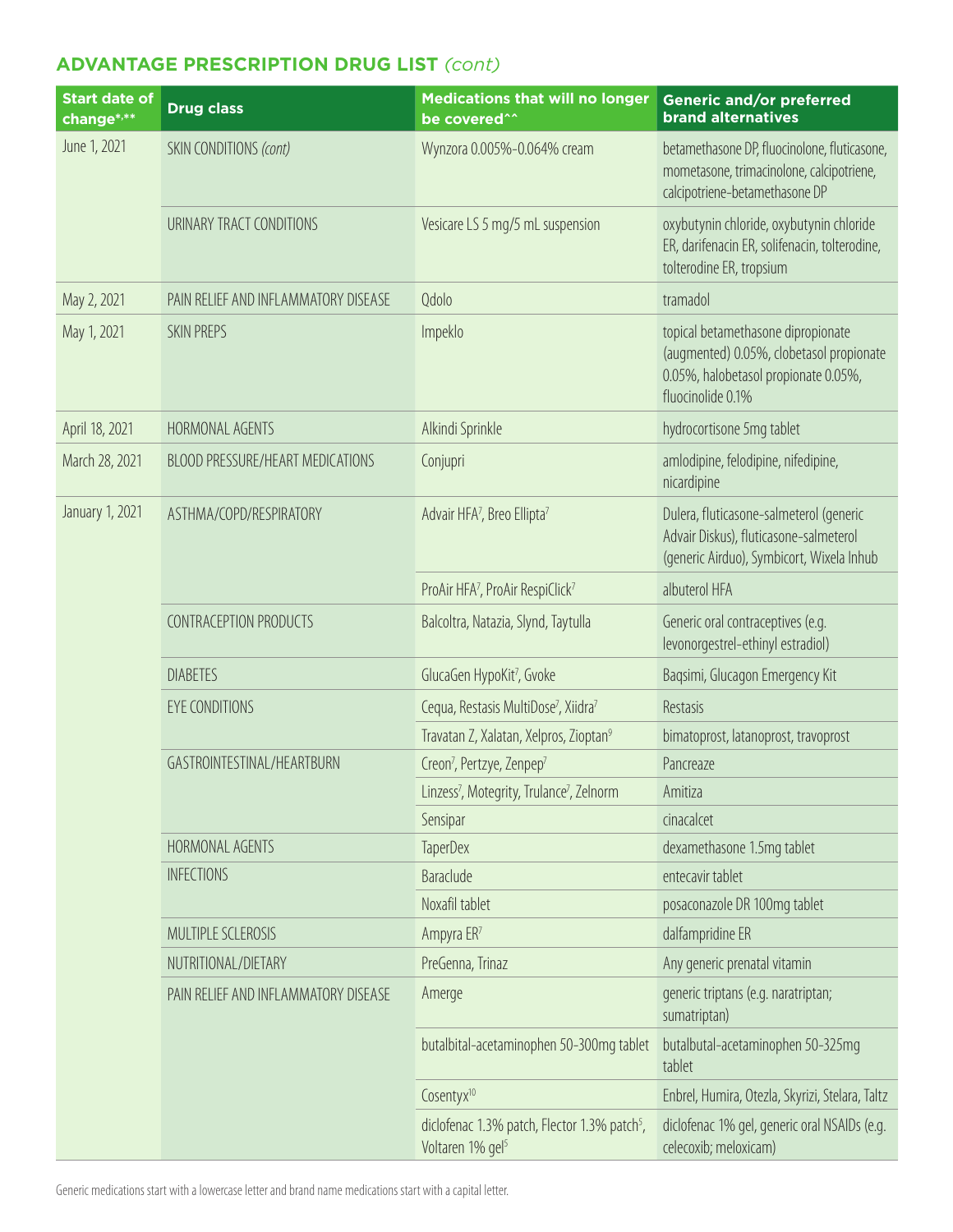# **ADVANTAGE PRESCRIPTION DRUG LIST** *(cont)*

| <b>Start date of</b><br>change*,** | <b>Drug class</b>                    | <b>Medications that will no longer</b><br>be covered^^                                   | <b>Generic and/or preferred</b><br><b>brand alternatives</b>                                                                                |
|------------------------------------|--------------------------------------|------------------------------------------------------------------------------------------|---------------------------------------------------------------------------------------------------------------------------------------------|
| June 1, 2021                       | SKIN CONDITIONS (cont)               | Wynzora 0.005%-0.064% cream                                                              | betamethasone DP, fluocinolone, fluticasone,<br>mometasone, trimacinolone, calcipotriene,<br>calcipotriene-betamethasone DP                 |
|                                    | URINARY TRACT CONDITIONS             | Vesicare LS 5 mg/5 mL suspension                                                         | oxybutynin chloride, oxybutynin chloride<br>ER, darifenacin ER, solifenacin, tolterodine,<br>tolterodine ER, tropsium                       |
| May 2, 2021                        | PAIN RELIEF AND INFLAMMATORY DISEASE | Qdolo                                                                                    | tramadol                                                                                                                                    |
| May 1, 2021                        | <b>SKIN PREPS</b>                    | Impeklo                                                                                  | topical betamethasone dipropionate<br>(augmented) 0.05%, clobetasol propionate<br>0.05%, halobetasol propionate 0.05%,<br>fluocinolide 0.1% |
| April 18, 2021                     | HORMONAL AGENTS                      | Alkindi Sprinkle                                                                         | hydrocortisone 5mg tablet                                                                                                                   |
| March 28, 2021                     | BLOOD PRESSURE/HEART MEDICATIONS     | Conjupri                                                                                 | amlodipine, felodipine, nifedipine,<br>nicardipine                                                                                          |
| January 1, 2021                    | ASTHMA/COPD/RESPIRATORY              | Advair HFA7, Breo Ellipta7                                                               | Dulera, fluticasone-salmeterol (generic<br>Advair Diskus), fluticasone-salmeterol<br>(generic Airduo), Symbicort, Wixela Inhub              |
|                                    |                                      | ProAir HFA <sup>7</sup> , ProAir RespiClick <sup>7</sup>                                 | albuterol HFA                                                                                                                               |
|                                    | CONTRACEPTION PRODUCTS               | Balcoltra, Natazia, Slynd, Taytulla                                                      | Generic oral contraceptives (e.g.<br>levonorgestrel-ethinyl estradiol)                                                                      |
|                                    | <b>DIABETES</b>                      | GlucaGen HypoKit <sup>7</sup> , Gvoke                                                    | Bagsimi, Glucagon Emergency Kit                                                                                                             |
|                                    | <b>EYE CONDITIONS</b>                | Cequa, Restasis MultiDose <sup>7</sup> , Xiidra <sup>7</sup>                             | Restasis                                                                                                                                    |
|                                    |                                      | Travatan Z, Xalatan, Xelpros, Zioptan <sup>9</sup>                                       | bimatoprost, latanoprost, travoprost                                                                                                        |
|                                    | GASTROINTESTINAL/HEARTBURN           | Creon <sup>7</sup> , Pertzye, Zenpep <sup>7</sup>                                        | Pancreaze                                                                                                                                   |
|                                    |                                      | Linzess <sup>7</sup> , Motegrity, Trulance <sup>7</sup> , Zelnorm                        | Amitiza                                                                                                                                     |
|                                    |                                      | Sensipar                                                                                 | cinacalcet                                                                                                                                  |
|                                    | HORMONAL AGENTS                      | <b>TaperDex</b>                                                                          | dexamethasone 1.5mg tablet                                                                                                                  |
|                                    | <b>INFECTIONS</b>                    | Baraclude                                                                                | entecavir tablet                                                                                                                            |
|                                    |                                      | Noxafil tablet                                                                           | posaconazole DR 100mg tablet                                                                                                                |
|                                    | MULTIPLE SCLEROSIS                   | Ampyra ER7                                                                               | dalfampridine ER                                                                                                                            |
|                                    | NUTRITIONAL/DIETARY                  | PreGenna, Trinaz                                                                         | Any generic prenatal vitamin                                                                                                                |
|                                    | PAIN RELIEF AND INFLAMMATORY DISEASE | Amerge                                                                                   | generic triptans (e.g. naratriptan;<br>sumatriptan)                                                                                         |
|                                    |                                      | butalbital-acetaminophen 50-300mg tablet                                                 | butalbutal-acetaminophen 50-325mg<br>tablet                                                                                                 |
|                                    |                                      | Cosentyx <sup>10</sup>                                                                   | Enbrel, Humira, Otezla, Skyrizi, Stelara, Taltz                                                                                             |
|                                    |                                      | diclofenac 1.3% patch, Flector 1.3% patch <sup>5</sup> ,<br>Voltaren 1% gel <sup>5</sup> | diclofenac 1% gel, generic oral NSAIDs (e.g.<br>celecoxib; meloxicam)                                                                       |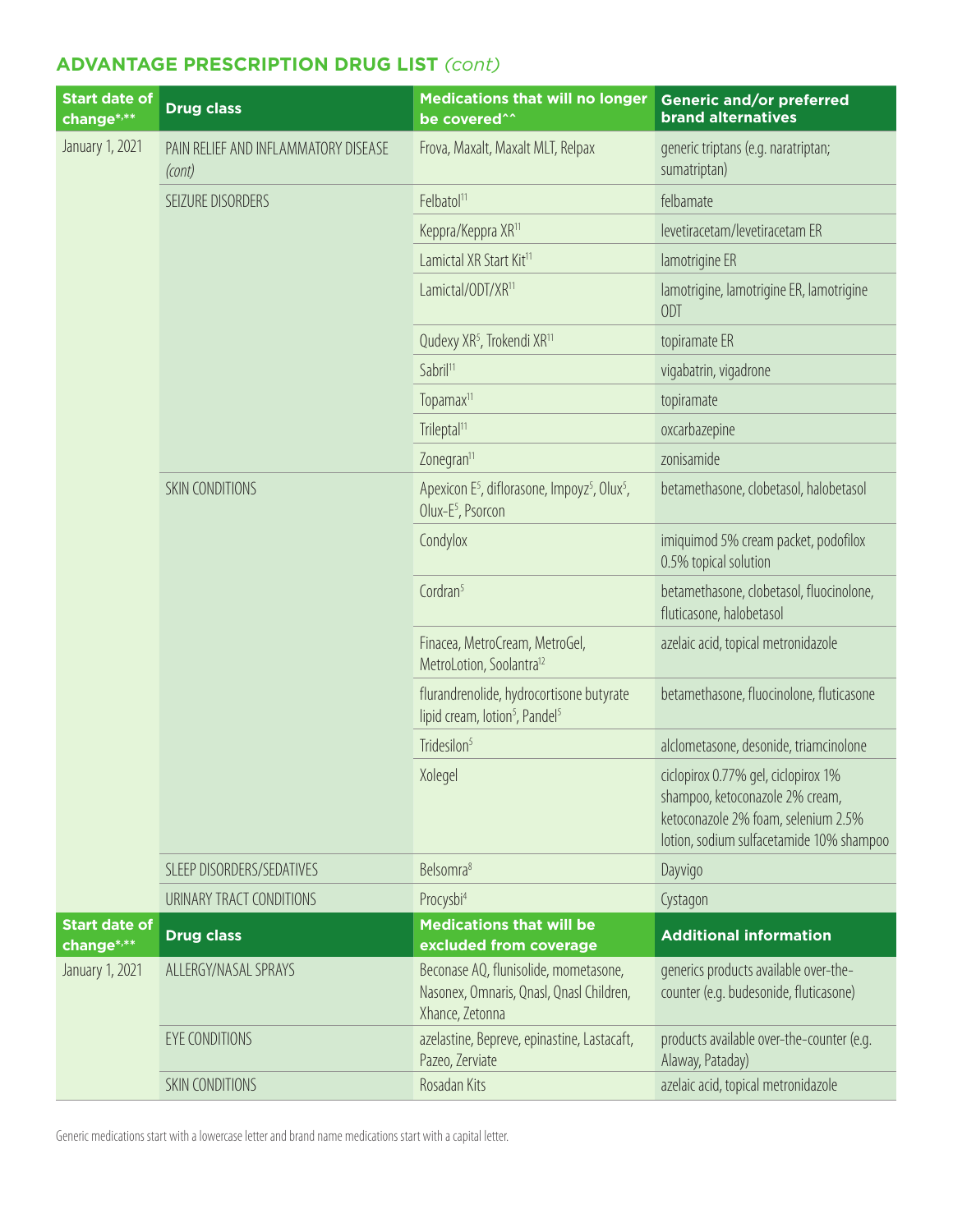# **ADVANTAGE PRESCRIPTION DRUG LIST** *(cont)*

| <b>Start date of</b><br>change*,** | <b>Drug class</b>                              | <b>Medications that will no longer</b><br>be covered^^                                                            | <b>Generic and/or preferred</b><br><b>brand alternatives</b>                                                                                              |
|------------------------------------|------------------------------------------------|-------------------------------------------------------------------------------------------------------------------|-----------------------------------------------------------------------------------------------------------------------------------------------------------|
| January 1, 2021                    | PAIN RELIEF AND INFLAMMATORY DISEASE<br>(cont) | Frova, Maxalt, Maxalt MLT, Relpax                                                                                 | generic triptans (e.g. naratriptan;<br>sumatriptan)                                                                                                       |
|                                    | SEIZURE DISORDERS                              | Felbatol <sup>11</sup>                                                                                            | felbamate                                                                                                                                                 |
|                                    |                                                | Keppra/Keppra XR <sup>11</sup>                                                                                    | levetiracetam/levetiracetam ER                                                                                                                            |
|                                    |                                                | Lamictal XR Start Kit <sup>11</sup>                                                                               | lamotrigine ER                                                                                                                                            |
|                                    |                                                | Lamictal/ODT/XR <sup>11</sup>                                                                                     | lamotrigine, lamotrigine ER, lamotrigine<br><b>ODT</b>                                                                                                    |
|                                    |                                                | Qudexy XR <sup>5</sup> , Trokendi XR <sup>11</sup>                                                                | topiramate ER                                                                                                                                             |
|                                    |                                                | Sabril <sup>11</sup>                                                                                              | vigabatrin, vigadrone                                                                                                                                     |
|                                    |                                                | Topamax <sup>11</sup>                                                                                             | topiramate                                                                                                                                                |
|                                    |                                                | Trileptal <sup>11</sup>                                                                                           | oxcarbazepine                                                                                                                                             |
|                                    |                                                | Zonegran <sup>11</sup>                                                                                            | zonisamide                                                                                                                                                |
|                                    | SKIN CONDITIONS                                | Apexicon E <sup>5</sup> , diflorasone, Impoyz <sup>5</sup> , Olux <sup>5</sup> ,<br>Olux-E <sup>5</sup> , Psorcon | betamethasone, clobetasol, halobetasol                                                                                                                    |
|                                    |                                                | Condylox                                                                                                          | imiquimod 5% cream packet, podofilox<br>0.5% topical solution                                                                                             |
|                                    |                                                | Cordran <sup>5</sup>                                                                                              | betamethasone, clobetasol, fluocinolone,<br>fluticasone, halobetasol                                                                                      |
|                                    |                                                | Finacea, MetroCream, MetroGel,<br>MetroLotion, Soolantra <sup>12</sup>                                            | azelaic acid, topical metronidazole                                                                                                                       |
|                                    |                                                | flurandrenolide, hydrocortisone butyrate<br>lipid cream, lotion <sup>5</sup> , Pandel <sup>5</sup>                | betamethasone, fluocinolone, fluticasone                                                                                                                  |
|                                    |                                                | Tridesilon <sup>5</sup>                                                                                           | alclometasone, desonide, triamcinolone                                                                                                                    |
|                                    |                                                | Xolegel                                                                                                           | ciclopirox 0.77% gel, ciclopirox 1%<br>shampoo, ketoconazole 2% cream,<br>ketoconazole 2% foam, selenium 2.5%<br>lotion, sodium sulfacetamide 10% shampoo |
|                                    | SLEEP DISORDERS/SEDATIVES                      | Belsomra <sup>8</sup>                                                                                             | Dayvigo                                                                                                                                                   |
|                                    | URINARY TRACT CONDITIONS                       | Procysbi <sup>4</sup>                                                                                             | Cystagon                                                                                                                                                  |
| <b>Start date of</b><br>change*,** | <b>Drug class</b>                              | <b>Medications that will be</b><br>excluded from coverage                                                         | <b>Additional information</b>                                                                                                                             |
| January 1, 2021                    | ALLERGY/NASAL SPRAYS                           | Beconase AQ, flunisolide, mometasone,<br>Nasonex, Omnaris, Qnasl, Qnasl Children,<br>Xhance, Zetonna              | generics products available over-the-<br>counter (e.g. budesonide, fluticasone)                                                                           |
|                                    | <b>EYE CONDITIONS</b>                          | azelastine, Bepreve, epinastine, Lastacaft,<br>Pazeo, Zerviate                                                    | products available over-the-counter (e.g.<br>Alaway, Pataday)                                                                                             |
|                                    | SKIN CONDITIONS                                | Rosadan Kits                                                                                                      | azelaic acid, topical metronidazole                                                                                                                       |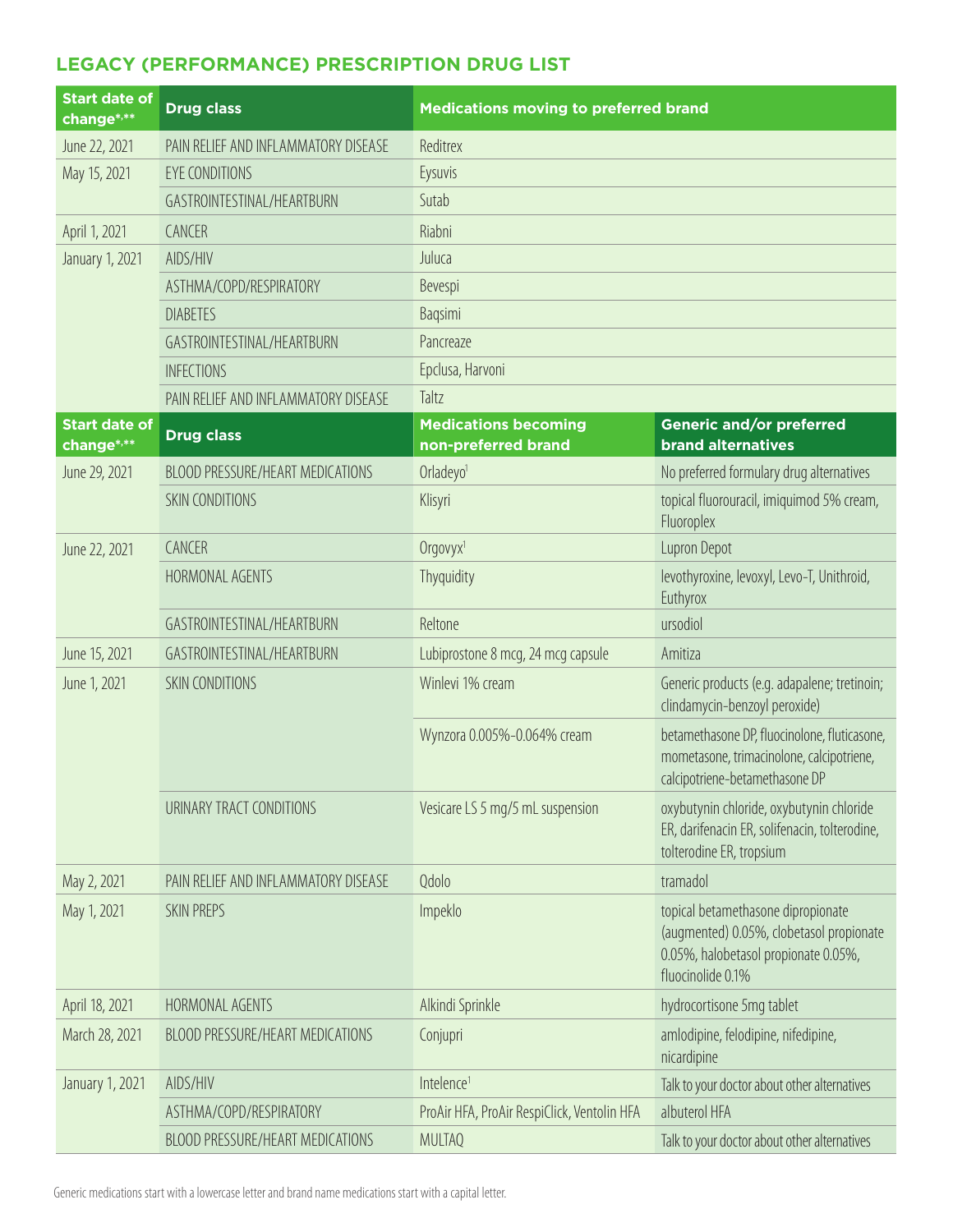# **LEGACY (PERFORMANCE) PRESCRIPTION DRUG LIST**

| <b>Start date of</b><br>change*,** | <b>Drug class</b>                       | <b>Medications moving to preferred brand</b>       |                                                                                                                                             |
|------------------------------------|-----------------------------------------|----------------------------------------------------|---------------------------------------------------------------------------------------------------------------------------------------------|
| June 22, 2021                      | PAIN RELIEF AND INFLAMMATORY DISEASE    | Reditrex                                           |                                                                                                                                             |
| May 15, 2021                       | <b>EYE CONDITIONS</b>                   | Eysuvis                                            |                                                                                                                                             |
|                                    | GASTROINTESTINAL/HEARTBURN              | Sutab                                              |                                                                                                                                             |
| April 1, 2021                      | CANCER                                  | Riabni                                             |                                                                                                                                             |
| January 1, 2021                    | AIDS/HIV                                | Juluca                                             |                                                                                                                                             |
|                                    | ASTHMA/COPD/RESPIRATORY                 | Bevespi                                            |                                                                                                                                             |
|                                    | <b>DIABETES</b>                         | Baqsimi                                            |                                                                                                                                             |
|                                    | GASTROINTESTINAL/HEARTBURN              | Pancreaze                                          |                                                                                                                                             |
|                                    | <b>INFECTIONS</b>                       | Epclusa, Harvoni                                   |                                                                                                                                             |
|                                    | PAIN RELIEF AND INFLAMMATORY DISEASE    | Taltz                                              |                                                                                                                                             |
| <b>Start date of</b><br>change*,** | <b>Drug class</b>                       | <b>Medications becoming</b><br>non-preferred brand | <b>Generic and/or preferred</b><br><b>brand alternatives</b>                                                                                |
| June 29, 2021                      | <b>BLOOD PRESSURE/HEART MEDICATIONS</b> | Orladeyo <sup>1</sup>                              | No preferred formulary drug alternatives                                                                                                    |
|                                    | SKIN CONDITIONS                         | Klisyri                                            | topical fluorouracil, imiquimod 5% cream,<br>Fluoroplex                                                                                     |
| June 22, 2021                      | CANCER                                  | Orgovyx <sup>1</sup>                               | Lupron Depot                                                                                                                                |
|                                    | HORMONAL AGENTS                         | Thyquidity                                         | levothyroxine, levoxyl, Levo-T, Unithroid,<br>Euthyrox                                                                                      |
|                                    | GASTROINTESTINAL/HEARTBURN              | Reltone                                            | ursodiol                                                                                                                                    |
| June 15, 2021                      | GASTROINTESTINAL/HEARTBURN              | Lubiprostone 8 mcg, 24 mcg capsule                 | Amitiza                                                                                                                                     |
| June 1, 2021                       | SKIN CONDITIONS                         | Winlevi 1% cream                                   | Generic products (e.g. adapalene; tretinoin;<br>clindamycin-benzoyl peroxide)                                                               |
|                                    |                                         | Wynzora 0.005%-0.064% cream                        | betamethasone DP, fluocinolone, fluticasone,<br>mometasone, trimacinolone, calcipotriene,<br>calcipotriene-betamethasone DP                 |
|                                    | URINARY TRACT CONDITIONS                | Vesicare LS 5 mg/5 mL suspension                   | oxybutynin chloride, oxybutynin chloride<br>ER, darifenacin ER, solifenacin, tolterodine,<br>tolterodine ER, tropsium                       |
| May 2, 2021                        | PAIN RELIEF AND INFLAMMATORY DISEASE    | Qdolo                                              | tramadol                                                                                                                                    |
| May 1, 2021                        | <b>SKIN PREPS</b>                       | Impeklo                                            | topical betamethasone dipropionate<br>(augmented) 0.05%, clobetasol propionate<br>0.05%, halobetasol propionate 0.05%,<br>fluocinolide 0.1% |
| April 18, 2021                     | HORMONAL AGENTS                         | Alkindi Sprinkle                                   | hydrocortisone 5mg tablet                                                                                                                   |
| March 28, 2021                     | <b>BLOOD PRESSURE/HEART MEDICATIONS</b> | Conjupri                                           | amlodipine, felodipine, nifedipine,<br>nicardipine                                                                                          |
| January 1, 2021                    | AIDS/HIV                                | Intelence <sup>1</sup>                             | Talk to your doctor about other alternatives                                                                                                |
|                                    | ASTHMA/COPD/RESPIRATORY                 | ProAir HFA, ProAir RespiClick, Ventolin HFA        | albuterol HFA                                                                                                                               |
|                                    | BLOOD PRESSURE/HEART MEDICATIONS        | <b>MULTAQ</b>                                      | Talk to your doctor about other alternatives                                                                                                |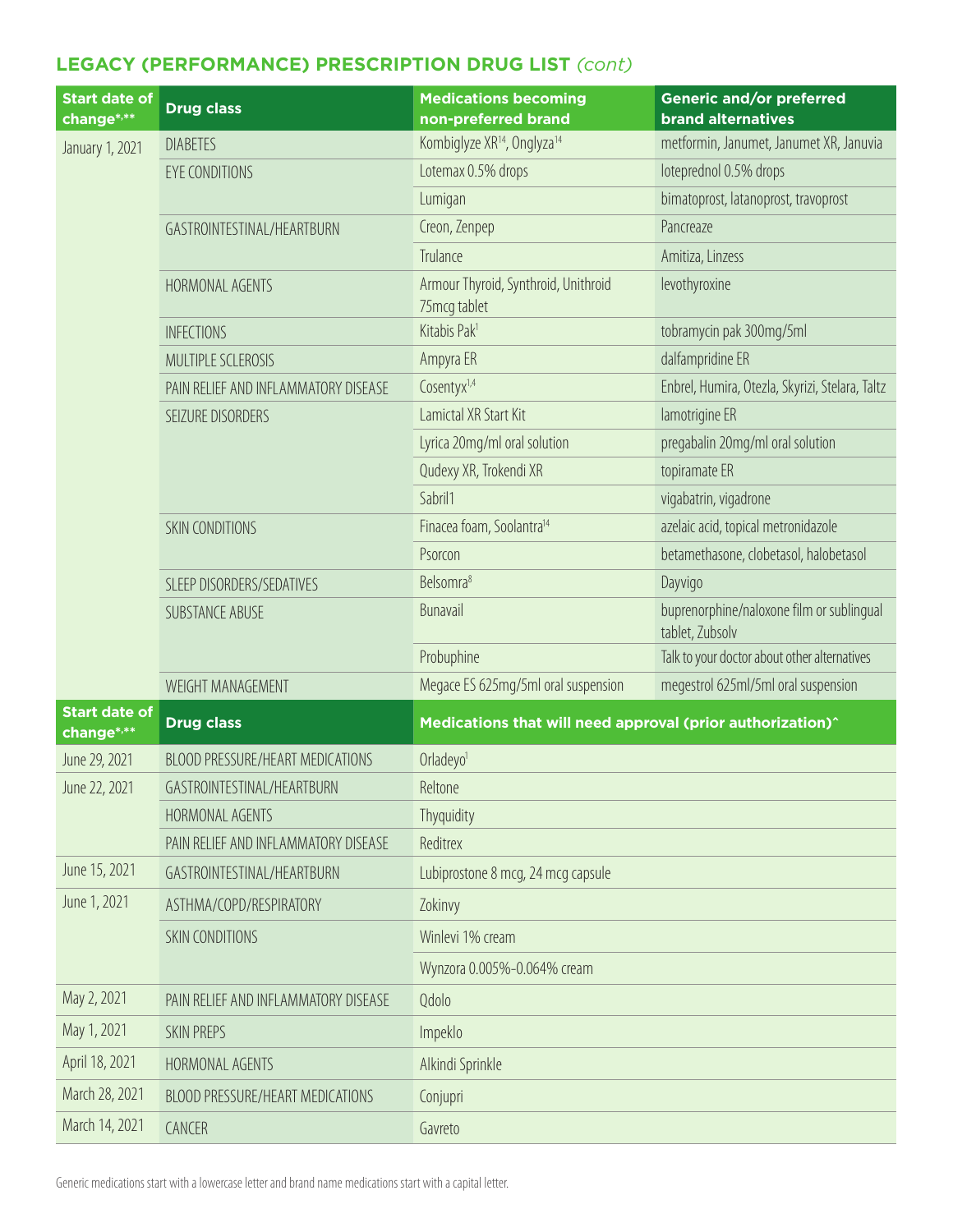# **LEGACY (PERFORMANCE) PRESCRIPTION DRUG LIST** *(cont)*

| <b>Start date of</b><br>change <sup>*,**</sup> | <b>Drug class</b>                       | <b>Medications becoming</b><br>non-preferred brand         | <b>Generic and/or preferred</b><br><b>brand alternatives</b> |
|------------------------------------------------|-----------------------------------------|------------------------------------------------------------|--------------------------------------------------------------|
| January 1, 2021                                | <b>DIABETES</b>                         | Kombiglyze XR <sup>14</sup> , Onglyza <sup>14</sup>        | metformin, Janumet, Janumet XR, Januvia                      |
|                                                | <b>EYE CONDITIONS</b>                   | Lotemax 0.5% drops                                         | loteprednol 0.5% drops                                       |
|                                                |                                         | Lumigan                                                    | bimatoprost, latanoprost, travoprost                         |
|                                                | GASTROINTESTINAL/HEARTBURN              | Creon, Zenpep                                              | Pancreaze                                                    |
|                                                |                                         | Trulance                                                   | Amitiza, Linzess                                             |
|                                                | <b>HORMONAL AGENTS</b>                  | Armour Thyroid, Synthroid, Unithroid<br>75mcg tablet       | levothyroxine                                                |
|                                                | <b>INFECTIONS</b>                       | Kitabis Pak <sup>1</sup>                                   | tobramycin pak 300mg/5ml                                     |
|                                                | MULTIPLE SCLEROSIS                      | Ampyra ER                                                  | dalfampridine ER                                             |
|                                                | PAIN RELIEF AND INFLAMMATORY DISEASE    | Cosentyx <sup>1,4</sup>                                    | Enbrel, Humira, Otezla, Skyrizi, Stelara, Taltz              |
|                                                | SEIZURE DISORDERS                       | Lamictal XR Start Kit                                      | lamotrigine ER                                               |
|                                                |                                         | Lyrica 20mg/ml oral solution                               | pregabalin 20mg/ml oral solution                             |
|                                                |                                         | Qudexy XR, Trokendi XR                                     | topiramate ER                                                |
|                                                |                                         | Sabril1                                                    | vigabatrin, vigadrone                                        |
|                                                | <b>SKIN CONDITIONS</b>                  | Finacea foam, Soolantra <sup>14</sup>                      | azelaic acid, topical metronidazole                          |
|                                                |                                         | Psorcon                                                    | betamethasone, clobetasol, halobetasol                       |
|                                                | SLEEP DISORDERS/SEDATIVES               | Belsomra <sup>8</sup>                                      | Dayvigo                                                      |
|                                                | <b>SUBSTANCE ABUSE</b>                  | Bunavail                                                   | buprenorphine/naloxone film or sublingual<br>tablet, Zubsolv |
|                                                |                                         | Probuphine                                                 | Talk to your doctor about other alternatives                 |
|                                                | <b>WEIGHT MANAGEMENT</b>                | Megace ES 625mg/5ml oral suspension                        | megestrol 625ml/5ml oral suspension                          |
| <b>Start date of</b><br>change*,**             | <b>Drug class</b>                       | Medications that will need approval (prior authorization)^ |                                                              |
| June 29, 2021                                  | <b>BLOOD PRESSURE/HEART MEDICATIONS</b> | Orladeyo <sup>1</sup>                                      |                                                              |
| June 22, 2021                                  | GASTROINTESTINAL/HEARTBURN              | Reltone                                                    |                                                              |
|                                                | <b>HORMONAL AGENTS</b>                  | Thyquidity                                                 |                                                              |
|                                                | PAIN RELIEF AND INFLAMMATORY DISEASE    | Reditrex                                                   |                                                              |
| June 15, 2021                                  | GASTROINTESTINAL/HEARTBURN              | Lubiprostone 8 mcg, 24 mcg capsule                         |                                                              |
| June 1, 2021                                   | ASTHMA/COPD/RESPIRATORY                 | Zokinvy                                                    |                                                              |
|                                                | <b>SKIN CONDITIONS</b>                  | Winlevi 1% cream                                           |                                                              |
|                                                |                                         | Wynzora 0.005%-0.064% cream                                |                                                              |
| May 2, 2021                                    | PAIN RELIEF AND INFLAMMATORY DISEASE    | Qdolo                                                      |                                                              |
| May 1, 2021                                    | <b>SKIN PREPS</b>                       | Impeklo                                                    |                                                              |
| April 18, 2021                                 | HORMONAL AGENTS                         | Alkindi Sprinkle                                           |                                                              |
| March 28, 2021                                 | <b>BLOOD PRESSURE/HEART MEDICATIONS</b> | Conjupri                                                   |                                                              |
| March 14, 2021                                 | CANCER                                  | Gavreto                                                    |                                                              |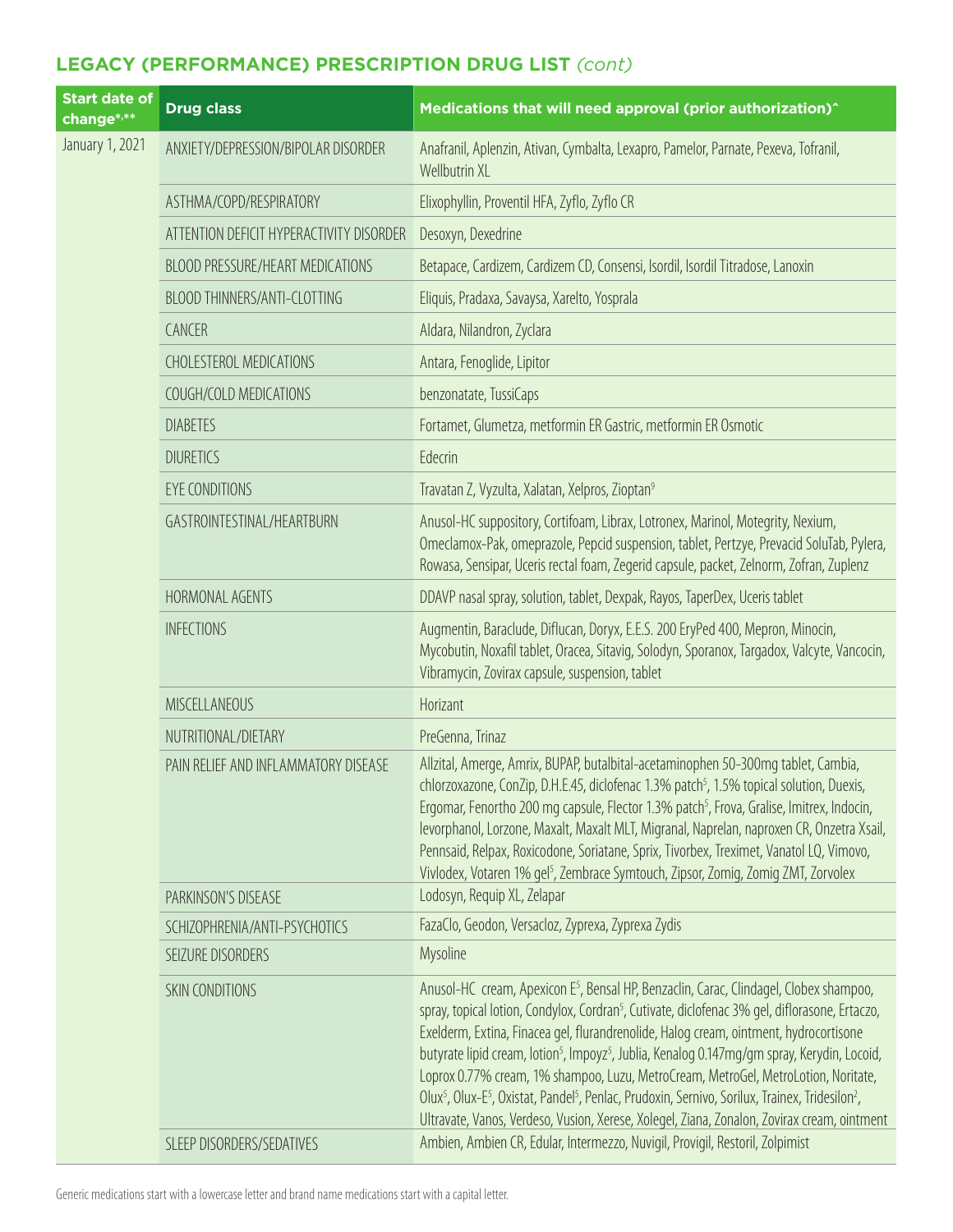# **LEGACY (PERFORMANCE) PRESCRIPTION DRUG LIST** *(cont)*

| <b>Start date of</b><br>change*,** | <b>Drug class</b>                            | Medications that will need approval (prior authorization)^                                                                                                                                                                                                                                                                                                                                                                                                                                                                                                                                                                                                                                                                                                                                                                                                 |
|------------------------------------|----------------------------------------------|------------------------------------------------------------------------------------------------------------------------------------------------------------------------------------------------------------------------------------------------------------------------------------------------------------------------------------------------------------------------------------------------------------------------------------------------------------------------------------------------------------------------------------------------------------------------------------------------------------------------------------------------------------------------------------------------------------------------------------------------------------------------------------------------------------------------------------------------------------|
| January 1, 2021                    | ANXIETY/DEPRESSION/BIPOLAR DISORDER          | Anafranil, Aplenzin, Ativan, Cymbalta, Lexapro, Pamelor, Parnate, Pexeva, Tofranil,<br><b>Wellbutrin XL</b>                                                                                                                                                                                                                                                                                                                                                                                                                                                                                                                                                                                                                                                                                                                                                |
|                                    | ASTHMA/COPD/RESPIRATORY                      | Elixophyllin, Proventil HFA, Zyflo, Zyflo CR                                                                                                                                                                                                                                                                                                                                                                                                                                                                                                                                                                                                                                                                                                                                                                                                               |
|                                    | ATTENTION DEFICIT HYPERACTIVITY DISORDER     | Desoxyn, Dexedrine                                                                                                                                                                                                                                                                                                                                                                                                                                                                                                                                                                                                                                                                                                                                                                                                                                         |
|                                    | <b>BLOOD PRESSURE/HEART MEDICATIONS</b>      | Betapace, Cardizem, Cardizem CD, Consensi, Isordil, Isordil Titradose, Lanoxin                                                                                                                                                                                                                                                                                                                                                                                                                                                                                                                                                                                                                                                                                                                                                                             |
|                                    | BLOOD THINNERS/ANTI-CLOTTING                 | Eliquis, Pradaxa, Savaysa, Xarelto, Yosprala                                                                                                                                                                                                                                                                                                                                                                                                                                                                                                                                                                                                                                                                                                                                                                                                               |
|                                    | <b>CANCER</b>                                | Aldara, Nilandron, Zyclara                                                                                                                                                                                                                                                                                                                                                                                                                                                                                                                                                                                                                                                                                                                                                                                                                                 |
|                                    | <b>CHOLESTEROL MEDICATIONS</b>               | Antara, Fenoglide, Lipitor                                                                                                                                                                                                                                                                                                                                                                                                                                                                                                                                                                                                                                                                                                                                                                                                                                 |
|                                    | COUGH/COLD MEDICATIONS                       | benzonatate, TussiCaps                                                                                                                                                                                                                                                                                                                                                                                                                                                                                                                                                                                                                                                                                                                                                                                                                                     |
|                                    | <b>DIABETES</b>                              | Fortamet, Glumetza, metformin ER Gastric, metformin ER Osmotic                                                                                                                                                                                                                                                                                                                                                                                                                                                                                                                                                                                                                                                                                                                                                                                             |
|                                    | <b>DIURETICS</b>                             | Edecrin                                                                                                                                                                                                                                                                                                                                                                                                                                                                                                                                                                                                                                                                                                                                                                                                                                                    |
|                                    | <b>EYE CONDITIONS</b>                        | Travatan Z, Vyzulta, Xalatan, Xelpros, Zioptan <sup>9</sup>                                                                                                                                                                                                                                                                                                                                                                                                                                                                                                                                                                                                                                                                                                                                                                                                |
|                                    | GASTROINTESTINAL/HEARTBURN                   | Anusol-HC suppository, Cortifoam, Librax, Lotronex, Marinol, Motegrity, Nexium,<br>Omeclamox-Pak, omeprazole, Pepcid suspension, tablet, Pertzye, Prevacid SoluTab, Pylera,<br>Rowasa, Sensipar, Uceris rectal foam, Zegerid capsule, packet, Zelnorm, Zofran, Zuplenz                                                                                                                                                                                                                                                                                                                                                                                                                                                                                                                                                                                     |
|                                    | HORMONAL AGENTS                              | DDAVP nasal spray, solution, tablet, Dexpak, Rayos, TaperDex, Uceris tablet                                                                                                                                                                                                                                                                                                                                                                                                                                                                                                                                                                                                                                                                                                                                                                                |
|                                    | <b>INFECTIONS</b>                            | Augmentin, Baraclude, Diflucan, Doryx, E.E.S. 200 EryPed 400, Mepron, Minocin,<br>Mycobutin, Noxafil tablet, Oracea, Sitavig, Solodyn, Sporanox, Targadox, Valcyte, Vancocin,<br>Vibramycin, Zovirax capsule, suspension, tablet                                                                                                                                                                                                                                                                                                                                                                                                                                                                                                                                                                                                                           |
|                                    | <b>MISCELLANEOUS</b>                         | Horizant                                                                                                                                                                                                                                                                                                                                                                                                                                                                                                                                                                                                                                                                                                                                                                                                                                                   |
|                                    | NUTRITIONAL/DIETARY                          | PreGenna, Trinaz                                                                                                                                                                                                                                                                                                                                                                                                                                                                                                                                                                                                                                                                                                                                                                                                                                           |
|                                    | PAIN RELIEF AND INFLAMMATORY DISEASE         | Allzital, Amerge, Amrix, BUPAP, butalbital-acetaminophen 50-300mg tablet, Cambia,<br>chlorzoxazone, ConZip, D.H.E.45, diclofenac 1.3% patch <sup>5</sup> , 1.5% topical solution, Duexis,<br>Ergomar, Fenortho 200 mg capsule, Flector 1.3% patch <sup>5</sup> , Frova, Gralise, Imitrex, Indocin,<br>levorphanol, Lorzone, Maxalt, Maxalt MLT, Migranal, Naprelan, naproxen CR, Onzetra Xsail,<br>Pennsaid, Relpax, Roxicodone, Soriatane, Sprix, Tivorbex, Treximet, Vanatol LQ, Vimovo,<br>Vivlodex, Votaren 1% gel <sup>5</sup> , Zembrace Symtouch, Zipsor, Zomig, Zomig ZMT, Zorvolex                                                                                                                                                                                                                                                                |
|                                    | PARKINSON'S DISEASE                          | Lodosyn, Requip XL, Zelapar                                                                                                                                                                                                                                                                                                                                                                                                                                                                                                                                                                                                                                                                                                                                                                                                                                |
|                                    | SCHIZOPHRENIA/ANTI-PSYCHOTICS                | FazaClo, Geodon, Versacloz, Zyprexa, Zyprexa Zydis                                                                                                                                                                                                                                                                                                                                                                                                                                                                                                                                                                                                                                                                                                                                                                                                         |
|                                    | SEIZURE DISORDERS                            | Mysoline                                                                                                                                                                                                                                                                                                                                                                                                                                                                                                                                                                                                                                                                                                                                                                                                                                                   |
|                                    | SKIN CONDITIONS<br>SLEEP DISORDERS/SEDATIVES | Anusol-HC cream, Apexicon E <sup>5</sup> , Bensal HP, Benzaclin, Carac, Clindagel, Clobex shampoo,<br>spray, topical lotion, Condylox, Cordran <sup>5</sup> , Cutivate, diclofenac 3% gel, diflorasone, Ertaczo,<br>Exelderm, Extina, Finacea gel, flurandrenolide, Halog cream, ointment, hydrocortisone<br>butyrate lipid cream, lotion <sup>5</sup> , Impoyz <sup>5</sup> , Jublia, Kenalog 0.147mg/gm spray, Kerydin, Locoid,<br>Loprox 0.77% cream, 1% shampoo, Luzu, MetroCream, MetroGel, MetroLotion, Noritate,<br>Olux <sup>5</sup> , Olux-E <sup>5</sup> , Oxistat, Pandel <sup>5</sup> , Penlac, Prudoxin, Sernivo, Sorilux, Trainex, Tridesilon <sup>2</sup> ,<br>Ultravate, Vanos, Verdeso, Vusion, Xerese, Xolegel, Ziana, Zonalon, Zovirax cream, ointment<br>Ambien, Ambien CR, Edular, Intermezzo, Nuvigil, Provigil, Restoril, Zolpimist |
|                                    |                                              |                                                                                                                                                                                                                                                                                                                                                                                                                                                                                                                                                                                                                                                                                                                                                                                                                                                            |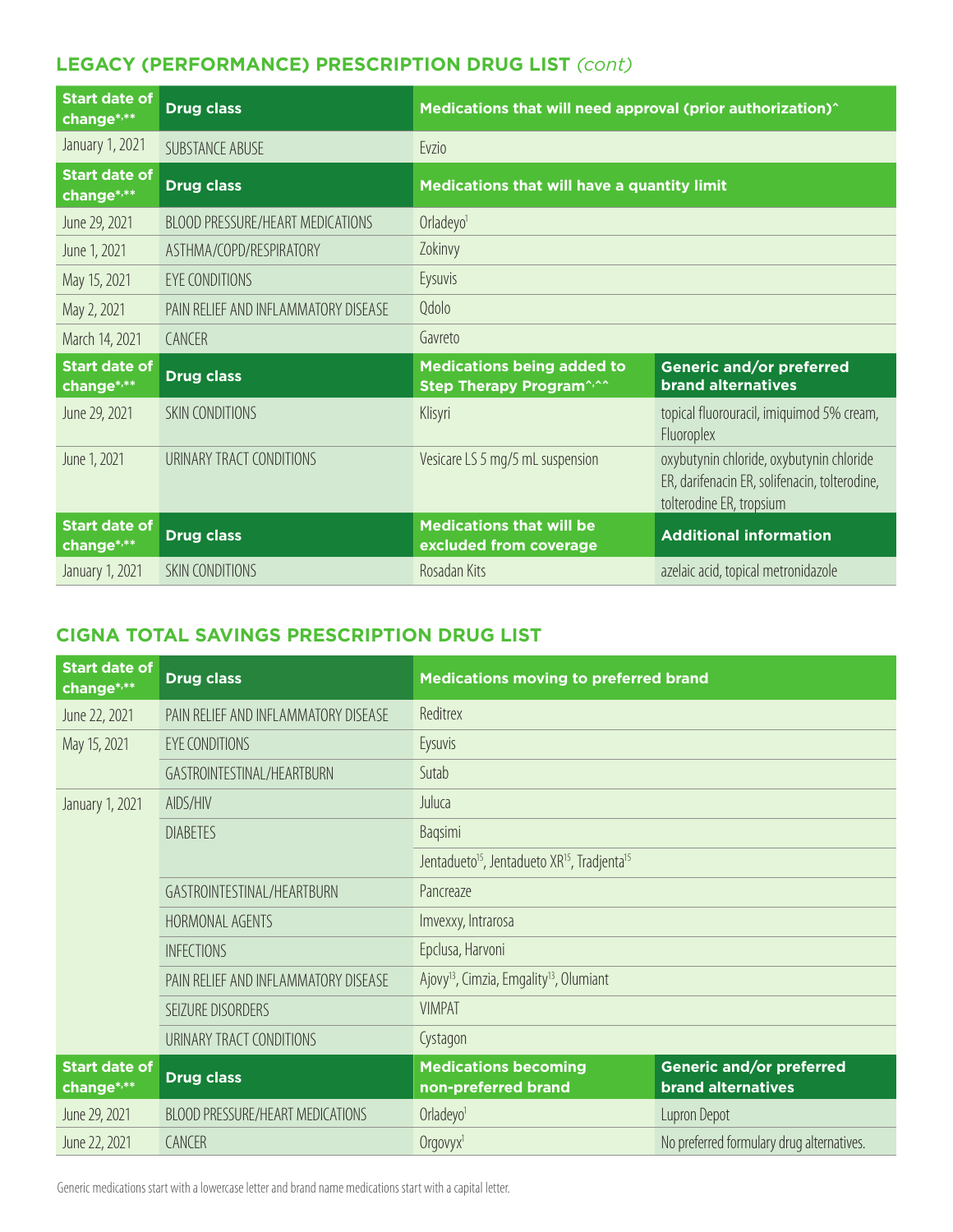#### **LEGACY (PERFORMANCE) PRESCRIPTION DRUG LIST** *(cont)*

| <b>Start date of</b><br>change*,**             | <b>Drug class</b>                       | Medications that will need approval (prior authorization)^                      |                                                                                                                       |  |
|------------------------------------------------|-----------------------------------------|---------------------------------------------------------------------------------|-----------------------------------------------------------------------------------------------------------------------|--|
| January 1, 2021                                | <b>SUBSTANCE ABUSE</b>                  | Evzio                                                                           |                                                                                                                       |  |
| <b>Start date of</b><br>change*,**             | <b>Drug class</b>                       | Medications that will have a quantity limit                                     |                                                                                                                       |  |
| June 29, 2021                                  | <b>BLOOD PRESSURE/HEART MEDICATIONS</b> | Orladeyo <sup>1</sup>                                                           |                                                                                                                       |  |
| June 1, 2021                                   | ASTHMA/COPD/RESPIRATORY                 | Zokinvy                                                                         |                                                                                                                       |  |
| May 15, 2021                                   | EYE CONDITIONS                          | Eysuvis                                                                         |                                                                                                                       |  |
| May 2, 2021                                    | PAIN RELIEF AND INFLAMMATORY DISEASE    | Qdolo                                                                           |                                                                                                                       |  |
| March 14, 2021                                 | CANCER                                  | Gavreto                                                                         |                                                                                                                       |  |
| <b>Start date of</b><br>change*,**             | <b>Drug class</b>                       | <b>Medications being added to</b><br><b>Step Therapy Program<sup>^,^^</sup></b> | <b>Generic and/or preferred</b><br><b>brand alternatives</b>                                                          |  |
| June 29, 2021                                  |                                         |                                                                                 |                                                                                                                       |  |
|                                                | <b>SKIN CONDITIONS</b>                  | Klisyri                                                                         | topical fluorouracil, imiquimod 5% cream,<br>Fluoroplex                                                               |  |
| June 1, 2021                                   | URINARY TRACT CONDITIONS                | Vesicare LS 5 mg/5 mL suspension                                                | oxybutynin chloride, oxybutynin chloride<br>ER, darifenacin ER, solifenacin, tolterodine,<br>tolterodine ER, tropsium |  |
| <b>Start date of</b><br>change <sup>*,**</sup> | <b>Drug class</b>                       | <b>Medications that will be</b><br>excluded from coverage                       | <b>Additional information</b>                                                                                         |  |

#### **CIGNA TOTAL SAVINGS PRESCRIPTION DRUG LIST**

| <b>Start date of</b><br>change*,** | <b>Drug class</b>                       | <b>Medications moving to preferred brand</b>                                     |                                                              |
|------------------------------------|-----------------------------------------|----------------------------------------------------------------------------------|--------------------------------------------------------------|
| June 22, 2021                      | PAIN RELIEF AND INFLAMMATORY DISEASE    | Reditrex                                                                         |                                                              |
| May 15, 2021                       | <b>EYE CONDITIONS</b>                   | Eysuvis                                                                          |                                                              |
|                                    | GASTROINTESTINAL/HEARTBURN              | Sutab                                                                            |                                                              |
| January 1, 2021                    | AIDS/HIV                                | Juluca                                                                           |                                                              |
|                                    | <b>DIABETES</b>                         | Baqsimi                                                                          |                                                              |
|                                    |                                         | Jentadueto <sup>15</sup> , Jentadueto XR <sup>15</sup> , Tradjenta <sup>15</sup> |                                                              |
|                                    | GASTROINTESTINAL/HEARTBURN              | Pancreaze                                                                        |                                                              |
|                                    | HORMONAL AGENTS                         | Imvexxy, Intrarosa                                                               |                                                              |
|                                    | <b>INFECTIONS</b>                       | Epclusa, Harvoni                                                                 |                                                              |
|                                    | PAIN RELIEF AND INFLAMMATORY DISEASE    | Ajovy <sup>13</sup> , Cimzia, Emgality <sup>13</sup> , Olumiant                  |                                                              |
|                                    | SEIZURE DISORDERS                       | <b>VIMPAT</b>                                                                    |                                                              |
|                                    | URINARY TRACT CONDITIONS                | Cystagon                                                                         |                                                              |
| <b>Start date of</b><br>change*,** | <b>Drug class</b>                       | <b>Medications becoming</b><br>non-preferred brand                               | <b>Generic and/or preferred</b><br><b>brand alternatives</b> |
| June 29, 2021                      | <b>BLOOD PRESSURE/HEART MEDICATIONS</b> | Orladeyo <sup>1</sup>                                                            | Lupron Depot                                                 |
| June 22, 2021                      | <b>CANCER</b>                           | $O$ rgovy $x^1$                                                                  | No preferred formulary drug alternatives.                    |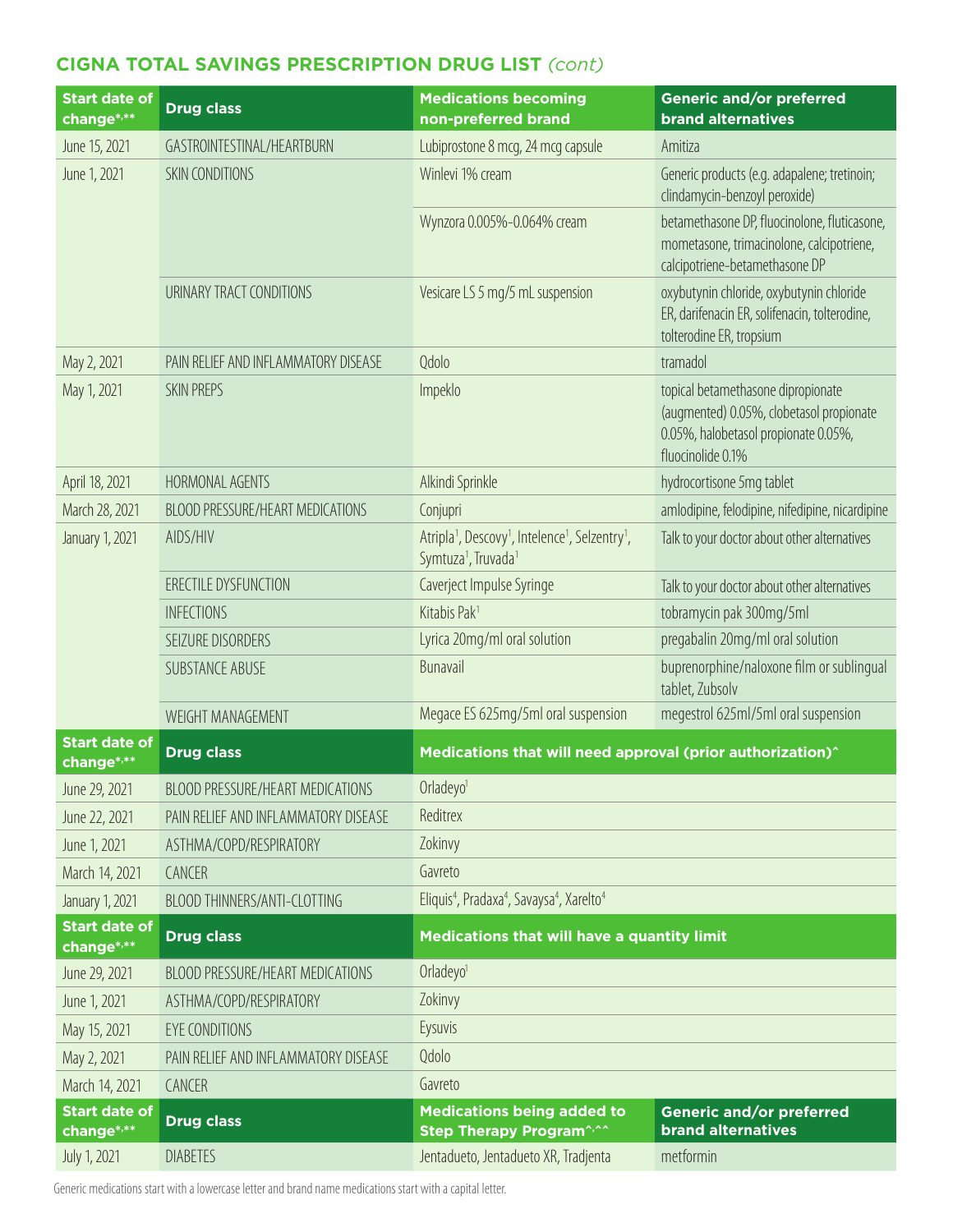| <b>Start date of</b><br>change*,** | <b>Drug class</b>                       | <b>Medications becoming</b><br>non-preferred brand                                                                                             | <b>Generic and/or preferred</b><br><b>brand alternatives</b>                                                                                |
|------------------------------------|-----------------------------------------|------------------------------------------------------------------------------------------------------------------------------------------------|---------------------------------------------------------------------------------------------------------------------------------------------|
| June 15, 2021                      | GASTROINTESTINAL/HEARTBURN              | Lubiprostone 8 mcg, 24 mcg capsule                                                                                                             | Amitiza                                                                                                                                     |
| June 1, 2021                       | <b>SKIN CONDITIONS</b>                  | Winlevi 1% cream                                                                                                                               | Generic products (e.g. adapalene; tretinoin;<br>clindamycin-benzoyl peroxide)                                                               |
|                                    |                                         | Wynzora 0.005%-0.064% cream                                                                                                                    | betamethasone DP, fluocinolone, fluticasone,<br>mometasone, trimacinolone, calcipotriene,<br>calcipotriene-betamethasone DP                 |
|                                    | URINARY TRACT CONDITIONS                | Vesicare LS 5 mg/5 mL suspension                                                                                                               | oxybutynin chloride, oxybutynin chloride<br>ER, darifenacin ER, solifenacin, tolterodine,<br>tolterodine ER, tropsium                       |
| May 2, 2021                        | PAIN RELIEF AND INFLAMMATORY DISEASE    | Qdolo                                                                                                                                          | tramadol                                                                                                                                    |
| May 1, 2021                        | <b>SKIN PREPS</b>                       | Impeklo                                                                                                                                        | topical betamethasone dipropionate<br>(augmented) 0.05%, clobetasol propionate<br>0.05%, halobetasol propionate 0.05%,<br>fluocinolide 0.1% |
| April 18, 2021                     | HORMONAL AGENTS                         | Alkindi Sprinkle                                                                                                                               | hydrocortisone 5mg tablet                                                                                                                   |
| March 28, 2021                     | BLOOD PRESSURE/HEART MEDICATIONS        | Conjupri                                                                                                                                       | amlodipine, felodipine, nifedipine, nicardipine                                                                                             |
| January 1, 2021                    | AIDS/HIV                                | Atripla <sup>1</sup> , Descovy <sup>1</sup> , Intelence <sup>1</sup> , Selzentry <sup>1</sup> ,<br>Symtuza <sup>1</sup> , Truvada <sup>1</sup> | Talk to your doctor about other alternatives                                                                                                |
|                                    | ERECTILE DYSFUNCTION                    | Caverject Impulse Syringe                                                                                                                      | Talk to your doctor about other alternatives                                                                                                |
|                                    | <b>INFECTIONS</b>                       | Kitabis Pak <sup>1</sup>                                                                                                                       | tobramycin pak 300mg/5ml                                                                                                                    |
|                                    | SEIZURE DISORDERS                       | Lyrica 20mg/ml oral solution                                                                                                                   | pregabalin 20mg/ml oral solution                                                                                                            |
|                                    | <b>SUBSTANCE ABUSE</b>                  | Bunavail                                                                                                                                       | buprenorphine/naloxone film or sublingual<br>tablet, Zubsolv                                                                                |
|                                    | <b>WEIGHT MANAGEMENT</b>                | Megace ES 625mg/5ml oral suspension                                                                                                            | megestrol 625ml/5ml oral suspension                                                                                                         |
| <b>Start date of</b><br>change*,** | <b>Drug class</b>                       | Medications that will need approval (prior authorization)^                                                                                     |                                                                                                                                             |
| June 29, 2021                      | BLOOD PRESSURE/HEART MEDICATIONS        | Orladeyo <sup>1</sup>                                                                                                                          |                                                                                                                                             |
| June 22, 2021                      | PAIN RELIEF AND INFLAMMATORY DISEASE    | Reditrex                                                                                                                                       |                                                                                                                                             |
| June 1, 2021                       | ASTHMA/COPD/RESPIRATORY                 | Zokinvy                                                                                                                                        |                                                                                                                                             |
| March 14, 2021                     | CANCER                                  | Gavreto                                                                                                                                        |                                                                                                                                             |
| January 1, 2021                    | BLOOD THINNERS/ANTI-CLOTTING            | Eliquis <sup>4</sup> , Pradaxa <sup>4</sup> , Savaysa <sup>4</sup> , Xarelto <sup>4</sup>                                                      |                                                                                                                                             |
| <b>Start date of</b><br>change*,** | <b>Drug class</b>                       | Medications that will have a quantity limit                                                                                                    |                                                                                                                                             |
| June 29, 2021                      | <b>BLOOD PRESSURE/HEART MEDICATIONS</b> | Orladeyo <sup>1</sup>                                                                                                                          |                                                                                                                                             |
| June 1, 2021                       | ASTHMA/COPD/RESPIRATORY                 | Zokinvy                                                                                                                                        |                                                                                                                                             |
| May 15, 2021                       | <b>EYE CONDITIONS</b>                   | Eysuvis                                                                                                                                        |                                                                                                                                             |
| May 2, 2021                        | PAIN RELIEF AND INFLAMMATORY DISEASE    | Qdolo                                                                                                                                          |                                                                                                                                             |
| March 14, 2021                     | CANCER                                  | Gavreto                                                                                                                                        |                                                                                                                                             |
| <b>Start date of</b><br>change*,** | <b>Drug class</b>                       | <b>Medications being added to</b><br><b>Step Therapy Program<sup>^,^^</sup></b>                                                                | <b>Generic and/or preferred</b><br><b>brand alternatives</b>                                                                                |
| July 1, 2021                       | <b>DIABETES</b>                         | Jentadueto, Jentadueto XR, Tradjenta                                                                                                           | metformin                                                                                                                                   |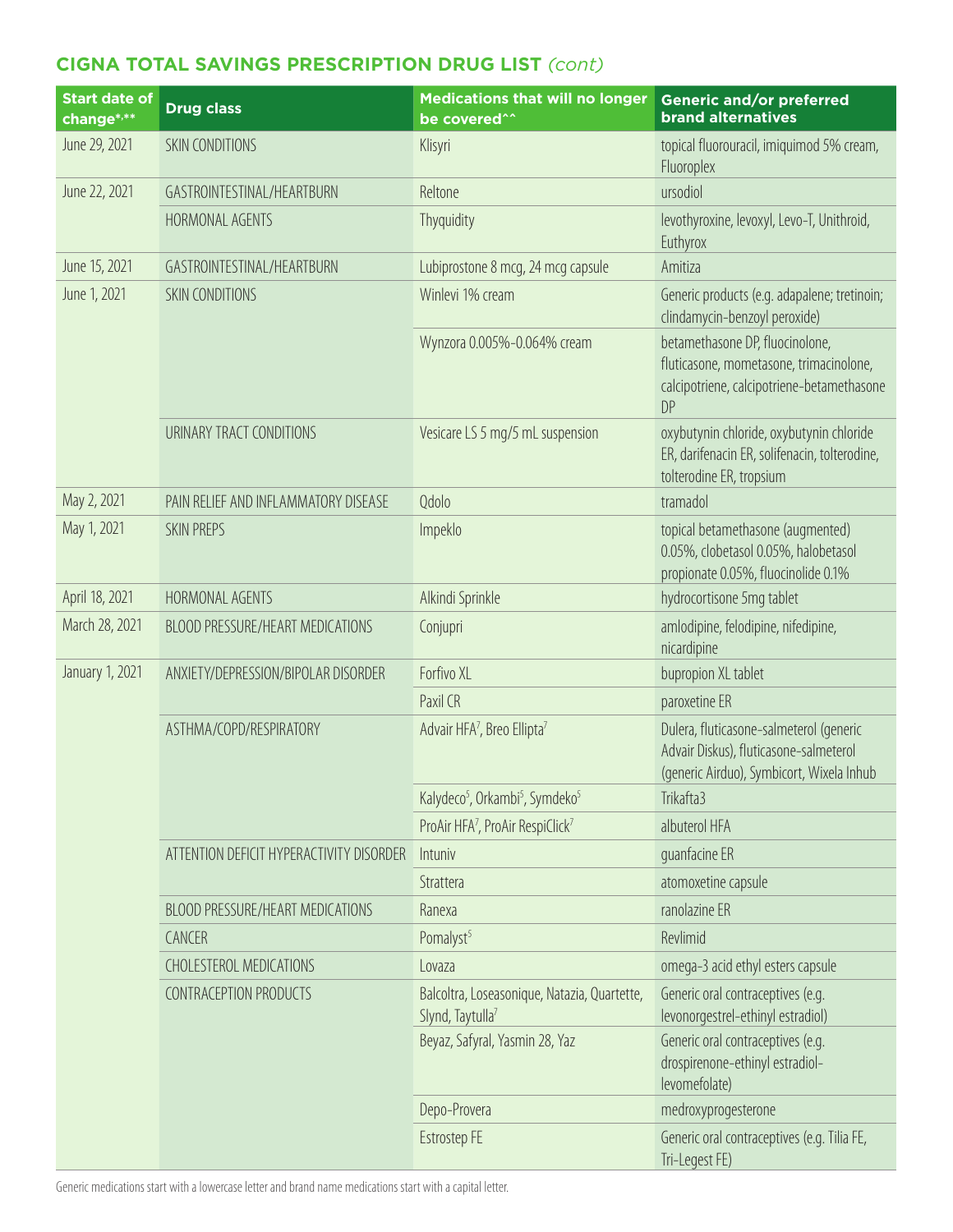| <b>Start date of</b><br>change*,** | <b>Drug class</b>                        | <b>Medications that will no longer</b><br>be covered^^                       | Generic and/or preferred<br><b>brand alternatives</b>                                                                          |
|------------------------------------|------------------------------------------|------------------------------------------------------------------------------|--------------------------------------------------------------------------------------------------------------------------------|
| June 29, 2021                      | SKIN CONDITIONS                          | Klisyri                                                                      | topical fluorouracil, imiquimod 5% cream,<br>Fluoroplex                                                                        |
| June 22, 2021                      | GASTROINTESTINAL/HEARTBURN               | Reltone                                                                      | ursodiol                                                                                                                       |
|                                    | HORMONAL AGENTS                          | Thyquidity                                                                   | levothyroxine, levoxyl, Levo-T, Unithroid,<br>Euthyrox                                                                         |
| June 15, 2021                      | GASTROINTESTINAL/HEARTBURN               | Lubiprostone 8 mcg, 24 mcg capsule                                           | Amitiza                                                                                                                        |
| June 1, 2021                       | <b>SKIN CONDITIONS</b>                   | Winlevi 1% cream                                                             | Generic products (e.g. adapalene; tretinoin;<br>clindamycin-benzoyl peroxide)                                                  |
|                                    |                                          | Wynzora 0.005%-0.064% cream                                                  | betamethasone DP, fluocinolone,<br>fluticasone, mometasone, trimacinolone,<br>calcipotriene, calcipotriene-betamethasone<br>DP |
|                                    | URINARY TRACT CONDITIONS                 | Vesicare LS 5 mg/5 mL suspension                                             | oxybutynin chloride, oxybutynin chloride<br>ER, darifenacin ER, solifenacin, tolterodine,<br>tolterodine ER, tropsium          |
| May 2, 2021                        | PAIN RELIEF AND INFLAMMATORY DISEASE     | Qdolo                                                                        | tramadol                                                                                                                       |
| May 1, 2021                        | <b>SKIN PREPS</b>                        | Impeklo                                                                      | topical betamethasone (augmented)<br>0.05%, clobetasol 0.05%, halobetasol<br>propionate 0.05%, fluocinolide 0.1%               |
| April 18, 2021                     | HORMONAL AGENTS                          | Alkindi Sprinkle                                                             | hydrocortisone 5mg tablet                                                                                                      |
| March 28, 2021                     | BLOOD PRESSURE/HEART MEDICATIONS         | Conjupri                                                                     | amlodipine, felodipine, nifedipine,<br>nicardipine                                                                             |
| January 1, 2021                    | ANXIETY/DEPRESSION/BIPOLAR DISORDER      | Forfivo XL                                                                   | bupropion XL tablet                                                                                                            |
|                                    |                                          | Paxil CR                                                                     | paroxetine ER                                                                                                                  |
|                                    | ASTHMA/COPD/RESPIRATORY                  | Advair HFA7, Breo Ellipta7                                                   | Dulera, fluticasone-salmeterol (generic<br>Advair Diskus), fluticasone-salmeterol<br>(generic Airduo), Symbicort, Wixela Inhub |
|                                    |                                          | Kalydeco <sup>5</sup> , Orkambi <sup>5</sup> , Symdeko <sup>5</sup>          | Trikafta3                                                                                                                      |
|                                    |                                          | ProAir HFA7, ProAir RespiClick7                                              | albuterol HFA                                                                                                                  |
|                                    | ATTENTION DEFICIT HYPERACTIVITY DISORDER | Intuniv                                                                      | guanfacine ER                                                                                                                  |
|                                    |                                          | Strattera                                                                    | atomoxetine capsule                                                                                                            |
|                                    | BLOOD PRESSURE/HEART MEDICATIONS         | Ranexa                                                                       | ranolazine ER                                                                                                                  |
|                                    | CANCER                                   | Pomalyst <sup>5</sup>                                                        | Revlimid                                                                                                                       |
|                                    | CHOLESTEROL MEDICATIONS                  | Lovaza                                                                       | omega-3 acid ethyl esters capsule                                                                                              |
|                                    | CONTRACEPTION PRODUCTS                   | Balcoltra, Loseasonique, Natazia, Quartette,<br>Slynd, Taytulla <sup>7</sup> | Generic oral contraceptives (e.g.<br>levonorgestrel-ethinyl estradiol)                                                         |
|                                    |                                          | Beyaz, Safyral, Yasmin 28, Yaz                                               | Generic oral contraceptives (e.g.<br>drospirenone-ethinyl estradiol-<br>levomefolate)                                          |
|                                    |                                          | Depo-Provera                                                                 | medroxyprogesterone                                                                                                            |
|                                    |                                          | Estrostep FE                                                                 | Generic oral contraceptives (e.g. Tilia FE,<br>Tri-Legest FE)                                                                  |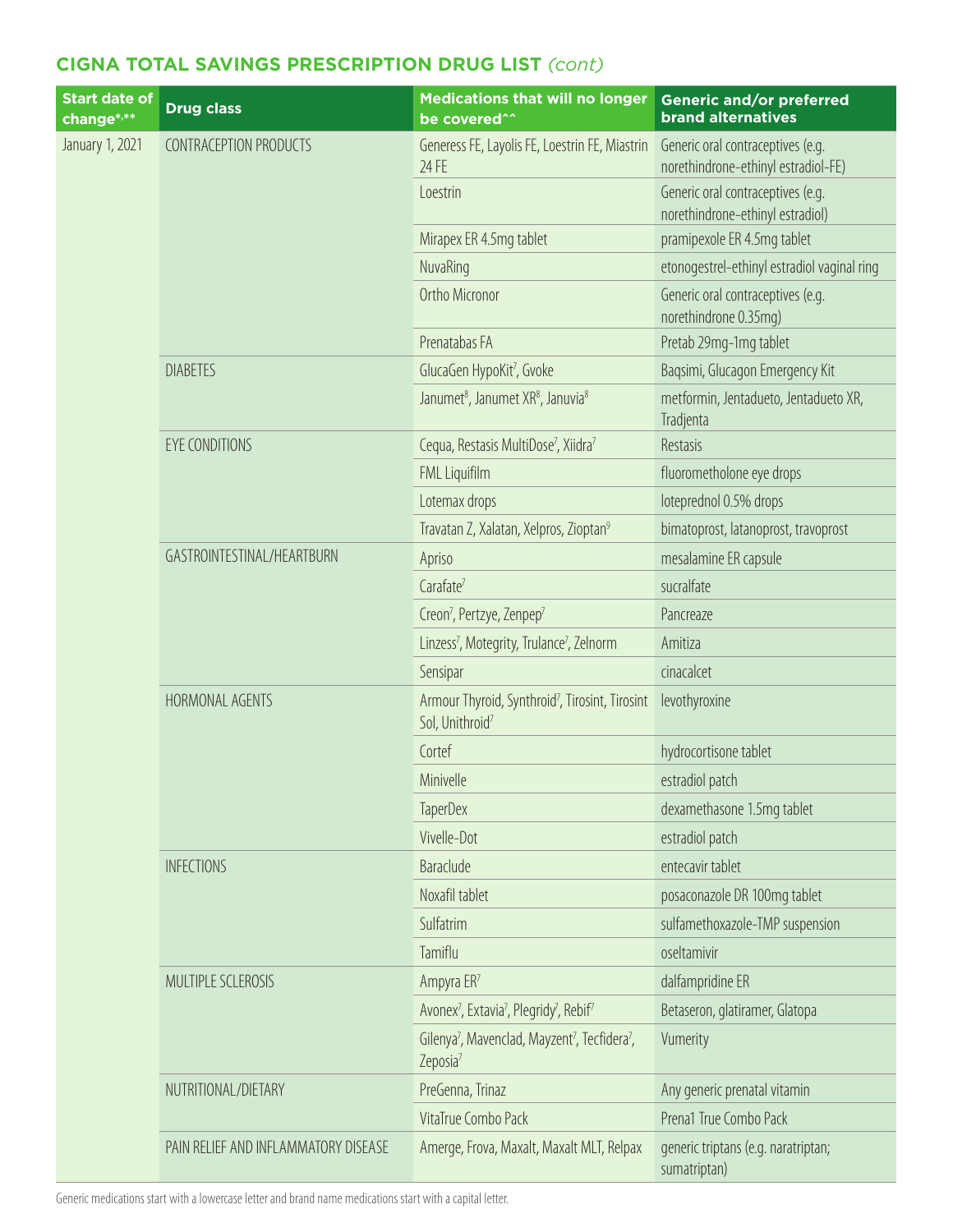| <b>Start date of</b><br>change*,** | <b>Drug class</b>                    | <b>Medications that will no longer</b><br>be covered^^                                                    | <b>Generic and/or preferred</b><br><b>brand alternatives</b>             |
|------------------------------------|--------------------------------------|-----------------------------------------------------------------------------------------------------------|--------------------------------------------------------------------------|
| January 1, 2021                    | CONTRACEPTION PRODUCTS               | Generess FE, Layolis FE, Loestrin FE, Miastrin<br>24 FE                                                   | Generic oral contraceptives (e.g.<br>norethindrone-ethinyl estradiol-FE) |
|                                    |                                      | Loestrin                                                                                                  | Generic oral contraceptives (e.g.<br>norethindrone-ethinyl estradiol)    |
|                                    |                                      | Mirapex ER 4.5mg tablet                                                                                   | pramipexole ER 4.5mg tablet                                              |
|                                    |                                      | NuvaRing                                                                                                  | etonogestrel-ethinyl estradiol vaginal ring                              |
|                                    |                                      | Ortho Micronor                                                                                            | Generic oral contraceptives (e.g.<br>norethindrone 0.35mq)               |
|                                    |                                      | Prenatabas FA                                                                                             | Pretab 29mg-1mg tablet                                                   |
|                                    | <b>DIABETES</b>                      | GlucaGen HypoKit <sup>7</sup> , Gvoke                                                                     | Bagsimi, Glucagon Emergency Kit                                          |
|                                    |                                      | Janumet <sup>8</sup> , Janumet XR <sup>8</sup> , Januvia <sup>8</sup>                                     | metformin, Jentadueto, Jentadueto XR,<br>Tradjenta                       |
|                                    | <b>EYE CONDITIONS</b>                | Cequa, Restasis MultiDose <sup>7</sup> , Xiidra <sup>7</sup>                                              | Restasis                                                                 |
|                                    |                                      | FML Liquifilm                                                                                             | fluorometholone eye drops                                                |
|                                    |                                      | Lotemax drops                                                                                             | loteprednol 0.5% drops                                                   |
|                                    |                                      | Travatan Z, Xalatan, Xelpros, Zioptan <sup>9</sup>                                                        | bimatoprost, latanoprost, travoprost                                     |
|                                    | GASTROINTESTINAL/HEARTBURN           | Apriso                                                                                                    | mesalamine ER capsule                                                    |
|                                    |                                      | Carafate <sup>7</sup>                                                                                     | sucralfate                                                               |
|                                    |                                      | Creon <sup>7</sup> , Pertzye, Zenpep <sup>7</sup>                                                         | Pancreaze                                                                |
|                                    |                                      | Linzess <sup>7</sup> , Motegrity, Trulance <sup>7</sup> , Zelnorm                                         | Amitiza                                                                  |
|                                    |                                      | Sensipar                                                                                                  | cinacalcet                                                               |
|                                    | <b>HORMONAL AGENTS</b>               | Armour Thyroid, Synthroid <sup>7</sup> , Tirosint, Tirosint<br>Sol, Unithroid <sup>7</sup>                | levothyroxine                                                            |
|                                    |                                      | Cortef                                                                                                    | hydrocortisone tablet                                                    |
|                                    |                                      | Minivelle                                                                                                 | estradiol patch                                                          |
|                                    |                                      | <b>TaperDex</b>                                                                                           | dexamethasone 1.5mg tablet                                               |
|                                    |                                      | Vivelle-Dot                                                                                               | estradiol patch                                                          |
|                                    | <b>INFECTIONS</b>                    | Baraclude                                                                                                 | entecavir tablet                                                         |
|                                    |                                      | Noxafil tablet                                                                                            | posaconazole DR 100mg tablet                                             |
|                                    |                                      | Sulfatrim                                                                                                 | sulfamethoxazole-TMP suspension                                          |
|                                    |                                      | Tamiflu                                                                                                   | oseltamivir                                                              |
|                                    | MULTIPLE SCLEROSIS                   | Ampyra ER7                                                                                                | dalfampridine ER                                                         |
|                                    |                                      | Avonex <sup>7</sup> , Extavia <sup>7</sup> , Plegridy <sup>7</sup> , Rebif <sup>7</sup>                   | Betaseron, glatiramer, Glatopa                                           |
|                                    |                                      | Gilenya <sup>7</sup> , Mavenclad, Mayzent <sup>7</sup> , Tecfidera <sup>7</sup> ,<br>Zeposia <sup>7</sup> | Vumerity                                                                 |
|                                    | NUTRITIONAL/DIETARY                  | PreGenna, Trinaz                                                                                          | Any generic prenatal vitamin                                             |
|                                    |                                      | VitaTrue Combo Pack                                                                                       | Prena1 True Combo Pack                                                   |
|                                    | PAIN RELIEF AND INFLAMMATORY DISEASE | Amerge, Frova, Maxalt, Maxalt MLT, Relpax                                                                 | generic triptans (e.g. naratriptan;<br>sumatriptan)                      |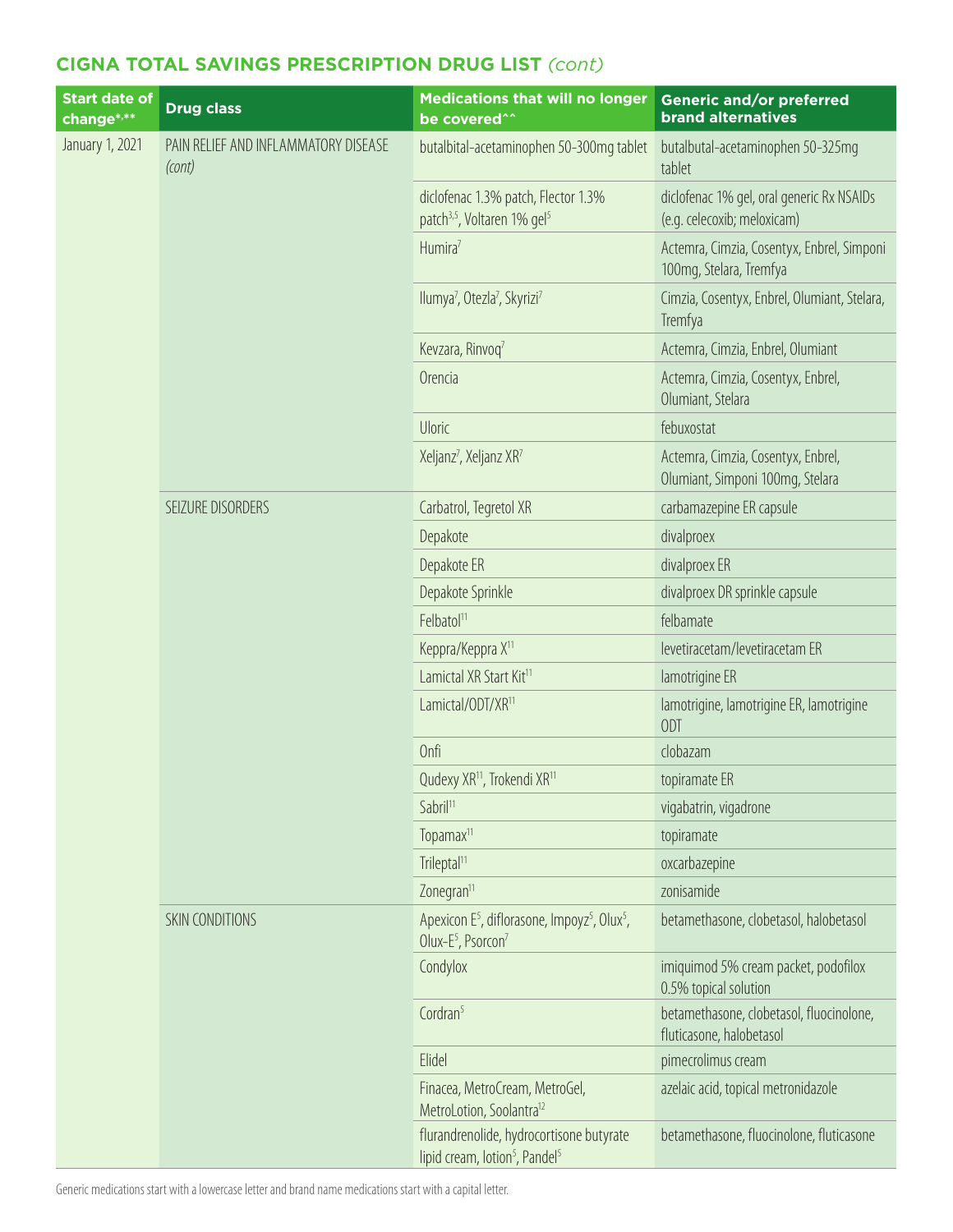| <b>Start date of</b><br>change*,** | <b>Drug class</b>                              | <b>Medications that will no longer</b><br>be covered^^                                                                         | Generic and/or preferred<br><b>brand alternatives</b>                    |
|------------------------------------|------------------------------------------------|--------------------------------------------------------------------------------------------------------------------------------|--------------------------------------------------------------------------|
| January 1, 2021                    | PAIN RELIEF AND INFLAMMATORY DISEASE<br>(cont) | butalbital-acetaminophen 50-300mg tablet                                                                                       | butalbutal-acetaminophen 50-325mg<br>tablet                              |
|                                    |                                                | diclofenac 1.3% patch, Flector 1.3%<br>patch <sup>3,5</sup> , Voltaren 1% gel <sup>5</sup>                                     | diclofenac 1% gel, oral generic Rx NSAIDs<br>(e.g. celecoxib; meloxicam) |
|                                    |                                                | Humira <sup>7</sup>                                                                                                            | Actemra, Cimzia, Cosentyx, Enbrel, Simponi<br>100mg, Stelara, Tremfya    |
|                                    |                                                | Ilumya <sup>7</sup> , Otezla <sup>7</sup> , Skyrizi <sup>7</sup>                                                               | Cimzia, Cosentyx, Enbrel, Olumiant, Stelara,<br>Tremfya                  |
|                                    |                                                | Kevzara, Rinvoq <sup>7</sup>                                                                                                   | Actemra, Cimzia, Enbrel, Olumiant                                        |
|                                    |                                                | Orencia                                                                                                                        | Actemra, Cimzia, Cosentyx, Enbrel,<br>Olumiant, Stelara                  |
|                                    |                                                | <b>Uloric</b>                                                                                                                  | febuxostat                                                               |
|                                    |                                                | Xeljanz <sup>7</sup> , Xeljanz XR <sup>7</sup>                                                                                 | Actemra, Cimzia, Cosentyx, Enbrel,<br>Olumiant, Simponi 100mg, Stelara   |
|                                    | SEIZURE DISORDERS                              | Carbatrol, Tegretol XR                                                                                                         | carbamazepine ER capsule                                                 |
|                                    |                                                | Depakote                                                                                                                       | divalproex                                                               |
|                                    |                                                | Depakote ER                                                                                                                    | divalproex ER                                                            |
|                                    |                                                | Depakote Sprinkle                                                                                                              | divalproex DR sprinkle capsule                                           |
|                                    |                                                | Felbatol <sup>11</sup>                                                                                                         | felbamate                                                                |
|                                    |                                                | Keppra/Keppra X <sup>11</sup>                                                                                                  | levetiracetam/levetiracetam ER                                           |
|                                    |                                                | Lamictal XR Start Kit <sup>11</sup>                                                                                            | lamotrigine ER                                                           |
|                                    |                                                | Lamictal/ODT/XR <sup>11</sup>                                                                                                  | lamotrigine, lamotrigine ER, lamotrigine<br><b>ODT</b>                   |
|                                    |                                                | Onfi                                                                                                                           | clobazam                                                                 |
|                                    |                                                | Qudexy XR <sup>11</sup> , Trokendi XR <sup>11</sup>                                                                            | topiramate ER                                                            |
|                                    |                                                | Sabril <sup>11</sup>                                                                                                           | vigabatrin, vigadrone                                                    |
|                                    |                                                | Topamax <sup>11</sup>                                                                                                          | topiramate                                                               |
|                                    |                                                | Trileptal <sup>11</sup>                                                                                                        | oxcarbazepine                                                            |
|                                    |                                                | Zonegran <sup>11</sup>                                                                                                         | zonisamide                                                               |
|                                    | SKIN CONDITIONS                                | Apexicon E <sup>5</sup> , diflorasone, Impoyz <sup>5</sup> , Olux <sup>5</sup> ,<br>Olux-E <sup>5</sup> , Psorcon <sup>7</sup> | betamethasone, clobetasol, halobetasol                                   |
|                                    |                                                | Condylox                                                                                                                       | imiquimod 5% cream packet, podofilox<br>0.5% topical solution            |
|                                    |                                                | Cordran <sup>5</sup>                                                                                                           | betamethasone, clobetasol, fluocinolone,<br>fluticasone, halobetasol     |
|                                    |                                                | Elidel                                                                                                                         | pimecrolimus cream                                                       |
|                                    |                                                | Finacea, MetroCream, MetroGel,<br>MetroLotion, Soolantra <sup>12</sup>                                                         | azelaic acid, topical metronidazole                                      |
|                                    |                                                | flurandrenolide, hydrocortisone butyrate<br>lipid cream, lotion <sup>5</sup> , Pandel <sup>5</sup>                             | betamethasone, fluocinolone, fluticasone                                 |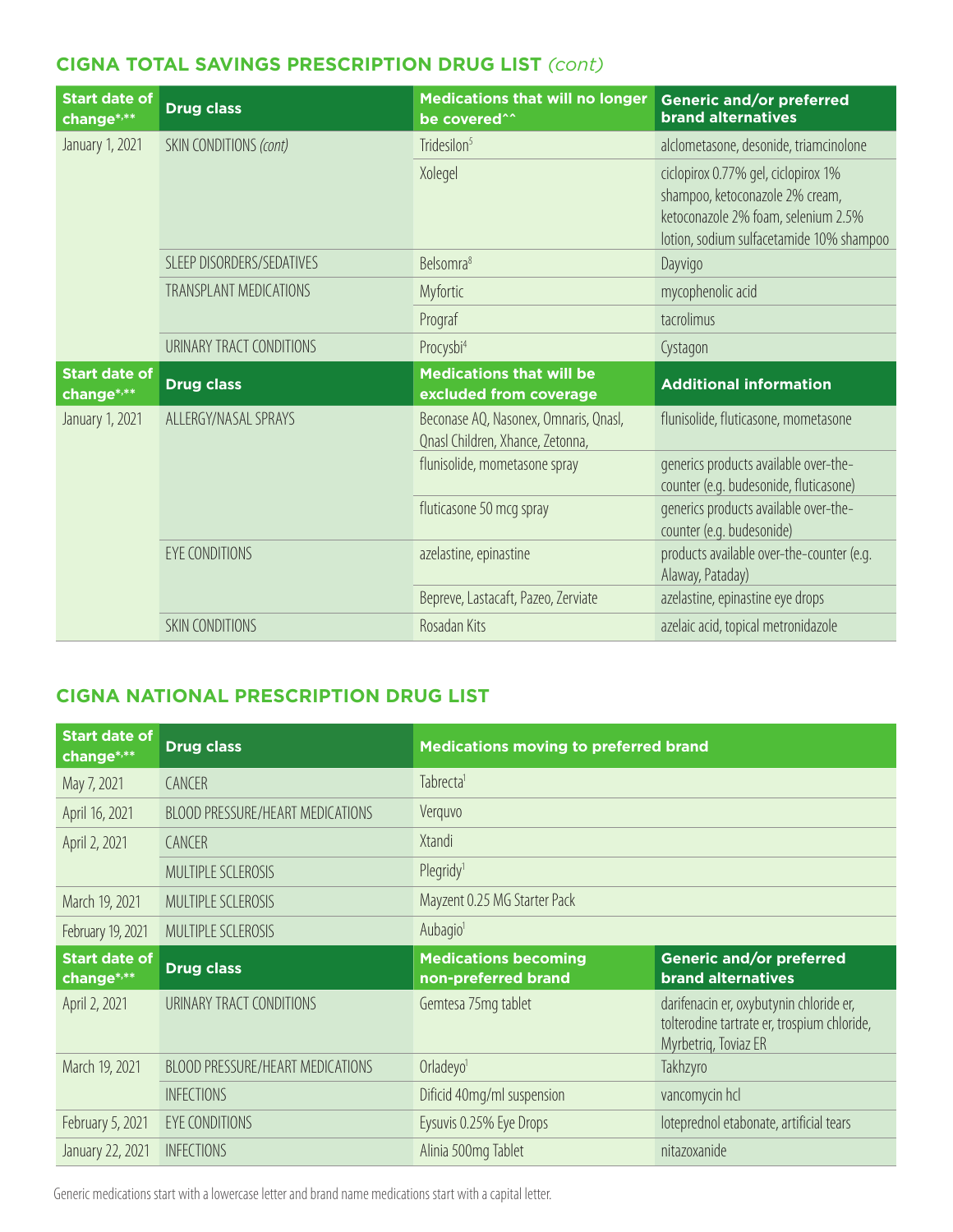| <b>Start date of</b><br>change*,** | <b>Drug class</b>             | <b>Medications that will no longer</b><br>be covered^^                    | <b>Generic and/or preferred</b><br><b>brand alternatives</b>                                                                                              |
|------------------------------------|-------------------------------|---------------------------------------------------------------------------|-----------------------------------------------------------------------------------------------------------------------------------------------------------|
| January 1, 2021                    | SKIN CONDITIONS (cont)        | Tridesilon <sup>5</sup>                                                   | alclometasone, desonide, triamcinolone                                                                                                                    |
|                                    |                               | Xolegel                                                                   | ciclopirox 0.77% gel, ciclopirox 1%<br>shampoo, ketoconazole 2% cream,<br>ketoconazole 2% foam, selenium 2.5%<br>lotion, sodium sulfacetamide 10% shampoo |
|                                    | SLEEP DISORDERS/SEDATIVES     | Belsomra <sup>8</sup>                                                     | Dayvigo                                                                                                                                                   |
|                                    | <b>TRANSPLANT MEDICATIONS</b> | Myfortic                                                                  | mycophenolic acid                                                                                                                                         |
|                                    |                               | Prograf                                                                   | tacrolimus                                                                                                                                                |
|                                    | URINARY TRACT CONDITIONS      | Procysbi <sup>4</sup>                                                     | Cystagon                                                                                                                                                  |
|                                    |                               |                                                                           |                                                                                                                                                           |
| <b>Start date of</b><br>change*,** | <b>Drug class</b>             | <b>Medications that will be</b><br>excluded from coverage                 | <b>Additional information</b>                                                                                                                             |
| January 1, 2021                    | ALLERGY/NASAL SPRAYS          | Beconase AQ, Nasonex, Omnaris, Qnasl,<br>Qnasl Children, Xhance, Zetonna, | flunisolide, fluticasone, mometasone                                                                                                                      |
|                                    |                               | flunisolide, mometasone spray                                             | generics products available over-the-<br>counter (e.g. budesonide, fluticasone)                                                                           |
|                                    |                               | fluticasone 50 mcg spray                                                  | generics products available over-the-<br>counter (e.g. budesonide)                                                                                        |
|                                    | EYE CONDITIONS                | azelastine, epinastine                                                    | products available over-the-counter (e.g.<br>Alaway, Pataday)                                                                                             |
|                                    |                               | Bepreve, Lastacaft, Pazeo, Zerviate                                       | azelastine, epinastine eye drops                                                                                                                          |

# **CIGNA NATIONAL PRESCRIPTION DRUG LIST**

| <b>Start date of</b><br>change*,** | <b>Drug class</b>                | <b>Medications moving to preferred brand</b>       |                                                                                                                |
|------------------------------------|----------------------------------|----------------------------------------------------|----------------------------------------------------------------------------------------------------------------|
| May 7, 2021                        | CANCER                           | Tabrecta <sup>1</sup>                              |                                                                                                                |
| April 16, 2021                     | BLOOD PRESSURE/HEART MEDICATIONS | Verguvo                                            |                                                                                                                |
| April 2, 2021                      | <b>CANCER</b>                    | Xtandi<br>Plegridy <sup>1</sup>                    |                                                                                                                |
|                                    | MULTIPLE SCLEROSIS               |                                                    |                                                                                                                |
| March 19, 2021                     | <b>MULTIPLE SCLEROSIS</b>        | Mayzent 0.25 MG Starter Pack                       |                                                                                                                |
| February 19, 2021                  | MULTIPLE SCLEROSIS               | Aubagio <sup>1</sup>                               |                                                                                                                |
|                                    |                                  |                                                    |                                                                                                                |
| <b>Start date of</b><br>change*,** | <b>Drug class</b>                | <b>Medications becoming</b><br>non-preferred brand | <b>Generic and/or preferred</b><br><b>brand alternatives</b>                                                   |
| April 2, 2021                      | URINARY TRACT CONDITIONS         | Gemtesa 75mg tablet                                | darifenacin er, oxybutynin chloride er,<br>tolterodine tartrate er, trospium chloride,<br>Myrbetrig, Toviaz ER |
| March 19, 2021                     | BLOOD PRESSURE/HEART MEDICATIONS | Orladeyo <sup>1</sup>                              | Takhzyro                                                                                                       |
|                                    | <b>INFECTIONS</b>                | Dificid 40mg/ml suspension                         | vancomycin hcl                                                                                                 |
| February 5, 2021                   | EYE CONDITIONS                   | Eysuvis 0.25% Eye Drops                            | loteprednol etabonate, artificial tears                                                                        |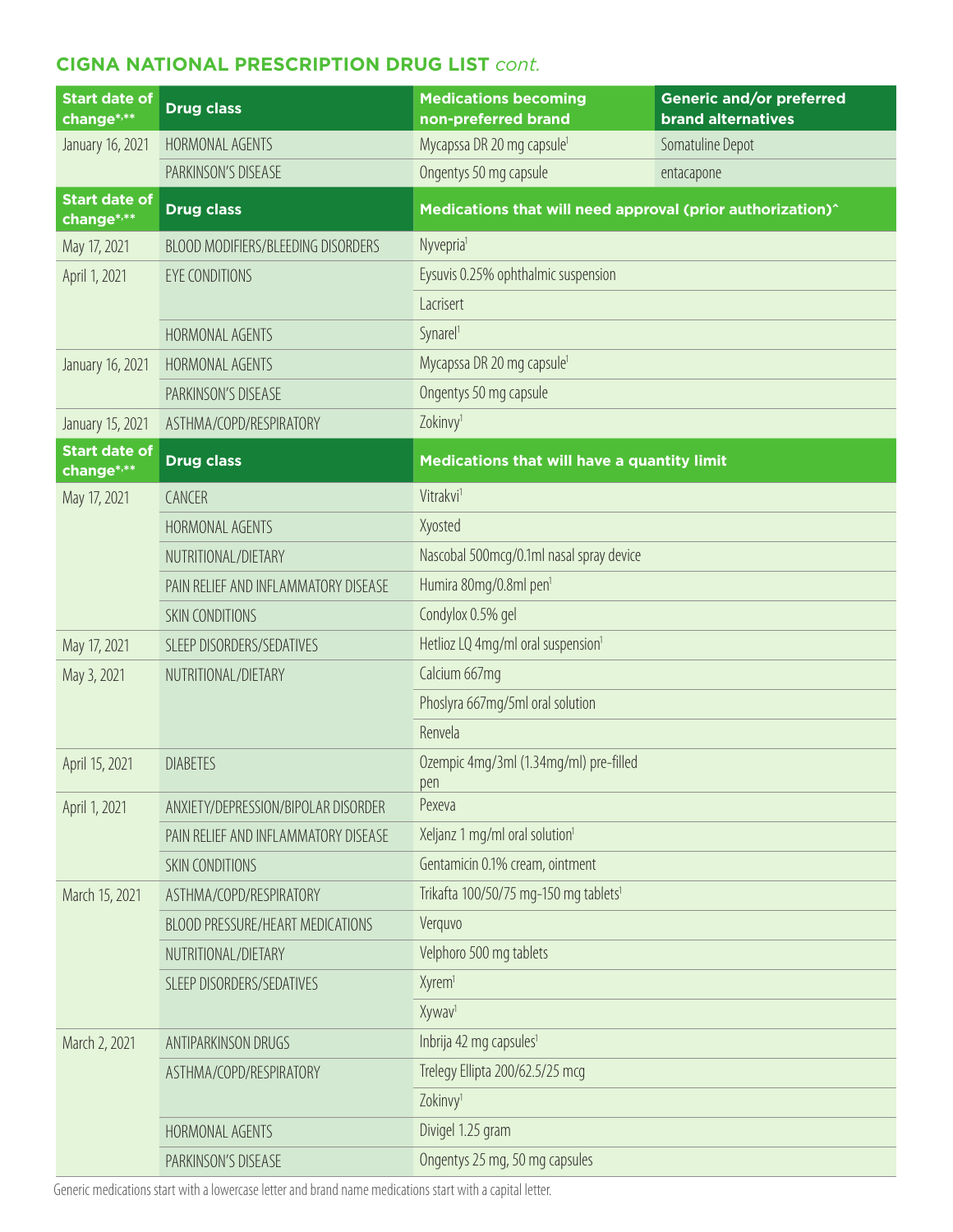#### **CIGNA NATIONAL PRESCRIPTION DRUG LIST** *cont.*

| <b>Start date of</b><br>change*,** | <b>Drug class</b>                    | <b>Medications becoming</b><br>non-preferred brand         | Generic and/or preferred<br><b>brand alternatives</b> |
|------------------------------------|--------------------------------------|------------------------------------------------------------|-------------------------------------------------------|
| January 16, 2021                   | HORMONAL AGENTS                      | Mycapssa DR 20 mg capsule <sup>1</sup>                     | Somatuline Depot                                      |
|                                    | PARKINSON'S DISEASE                  | Ongentys 50 mg capsule                                     | entacapone                                            |
| <b>Start date of</b><br>change*,** | <b>Drug class</b>                    | Medications that will need approval (prior authorization)^ |                                                       |
| May 17, 2021                       | BLOOD MODIFIERS/BLEEDING DISORDERS   | Nyvepria <sup>1</sup>                                      |                                                       |
| April 1, 2021                      | <b>EYE CONDITIONS</b>                | Eysuvis 0.25% ophthalmic suspension                        |                                                       |
|                                    |                                      | Lacrisert                                                  |                                                       |
|                                    | HORMONAL AGENTS                      | Synare <sup>1</sup>                                        |                                                       |
| January 16, 2021                   | HORMONAL AGENTS                      | Mycapssa DR 20 mg capsule <sup>1</sup>                     |                                                       |
|                                    | PARKINSON'S DISEASE                  | Ongentys 50 mg capsule                                     |                                                       |
| January 15, 2021                   | ASTHMA/COPD/RESPIRATORY              | Zokinvy <sup>1</sup>                                       |                                                       |
| <b>Start date of</b><br>change*,** | <b>Drug class</b>                    | Medications that will have a quantity limit                |                                                       |
| May 17, 2021                       | CANCER                               | Vitrakvi <sup>1</sup>                                      |                                                       |
|                                    | HORMONAL AGENTS                      | Xyosted                                                    |                                                       |
|                                    | NUTRITIONAL/DIETARY                  | Nascobal 500mcg/0.1ml nasal spray device                   |                                                       |
|                                    | PAIN RELIEF AND INFLAMMATORY DISEASE | Humira 80mg/0.8ml pen <sup>1</sup>                         |                                                       |
|                                    | SKIN CONDITIONS                      | Condylox 0.5% gel                                          |                                                       |
| May 17, 2021                       | SLEEP DISORDERS/SEDATIVES            | Hetlioz LQ 4mg/ml oral suspension <sup>1</sup>             |                                                       |
| May 3, 2021                        | NUTRITIONAL/DIETARY                  | Calcium 667mg                                              |                                                       |
|                                    |                                      | Phoslyra 667mg/5ml oral solution                           |                                                       |
|                                    |                                      | Renvela                                                    |                                                       |
| April 15, 2021                     | <b>DIABETES</b>                      | Ozempic 4mg/3ml (1.34mg/ml) pre-filled<br>pen              |                                                       |
| April 1, 2021                      | ANXIETY/DEPRESSION/BIPOLAR DISORDER  | Pexeva                                                     |                                                       |
|                                    | PAIN RELIEF AND INFLAMMATORY DISEASE | Xeljanz 1 mg/ml oral solution <sup>1</sup>                 |                                                       |
|                                    | <b>SKIN CONDITIONS</b>               | Gentamicin 0.1% cream, ointment                            |                                                       |
| March 15, 2021                     | ASTHMA/COPD/RESPIRATORY              | Trikafta 100/50/75 mg-150 mg tablets <sup>1</sup>          |                                                       |
|                                    | BLOOD PRESSURE/HEART MEDICATIONS     | Verquvo                                                    |                                                       |
|                                    | NUTRITIONAL/DIETARY                  | Velphoro 500 mg tablets                                    |                                                       |
|                                    | SLEEP DISORDERS/SEDATIVES            | Xyrem <sup>1</sup>                                         |                                                       |
|                                    |                                      | Xywav <sup>1</sup>                                         |                                                       |
| March 2, 2021                      | ANTIPARKINSON DRUGS                  | Inbrija 42 mg capsules <sup>1</sup>                        |                                                       |
|                                    | ASTHMA/COPD/RESPIRATORY              | Trelegy Ellipta 200/62.5/25 mcg                            |                                                       |
|                                    |                                      | Zokinvy <sup>1</sup>                                       |                                                       |
|                                    | HORMONAL AGENTS                      | Divigel 1.25 gram                                          |                                                       |
|                                    | PARKINSON'S DISEASE                  | Ongentys 25 mg, 50 mg capsules                             |                                                       |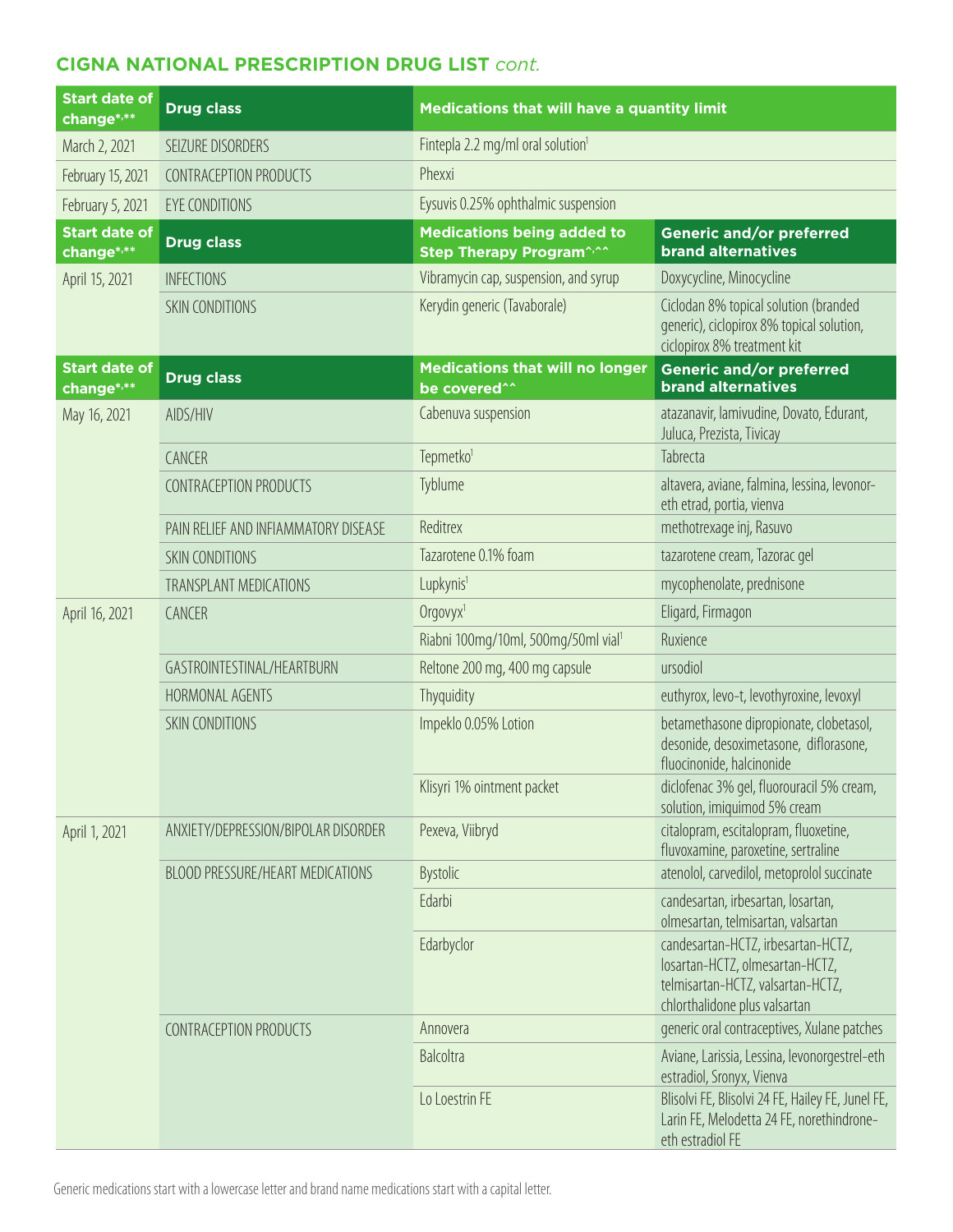# **CIGNA NATIONAL PRESCRIPTION DRUG LIST** *cont.*

| <b>Start date of</b><br>change <sup>*,**</sup> | <b>Drug class</b>                    | Medications that will have a quantity limit                  |                                                                                                                                             |
|------------------------------------------------|--------------------------------------|--------------------------------------------------------------|---------------------------------------------------------------------------------------------------------------------------------------------|
| March 2, 2021                                  | SEIZURE DISORDERS                    | Fintepla 2.2 mg/ml oral solution <sup>1</sup>                |                                                                                                                                             |
| February 15, 2021                              | CONTRACEPTION PRODUCTS               | Phexxi                                                       |                                                                                                                                             |
| February 5, 2021                               | EYE CONDITIONS                       | Eysuvis 0.25% ophthalmic suspension                          |                                                                                                                                             |
| <b>Start date of</b><br>change*,**             | <b>Drug class</b>                    | <b>Medications being added to</b><br>Step Therapy Program^^^ | <b>Generic and/or preferred</b><br><b>brand alternatives</b>                                                                                |
| April 15, 2021                                 | <b>INFECTIONS</b>                    | Vibramycin cap, suspension, and syrup                        | Doxycycline, Minocycline                                                                                                                    |
|                                                | SKIN CONDITIONS                      | Kerydin generic (Tavaborale)                                 | Ciclodan 8% topical solution (branded<br>generic), ciclopirox 8% topical solution,<br>ciclopirox 8% treatment kit                           |
| <b>Start date of</b><br>change*,**             | <b>Drug class</b>                    | <b>Medications that will no longer</b><br>be covered^^       | <b>Generic and/or preferred</b><br><b>brand alternatives</b>                                                                                |
| May 16, 2021                                   | AIDS/HIV                             | Cabenuva suspension                                          | atazanavir, lamivudine, Dovato, Edurant,<br>Juluca, Prezista, Tivicay                                                                       |
|                                                | CANCER                               | Tepmetko <sup>1</sup>                                        | Tabrecta                                                                                                                                    |
|                                                | CONTRACEPTION PRODUCTS               | Tyblume                                                      | altavera, aviane, falmina, lessina, levonor-<br>eth etrad, portia, vienva                                                                   |
|                                                | PAIN RELIEF AND INFIAMMATORY DISEASE | Reditrex                                                     | methotrexage inj, Rasuvo                                                                                                                    |
|                                                | <b>SKIN CONDITIONS</b>               | Tazarotene 0.1% foam                                         | tazarotene cream, Tazorac gel                                                                                                               |
|                                                | <b>TRANSPLANT MEDICATIONS</b>        | Lupkynis <sup>1</sup>                                        | mycophenolate, prednisone                                                                                                                   |
| April 16, 2021                                 | CANCER                               | Orgovyx <sup>1</sup>                                         | Eligard, Firmagon                                                                                                                           |
|                                                |                                      | Riabni 100mg/10ml, 500mg/50ml vial <sup>1</sup>              | Ruxience                                                                                                                                    |
|                                                | GASTROINTESTINAL/HEARTBURN           | Reltone 200 mg, 400 mg capsule                               | ursodiol                                                                                                                                    |
|                                                | HORMONAL AGENTS                      | Thyquidity                                                   | euthyrox, levo-t, levothyroxine, levoxyl                                                                                                    |
|                                                | SKIN CONDITIONS                      | Impeklo 0.05% Lotion                                         | betamethasone dipropionate, clobetasol,<br>desonide, desoximetasone, diflorasone,<br>fluocinonide, halcinonide                              |
|                                                |                                      | Klisyri 1% ointment packet                                   | diclofenac 3% gel, fluorouracil 5% cream,<br>solution, imiquimod 5% cream                                                                   |
| April 1, 2021                                  | ANXIETY/DEPRESSION/BIPOLAR DISORDER  | Pexeva, Viibryd                                              | citalopram, escitalopram, fluoxetine,<br>fluvoxamine, paroxetine, sertraline                                                                |
|                                                | BLOOD PRESSURE/HEART MEDICATIONS     | Bystolic                                                     | atenolol, carvedilol, metoprolol succinate                                                                                                  |
|                                                |                                      | Edarbi                                                       | candesartan, irbesartan, losartan,<br>olmesartan, telmisartan, valsartan                                                                    |
|                                                |                                      | Edarbyclor                                                   | candesartan-HCTZ, irbesartan-HCTZ,<br>losartan-HCTZ, olmesartan-HCTZ,<br>telmisartan-HCTZ, valsartan-HCTZ,<br>chlorthalidone plus valsartan |
|                                                | CONTRACEPTION PRODUCTS               | Annovera                                                     | generic oral contraceptives, Xulane patches                                                                                                 |
|                                                |                                      | Balcoltra                                                    | Aviane, Larissia, Lessina, levonorgestrel-eth<br>estradiol, Sronyx, Vienva                                                                  |
|                                                |                                      | Lo Loestrin FE                                               | Blisolvi FE, Blisolvi 24 FE, Hailey FE, Junel FE,<br>Larin FE, Melodetta 24 FE, norethindrone-<br>eth estradiol FE                          |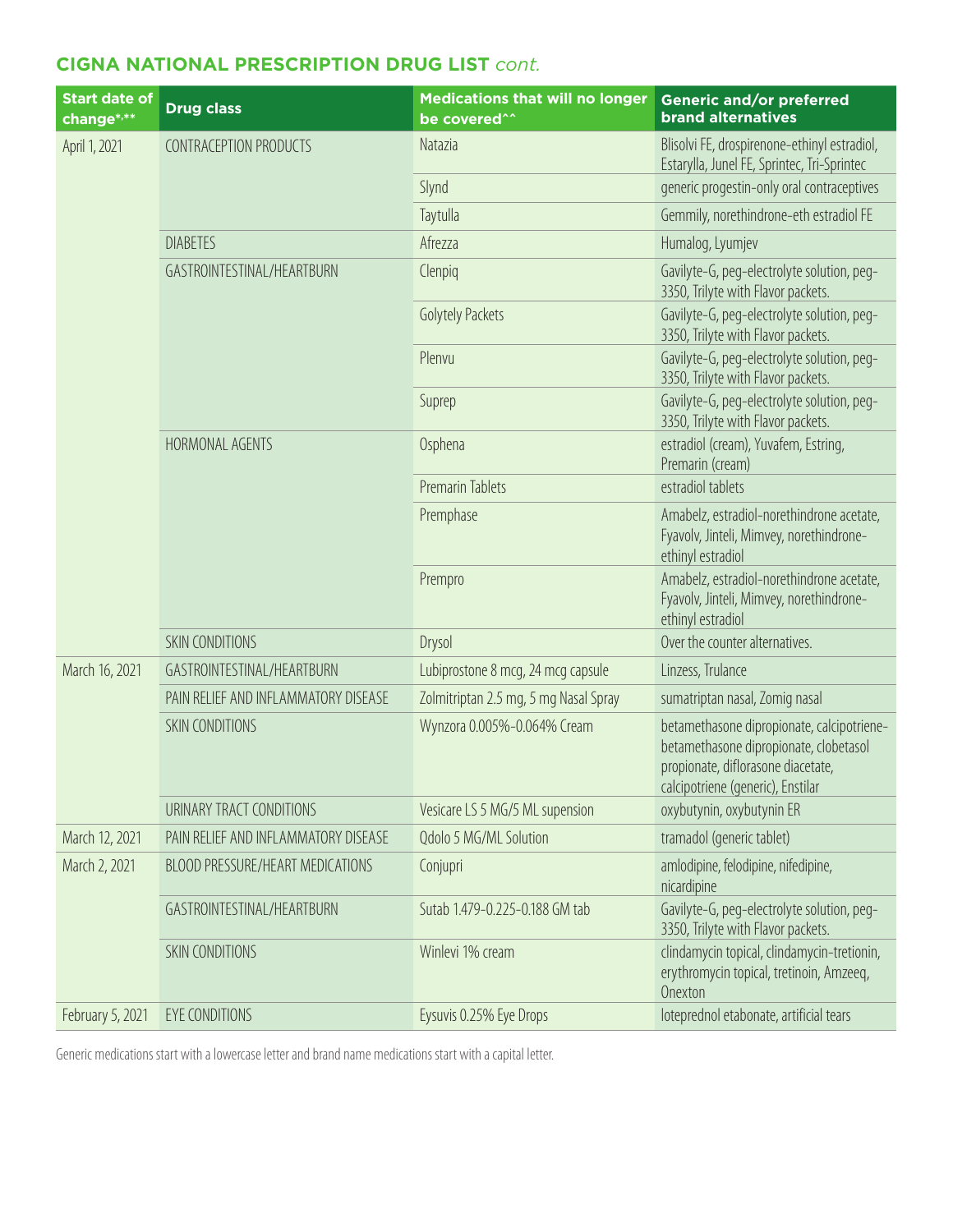# **CIGNA NATIONAL PRESCRIPTION DRUG LIST** *cont.*

| <b>Start date of</b><br>change*,** | <b>Drug class</b>                    | <b>Medications that will no longer</b><br>be covered^^ | <b>Generic and/or preferred</b><br><b>brand alternatives</b>                                                                                                    |
|------------------------------------|--------------------------------------|--------------------------------------------------------|-----------------------------------------------------------------------------------------------------------------------------------------------------------------|
| April 1, 2021                      | CONTRACEPTION PRODUCTS               | Natazia                                                | Blisolvi FE, drospirenone-ethinyl estradiol,<br>Estarylla, Junel FE, Sprintec, Tri-Sprintec                                                                     |
|                                    |                                      | Slynd                                                  | generic progestin-only oral contraceptives                                                                                                                      |
|                                    |                                      | Taytulla                                               | Gemmily, norethindrone-eth estradiol FE                                                                                                                         |
|                                    | <b>DIABETES</b>                      | Afrezza                                                | Humalog, Lyumjev                                                                                                                                                |
|                                    | GASTROINTESTINAL/HEARTBURN           | Clenpig                                                | Gavilyte-G, peq-electrolyte solution, peq-<br>3350, Trilyte with Flavor packets.                                                                                |
|                                    |                                      | Golytely Packets                                       | Gavilyte-G, peq-electrolyte solution, peq-<br>3350, Trilyte with Flavor packets.                                                                                |
|                                    |                                      | Plenvu                                                 | Gavilyte-G, peg-electrolyte solution, peg-<br>3350, Trilyte with Flavor packets.                                                                                |
|                                    |                                      | Suprep                                                 | Gavilyte-G, peq-electrolyte solution, peq-<br>3350, Trilyte with Flavor packets.                                                                                |
|                                    | HORMONAL AGENTS                      | Osphena                                                | estradiol (cream), Yuvafem, Estring,<br>Premarin (cream)                                                                                                        |
|                                    |                                      | <b>Premarin Tablets</b>                                | estradiol tablets                                                                                                                                               |
|                                    |                                      | Premphase                                              | Amabelz, estradiol-norethindrone acetate,<br>Fyavolv, Jinteli, Mimvey, norethindrone-<br>ethinyl estradiol                                                      |
|                                    |                                      | Prempro                                                | Amabelz, estradiol-norethindrone acetate,<br>Fyavolv, Jinteli, Mimvey, norethindrone-<br>ethinyl estradiol                                                      |
|                                    | <b>SKIN CONDITIONS</b>               | Drysol                                                 | Over the counter alternatives.                                                                                                                                  |
| March 16, 2021                     | GASTROINTESTINAL/HEARTBURN           | Lubiprostone 8 mcg, 24 mcg capsule                     | Linzess, Trulance                                                                                                                                               |
|                                    | PAIN RELIEF AND INFLAMMATORY DISEASE | Zolmitriptan 2.5 mg, 5 mg Nasal Spray                  | sumatriptan nasal, Zomig nasal                                                                                                                                  |
|                                    | <b>SKIN CONDITIONS</b>               | Wynzora 0.005%-0.064% Cream                            | betamethasone dipropionate, calcipotriene-<br>betamethasone dipropionate, clobetasol<br>propionate, diflorasone diacetate,<br>calcipotriene (generic), Enstilar |
|                                    | URINARY TRACT CONDITIONS             | Vesicare LS 5 MG/5 ML supension                        | oxybutynin, oxybutynin ER                                                                                                                                       |
| March 12, 2021                     | PAIN RELIEF AND INFLAMMATORY DISEASE | Qdolo 5 MG/ML Solution                                 | tramadol (generic tablet)                                                                                                                                       |
| March 2, 2021                      | BLOOD PRESSURE/HEART MEDICATIONS     | Conjupri                                               | amlodipine, felodipine, nifedipine,<br>nicardipine                                                                                                              |
|                                    | GASTROINTESTINAL/HEARTBURN           | Sutab 1.479-0.225-0.188 GM tab                         | Gavilyte-G, peq-electrolyte solution, peq-<br>3350, Trilyte with Flavor packets.                                                                                |
|                                    | <b>SKIN CONDITIONS</b>               | Winlevi 1% cream                                       | clindamycin topical, clindamycin-tretionin,<br>erythromycin topical, tretinoin, Amzeeq,<br>Onexton                                                              |
| February 5, 2021                   | EYE CONDITIONS                       | Eysuvis 0.25% Eye Drops                                | loteprednol etabonate, artificial tears                                                                                                                         |